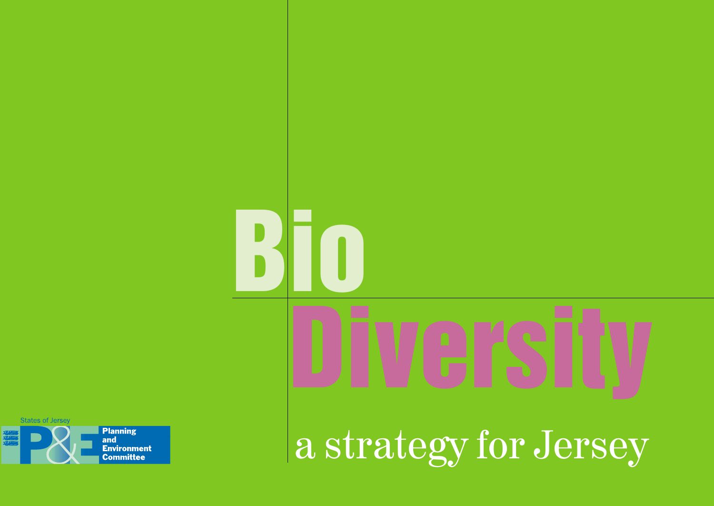

**States of Jersey Planning** and **Environment** 

**Committee**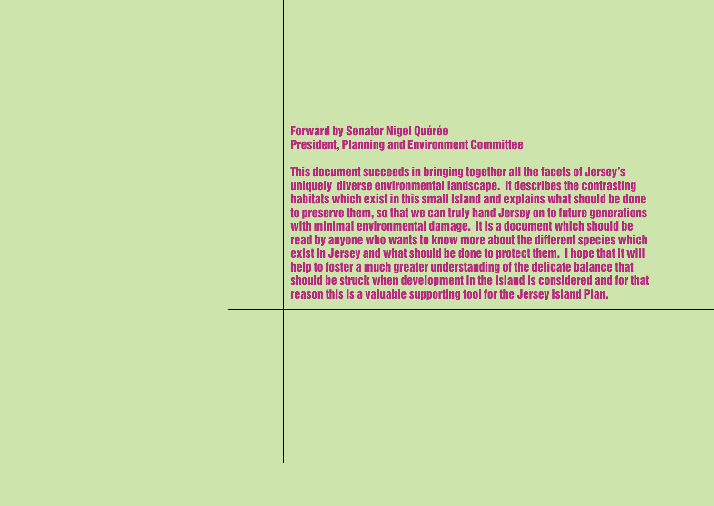#### **Forward by Senator Nigel Quérée President, Planning and Environment Committee**

**This document succeeds in bringing together all the facets of Jersey's uniquely diverse environmental landscape. It describes the contrasting habitats which exist in this small Island and explains what should be done to preserve them, so that we can truly hand Jersey on to future generations with minimal environmental damage. It is a document which should be read by anyone who wants to know more about the different species which exist in Jersey and what should be done to protect them. I hope that it will help to foster a much greater understanding of the delicate balance that should be struck when development in the Island is considered and for that reason this is a valuable supporting tool for the Jersey Island Plan.**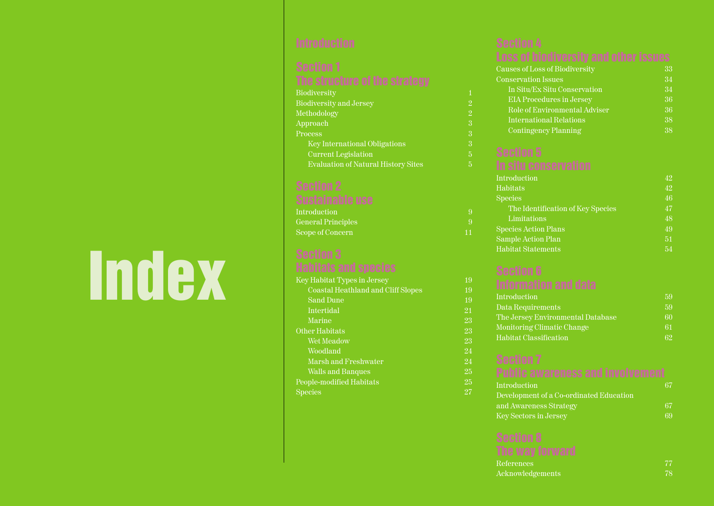# **Index**

## **Section 1**

| <b>Biodiversity</b>                        |                |
|--------------------------------------------|----------------|
| <b>Biodiversity and Jersey</b>             | $\overline{2}$ |
| Methodology                                | $\overline{2}$ |
| Approach                                   | 3              |
| Process                                    | 3              |
| <b>Key International Obligations</b>       | 3              |
| <b>Current Legislation</b>                 | 5              |
| <b>Evaluation of Natural History Sites</b> | 5              |
|                                            |                |

| Key Habitat Types in Jersey               | 19 |
|-------------------------------------------|----|
| <b>Coastal Heathland and Cliff Slopes</b> | 19 |
| Sand Dune                                 | 19 |
| Intertidal                                | 21 |
| Marine                                    | 23 |
| Other Habitats                            | 23 |
| Wet Meadow                                | 23 |
| Woodland                                  | 24 |
| Marsh and Freshwater                      | 24 |
| <b>Walls and Banques</b>                  | 25 |
| People-modified Habitats                  | 25 |
| <b>Species</b>                            | 27 |
|                                           |    |

## **Loss of biodiversity and other issues**

| 33 |
|----|
| 34 |
| 34 |
| 36 |
| 36 |
| 38 |
| 38 |
|    |

| Introduction                      | 42 |
|-----------------------------------|----|
| <b>Habitats</b>                   | 42 |
| <b>Species</b>                    | 46 |
| The Identification of Key Species | 47 |
| Limitations                       | 48 |
| <b>Species Action Plans</b>       | 49 |
| Sample Action Plan                | 51 |
| <b>Habitat Statements</b>         | 54 |

|  |              | nnonnann ann an S |  |  |
|--|--------------|-------------------|--|--|
|  | Introduction |                   |  |  |

| Data Requirements                 | 59.  |
|-----------------------------------|------|
| The Jersey Environmental Database | 60.  |
| Monitoring Climatic Change        | 61 I |
| <b>Habitat Classification</b>     | 62.  |

## **Section 7**

| <b>Public awareness and involvem</b>    |
|-----------------------------------------|
|                                         |
| Development of a Co-ordinated Education |
|                                         |
|                                         |
|                                         |

| References       |    |
|------------------|----|
| Acknowledgements | 78 |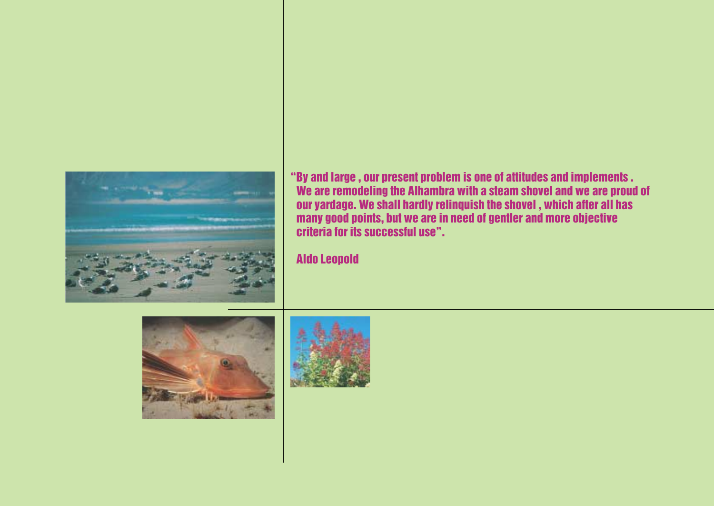

**"By and large , our present problem is one of attitudes and implements . We are remodeling the Alhambra with a steam shovel and we are proud of our yardage. We shall hardly relinquish the shovel , which after all has many good points, but we are in need of gentler and more objective criteria for its successful use".**

**Aldo Leopold**



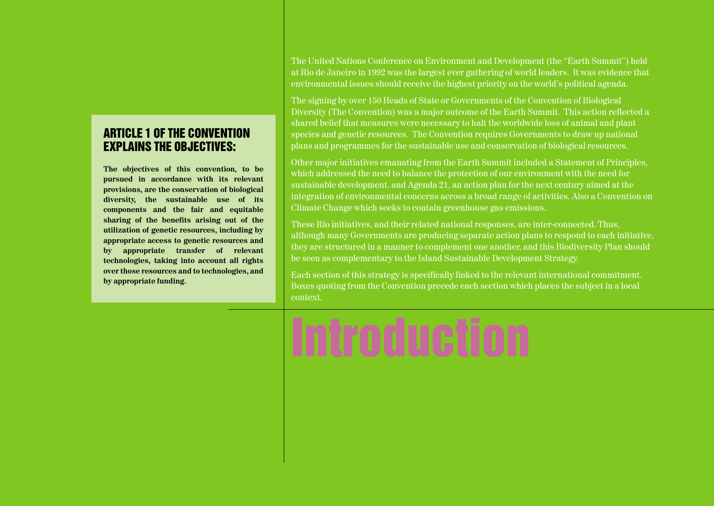#### **ARTICLE 1 OF THE CONVENTION EXPLAINS THE OBJECTIVES:**

**The objectives of this convention, to be pursued in accordance with its relevant provisions, are the conservation of biological diversity, the sustainable use of its components and the fair and equitable sharing of the benefits arising out of the utilization of genetic resources, including by appropriate access to genetic resources and by appropriate transfer of relevant technologies, taking into account all rights over those resources and to technologies, and by appropriate funding.**

The United Nations Conference on Environment and Development (the "Earth Summit") held at Rio de Janeiro in 1992 was the largest ever gathering of world leaders. It was evidence that environmental issues should receive the highest priority on the world's political agenda.

The signing by over 150 Heads of State or Governments of the Convention of Biological Diversity (The Convention) was a major outcome of the Earth Summit. This action reflected a shared belief that measures were necessary to halt the worldwide loss of animal and plant species and genetic resources. The Convention requires Governments to draw up national plans and programmes for the sustainable use and conservation of biological resources.

Other major initiatives emanating from the Earth Summit included a Statement of Principles, which addressed the need to balance the protection of our environment with the need for sustainable development, and Agenda 21, an action plan for the next century aimed at the integration of environmental concerns across a broad range of activities. Also a Convention on Climate Change which seeks to contain greenhouse gas emissions.

These Rio initiatives, and their related national responses, are inter-connected. Thus, although many Governments are producing separate action plans to respond to each initiative, they are structured in a manner to complement one another, and this Biodiversity Plan should be seen as complementary to the Island Sustainable Development Strategy.

Each section of this strategy is specifically linked to the relevant international commitment. Boxes quoting from the Convention precede each section which places the subject in a local context.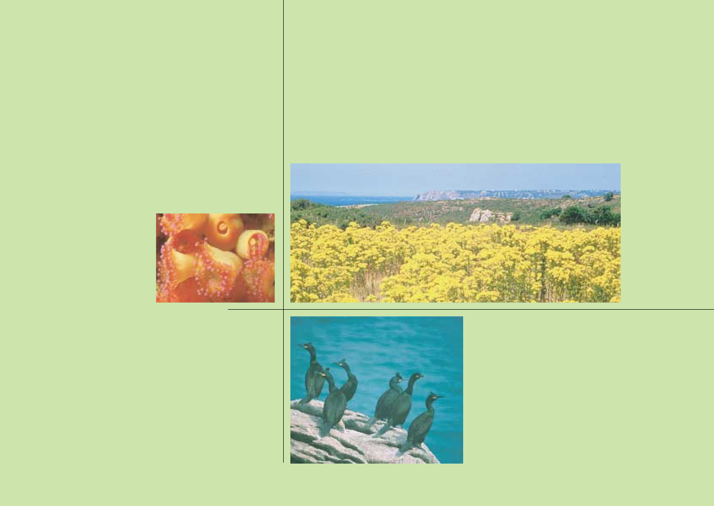

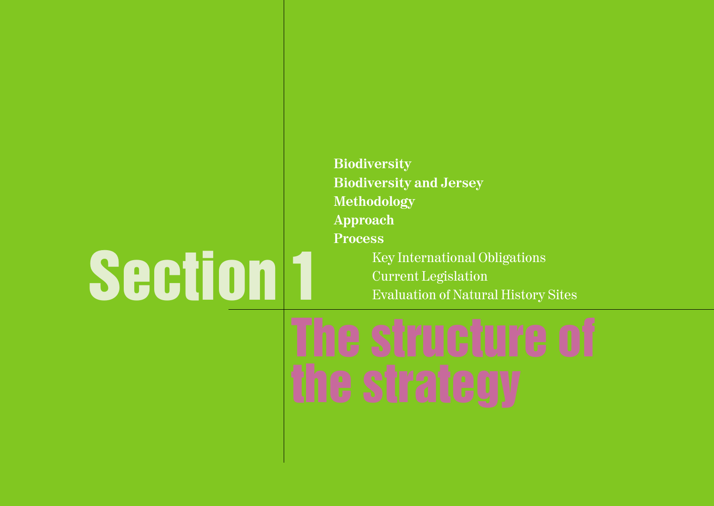# **Section 1**

**Biodiversity Biodiversity and Jersey Methodology Approach Process** Key International Obligations Current Legislation Evaluation of Natural History Sites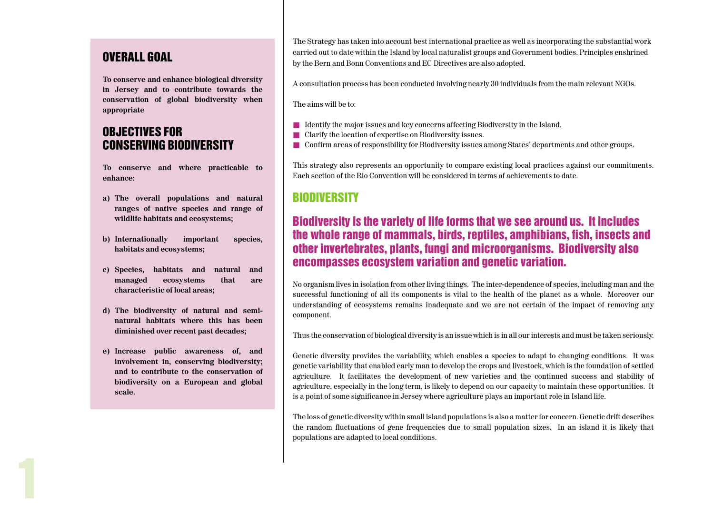#### **OVERALL GOAL**

**To conserve and enhance biological diversity in Jersey and to contribute towards the conservation of global biodiversity when appropriate**

#### **OBJECTIVES FOR CONSERVING BIODIVERSITY**

**To conserve and where practicable to enhance:**

- **a) The overall populations and natural ranges of native species and range of wildlife habitats and ecosystems;**
- **b) Internationally important species, habitats and ecosystems;**
- **c) Species, habitats and natural and managed ecosystems that are characteristic of local areas;**
- **d) The biodiversity of natural and seminatural habitats where this has been diminished over recent past decades;**
- **e) Increase public awareness of, and involvement in, conserving biodiversity; and to contribute to the conservation of biodiversity on a European and global scale.**

**1**

The Strategy has taken into account best international practice as well as incorporating the substantial work carried out to date within the Island by local naturalist groups and Government bodies. Principles enshrined by the Bern and Bonn Conventions and EC Directives are also adopted.

A consultation process has been conducted involving nearly 30 individuals from the main relevant NGOs.

The aims will be to:

- Identify the major issues and key concerns affecting Biodiversity in the Island.
- Clarify the location of expertise on Biodiversity issues.
- Confirm areas of responsibility for Biodiversity issues among States' departments and other groups.

This strategy also represents an opportunity to compare existing local practices against our commitments. Each section of the Rio Convention will be considered in terms of achievements to date.

#### **BIODIVERSITY**

#### **Biodiversity is the variety of life forms that we see around us. It includes the whole range of mammals, birds, reptiles, amphibians, fish, insects and other invertebrates, plants, fungi and microorganisms. Biodiversity also encompasses ecosystem variation and genetic variation.**

No organism lives in isolation from other living things. The inter-dependence of species, including man and the successful functioning of all its components is vital to the health of the planet as a whole. Moreover our understanding of ecosystems remains inadequate and we are not certain of the impact of removing any component.

Thus the conservation of biological diversity is an issue which is in all our interests and must be taken seriously.

Genetic diversity provides the variability, which enables a species to adapt to changing conditions. It was genetic variability that enabled early man to develop the crops and livestock, which is the foundation of settled agriculture. It facilitates the development of new varieties and the continued success and stability of agriculture, especially in the long term, is likely to depend on our capacity to maintain these opportunities. It is a point of some significance in Jersey where agriculture plays an important role in Island life.

The loss of genetic diversity within small island populations is also a matter for concern. Genetic drift describes the random fluctuations of gene frequencies due to small population sizes. In an island it is likely that populations are adapted to local conditions.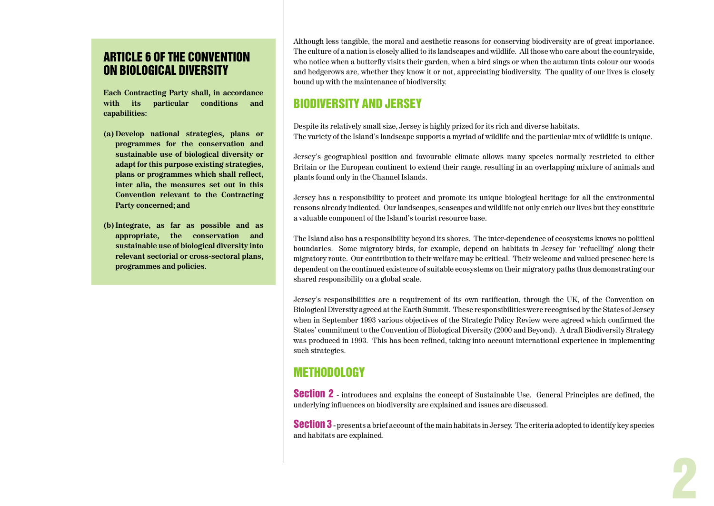#### **ARTICLE 6 OF THE CONVENTION ON BIOLOGICAL DIVERSITY**

**Each Contracting Party shall, in accordance with its particular conditions and capabilities:**

- **(a) Develop national strategies, plans or programmes for the conservation and sustainable use of biological diversity or adapt for this purpose existing strategies, plans or programmes which shall reflect, inter alia, the measures set out in this Convention relevant to the Contracting Party concerned; and**
- **(b) Integrate, as far as possible and as appropriate, the conservation and sustainable use of biological diversity into relevant sectorial or cross-sectoral plans, programmes and policies.**

Although less tangible, the moral and aesthetic reasons for conserving biodiversity are of great importance. The culture of a nation is closely allied to its landscapes and wildlife. All those who care about the countryside, who notice when a butterfly visits their garden, when a bird sings or when the autumn tints colour our woods and hedgerows are, whether they know it or not, appreciating biodiversity. The quality of our lives is closely bound up with the maintenance of biodiversity.

#### **BIODIVERSITY AND JERSEY**

Despite its relatively small size, Jersey is highly prized for its rich and diverse habitats. The variety of the Island's landscape supports a myriad of wildlife and the particular mix of wildlife is unique.

Jersey's geographical position and favourable climate allows many species normally restricted to either Britain or the European continent to extend their range, resulting in an overlapping mixture of animals and plants found only in the Channel Islands.

Jersey has a responsibility to protect and promote its unique biological heritage for all the environmental reasons already indicated. Our landscapes, seascapes and wildlife not only enrich our lives but they constitute a valuable component of the Island's tourist resource base.

The Island also has a responsibility beyond its shores. The inter-dependence of ecosystems knows no political boundaries. Some migratory birds, for example, depend on habitats in Jersey for 'refuelling' along their migratory route. Our contribution to their welfare may be critical. Their welcome and valued presence here is dependent on the continued existence of suitable ecosystems on their migratory paths thus demonstrating our shared responsibility on a global scale.

Jersey's responsibilities are a requirement of its own ratification, through the UK, of the Convention on Biological Diversity agreed at the Earth Summit. These responsibilities were recognised by the States of Jersey when in September 1993 various objectives of the Strategic Policy Review were agreed which confirmed the States' commitment to the Convention of Biological Diversity (2000 and Beyond). A draft Biodiversity Strategy was produced in 1993. This has been refined, taking into account international experience in implementing such strategies.

## **METHODOLOGY**

**Section 2** - introduces and explains the concept of Sustainable Use. General Principles are defined, the underlying influences on biodiversity are explained and issues are discussed.

**Section 3** - presents a brief account of the main habitats in Jersey. The criteria adopted to identify key species and habitats are explained.

**2**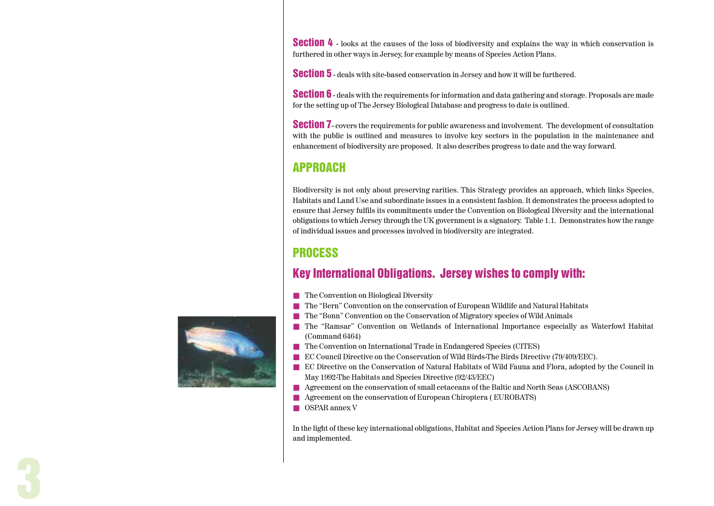**Section 4** - looks at the causes of the loss of biodiversity and explains the way in which conservation is furthered in other ways in Jersey, for example by means of Species Action Plans.

**Section 5** - deals with site-based conservation in Jersey and how it will be furthered.

**Section 6** - deals with the requirements for information and data gathering and storage. Proposals are made for the setting up of The Jersey Biological Database and progress to date is outlined.

**Section 7**- covers the requirements for public awareness and involvement. The development of consultation with the public is outlined and measures to involve key sectors in the population in the maintenance and enhancement of biodiversity are proposed. It also describes progress to date and the way forward.

#### **APPROACH**

Biodiversity is not only about preserving rarities. This Strategy provides an approach, which links Species, Habitats and Land Use and subordinate issues in a consistent fashion. It demonstrates the process adopted to ensure that Jersey fulfils its commitments under the Convention on Biological Diversity and the international obligations to which Jersey through the UK government is a signatory. Table 1.1. Demonstrates how the range of individual issues and processes involved in biodiversity are integrated.

#### **PROCESS**

## **Key International Obligations. Jersey wishes to comply with:**

- The Convention on Biological Diversity
- The "Bern" Convention on the conservation of European Wildlife and Natural Habitats
- The "Bonn" Convention on the Conservation of Migratory species of Wild Animals
- The "Ramsar" Convention on Wetlands of International Importance especially as Waterfowl Habitat (Command 6464)
- The Convention on International Trade in Endangered Species (CITES)
- EC Council Directive on the Conservation of Wild Birds-The Birds Directive (79/409/EEC).
- EC Directive on the Conservation of Natural Habitats of Wild Fauna and Flora, adopted by the Council in May 1992-The Habitats and Species Directive (92/43/EEC)
- Agreement on the conservation of small cetaceans of the Baltic and North Seas (ASCOBANS)
- Agreement on the conservation of European Chiroptera (EUROBATS)
- OSPAR annex V

In the light of these key international obligations, Habitat and Species Action Plans for Jersey will be drawn up and implemented.

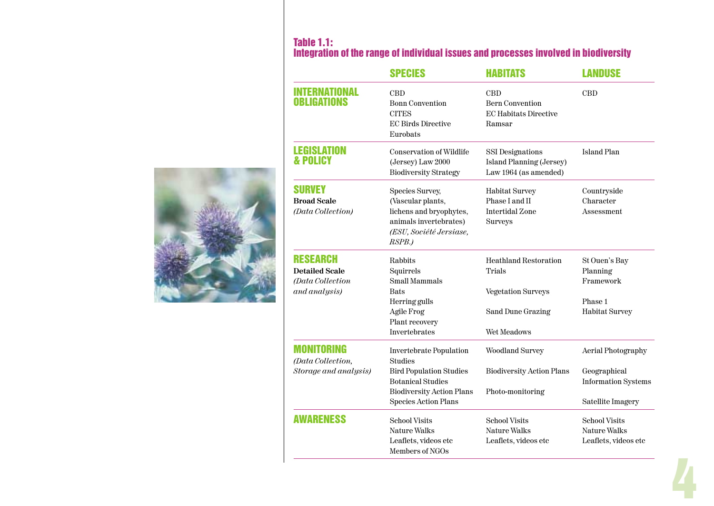|                                                                               | <b>SPECIES</b>                                                                                                                 | <b>HABITATS</b>                                                                   | <b>LANDUSE</b>                                                      |
|-------------------------------------------------------------------------------|--------------------------------------------------------------------------------------------------------------------------------|-----------------------------------------------------------------------------------|---------------------------------------------------------------------|
| INTERNATIONAL<br><b>OBLIGATIONS</b>                                           | <b>CBD</b><br><b>Bonn Convention</b><br><b>CITES</b><br><b>EC Birds Directive</b><br>Eurobats                                  | <b>CBD</b><br><b>Bern Convention</b><br><b>EC Habitats Directive</b><br>Ramsar    | <b>CBD</b>                                                          |
| <b>LEGISLATION</b><br><b>&amp; POLICY</b>                                     | <b>Conservation of Wildlife</b><br>(Jersey) Law 2000<br><b>Biodiversity Strategy</b>                                           | <b>SSI</b> Designations<br>Island Planning (Jersey)<br>Law 1964 (as amended)      | <b>Island Plan</b>                                                  |
| <b>SURVEY</b><br><b>Broad Scale</b><br>(Data Collection)                      | Species Survey,<br>(Vascular plants,<br>lichens and bryophytes,<br>animals invertebrates)<br>(ESU, Société Jersiase,<br>RSPB.) | <b>Habitat Survey</b><br>Phase I and II<br><b>Intertidal Zone</b><br>Surveys      | Countryside<br>Character<br>Assessment                              |
| <b>RESEARCH</b><br><b>Detailed Scale</b><br>(Data Collection<br>and analysis) | Rabbits<br>Squirrels<br><b>Small Mammals</b><br><b>Bats</b><br>Herring gulls<br>Agile Frog                                     | <b>Heathland Restoration</b><br>Trials<br>Vegetation Surveys<br>Sand Dune Grazing | St Ouen's Bay<br>Planning<br>Framework<br>Phase 1<br>Habitat Survey |
|                                                                               | Plant recovery<br><b>Invertebrates</b>                                                                                         | Wet Meadows                                                                       |                                                                     |
| <b>MONITORING</b><br>(Data Collection,                                        | <b>Invertebrate Population</b><br><b>Studies</b>                                                                               | <b>Woodland Survey</b>                                                            | Aerial Photography                                                  |
| Storage and analysis)                                                         | <b>Bird Population Studies</b><br><b>Botanical Studies</b><br><b>Biodiversity Action Plans</b><br><b>Species Action Plans</b>  | <b>Biodiversity Action Plans</b><br>Photo-monitoring                              | Geographical<br><b>Information Systems</b><br>Satellite Imagery     |
| <b>AWARENESS</b>                                                              | <b>School Visits</b><br>Nature Walks<br>Leaflets, videos etc<br>Members of NGOs                                                | <b>School Visits</b><br>Nature Walks<br>Leaflets, videos etc                      | <b>School Visits</b><br>Nature Walks<br>Leaflets, videos etc        |

**4**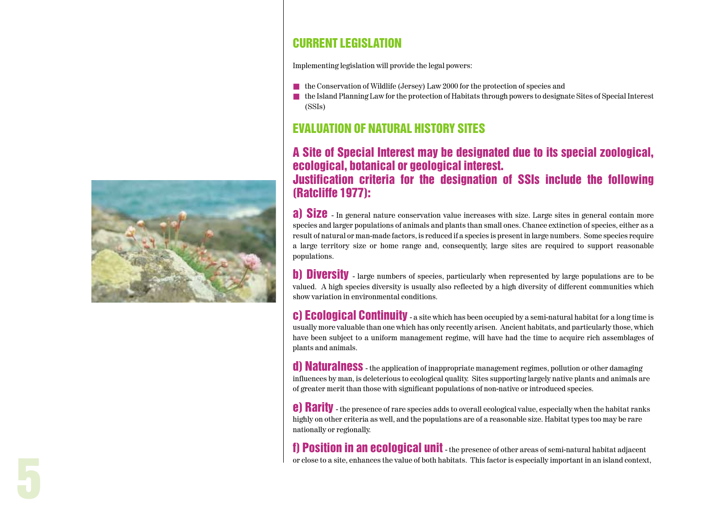

#### **CURRENT LEGISLATION**

Implementing legislation will provide the legal powers:

- the Conservation of Wildlife (Jersey) Law 2000 for the protection of species and
- the Island Planning Law for the protection of Habitats through powers to designate Sites of Special Interest (SSIs)

## **EVALUATION OF NATURAL HISTORY SITES**

#### **A Site of Special Interest may be designated due to its special zoological, ecological, botanical or geological interest. Justification criteria for the designation of SSIs include the following (Ratcliffe 1977):**

**a) Size** - In general nature conservation value increases with size. Large sites in general contain more species and larger populations of animals and plants than small ones. Chance extinction of species, either as a result of natural or man-made factors, is reduced if a species is present in large numbers. Some species require a large territory size or home range and, consequently, large sites are required to support reasonable populations.

**b) Diversity** - large numbers of species, particularly when represented by large populations are to be valued. A high species diversity is usually also reflected by a high diversity of different communities which show variation in environmental conditions.

**c) Ecological Continuity** - a site which has been occupied by a semi-natural habitat for a long time is usually more valuable than one which has only recently arisen. Ancient habitats, and particularly those, which have been subject to a uniform management regime, will have had the time to acquire rich assemblages of plants and animals.

**d) Naturalness** - the application of inappropriate management regimes, pollution or other damaging influences by man, is deleterious to ecological quality. Sites supporting largely native plants and animals are of greater merit than those with significant populations of non-native or introduced species.

**e) Rarity** - the presence of rare species adds to overall ecological value, especially when the habitat ranks highly on other criteria as well, and the populations are of a reasonable size. Habitat types too may be rare nationally or regionally.

**f) Position in an ecological unit** - the presence of other areas of semi-natural habitat adjacent or close to a site, enhances the value of both habitats. This factor is especially important in an island context,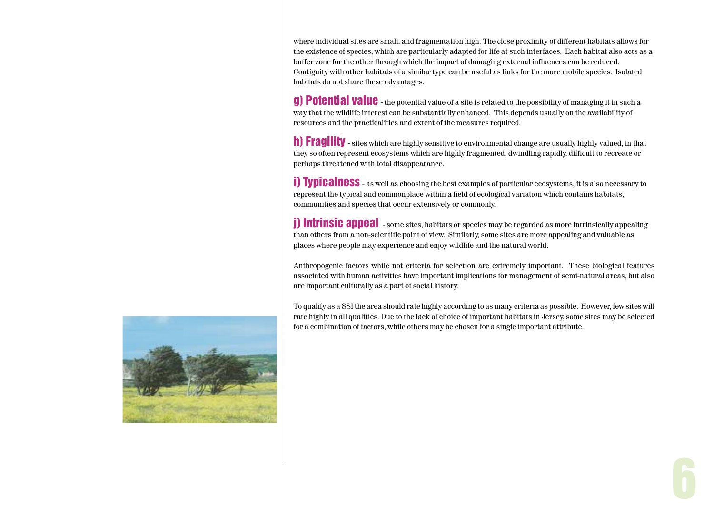where individual sites are small, and fragmentation high. The close proximity of different habitats allows for the existence of species, which are particularly adapted for life at such interfaces. Each habitat also acts as a buffer zone for the other through which the impact of damaging external influences can be reduced. Contiguity with other habitats of a similar type can be useful as links for the more mobile species. Isolated habitats do not share these advantages.

**g) Potential value** - the potential value of a site is related to the possibility of managing it in such a way that the wildlife interest can be substantially enhanced. This depends usually on the availability of resources and the practicalities and extent of the measures required.

**h) Fragility** - sites which are highly sensitive to environmental change are usually highly valued, in that they so often represent ecosystems which are highly fragmented, dwindling rapidly, difficult to recreate or perhaps threatened with total disappearance.

**i) Typicalness** - as well as choosing the best examples of particular ecosystems, it is also necessary to represent the typical and commonplace within a field of ecological variation which contains habitats, communities and species that occur extensively or commonly.

**j) Intrinsic appeal** - some sites, habitats or species may be regarded as more intrinsically appealing than others from a non-scientific point of view. Similarly, some sites are more appealing and valuable as places where people may experience and enjoy wildlife and the natural world.

Anthropogenic factors while not criteria for selection are extremely important. These biological features associated with human activities have important implications for management of semi-natural areas, but also are important culturally as a part of social history.

To qualify as a SSI the area should rate highly according to as many criteria as possible. However, few sites will rate highly in all qualities. Due to the lack of choice of important habitats in Jersey, some sites may be selected for a combination of factors, while others may be chosen for a single important attribute.

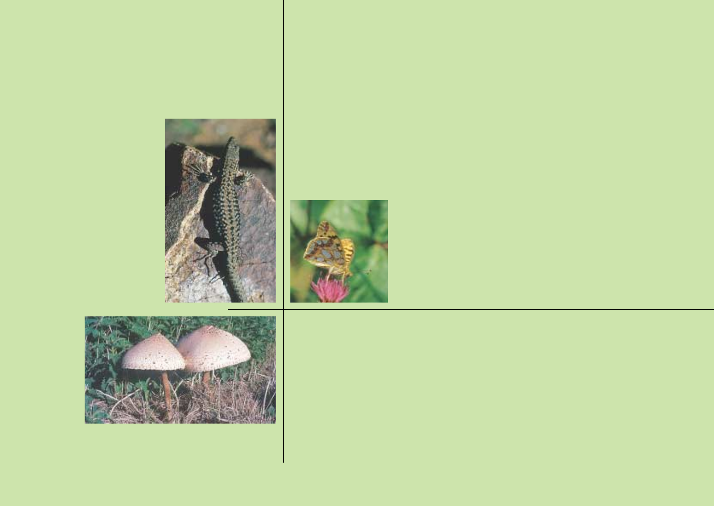



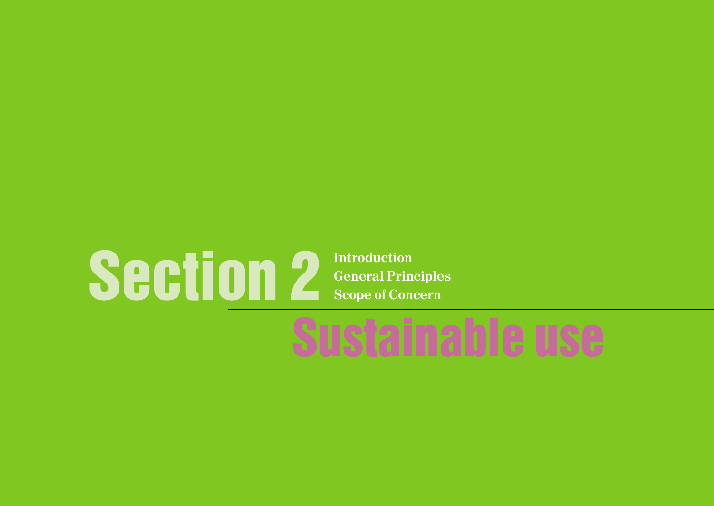# **Section 2 Introduction**

**General Principles Scope of Concern**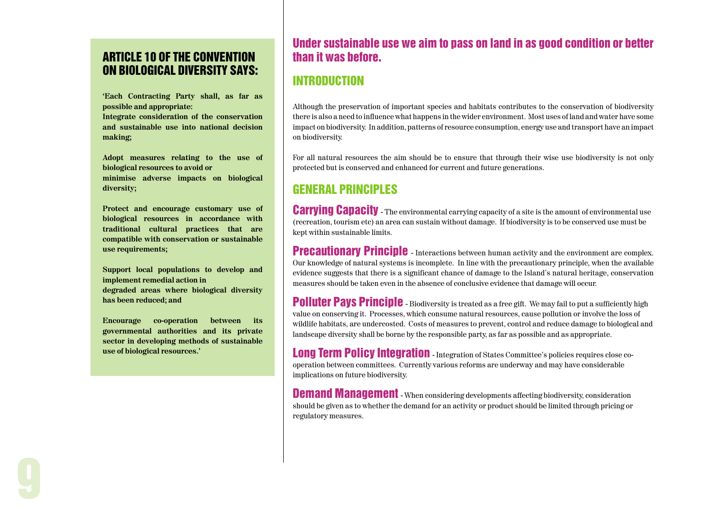#### **ARTICLE 10 OF THE CONVENTION ON BIOLOGICAL DIVERSITY SAYS:**

**'Each Contracting Party shall, as far as possible and appropriate:**

**Integrate consideration of the conservation and sustainable use into national decision making;**

**Adopt measures relating to the use of biological resources to avoid or minimise adverse impacts on biological diversity;**

**Protect and encourage customary use of biological resources in accordance with traditional cultural practices that are compatible with conservation or sustainable use requirements;**

**Support local populations to develop and implement remedial action in degraded areas where biological diversity has been reduced; and** 

**Encourage co-operation between its governmental authorities and its private sector in developing methods of sustainable use of biological resources.'**

#### **Under sustainable use we aim to pass on land in as good condition or better than it was before.**

#### **INTRODUCTION**

Although the preservation of important species and habitats contributes to the conservation of biodiversity there is also a need to influence what happens in the wider environment. Most uses of land and water have some impact on biodiversity. In addition, patterns of resource consumption, energy use and transport have an impact on biodiversity.

For all natural resources the aim should be to ensure that through their wise use biodiversity is not only protected but is conserved and enhanced for current and future generations.

#### **GENERAL PRINCIPLES**

**Carrying Capacity** - The environmental carrying capacity of a site is the amount of environmental use (recreation, tourism etc) an area can sustain without damage. If biodiversity is to be conserved use must be kept within sustainable limits.

**Precautionary Principle** - Interactions between human activity and the environment are complex. Our knowledge of natural systems is incomplete. In line with the precautionary principle, when the available evidence suggests that there is a significant chance of damage to the Island's natural heritage, conservation measures should be taken even in the absence of conclusive evidence that damage will occur.

**Polluter Pays Principle** - Biodiversity is treated as a free gift. We may fail to put a sufficiently high value on conserving it. Processes, which consume natural resources, cause pollution or involve the loss of wildlife habitats, are undercosted. Costs of measures to prevent, control and reduce damage to biological and landscape diversity shall be borne by the responsible party, as far as possible and as appropriate.

**Long Term Policy Integration** - Integration of States Committee's policies requires close cooperation between committees. Currently various reforms are underway and may have considerable implications on future biodiversity.

**Demand Management** - When considering developments affecting biodiversity, consideration should be given as to whether the demand for an activity or product should be limited through pricing or regulatory measures.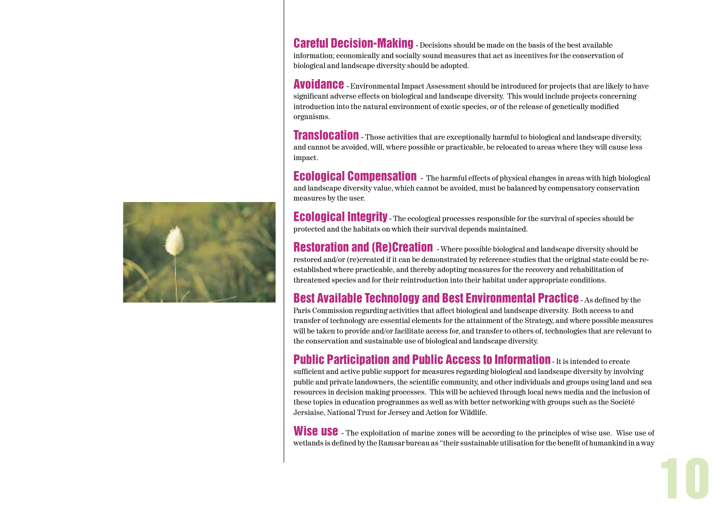**Careful Decision-Making** - Decisions should be made on the basis of the best available information; economically and socially sound measures that act as incentives for the conservation of biological and landscape diversity should be adopted.

**Avoidance** - Environmental Impact Assessment should be introduced for projects that are likely to have significant adverse effects on biological and landscape diversity. This would include projects concerning introduction into the natural environment of exotic species, or of the release of genetically modified organisms.

**Translocation** - Those activities that are exceptionally harmful to biological and landscape diversity, and cannot be avoided, will, where possible or practicable, be relocated to areas where they will cause less impact.

**Ecological Compensation** - The harmful effects of physical changes in areas with high biological and landscape diversity value, which cannot be avoided, must be balanced by compensatory conservation measures by the user.

**Ecological Integrity** - The ecological processes responsible for the survival of species should be protected and the habitats on which their survival depends maintained.

**Restoration and (Re)Creation** - Where possible biological and landscape diversity should be restored and/or (re)created if it can be demonstrated by reference studies that the original state could be reestablished where practicable, and thereby adopting measures for the recovery and rehabilitation of threatened species and for their reintroduction into their habitat under appropriate conditions.

**Best Available Technology and Best Environmental Practice** - As defined by the Paris Commission regarding activities that affect biological and landscape diversity. Both access to and transfer of technology are essential elements for the attainment of the Strategy, and where possible measures will be taken to provide and/or facilitate access for, and transfer to others of, technologies that are relevant to

#### **Public Participation and Public Access to Information** - It is intended to create

the conservation and sustainable use of biological and landscape diversity.

sufficient and active public support for measures regarding biological and landscape diversity by involving public and private landowners, the scientific community, and other individuals and groups using land and sea resources in decision making processes. This will be achieved through local news media and the inclusion of these topics in education programmes as well as with better networking with groups such as the Société Jersiaise, National Trust for Jersey and Action for Wildlife.

WISE USE - The exploitation of marine zones will be according to the principles of wise use. Wise use of wetlands is defined by the Ramsar bureau as "their sustainable utilisation for the benefit of humankind in a way

**10**

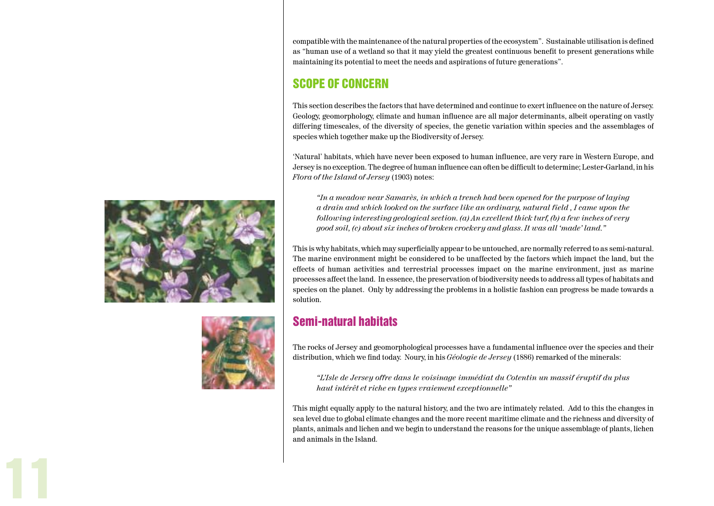compatible with the maintenance of the natural properties of the ecosystem". Sustainable utilisation is defined as "human use of a wetland so that it may yield the greatest continuous benefit to present generations while maintaining its potential to meet the needs and aspirations of future generations".

#### **SCOPE OF CONCERN**

This section describes the factors that have determined and continue to exert influence on the nature of Jersey. Geology, geomorphology, climate and human influence are all major determinants, albeit operating on vastly differing timescales, of the diversity of species, the genetic variation within species and the assemblages of species which together make up the Biodiversity of Jersey.

'Natural' habitats, which have never been exposed to human influence, are very rare in Western Europe, and Jersey is no exception. The degree of human influence can often be difficult to determine; Lester-Garland, in his *Flora of the Island of Jersey* (1903) notes:

*"In a meadow near Samarès, in which a trench had been opened for the purpose of laying a drain and which looked on the surface like an ordinary, natural field , I came upon the following interesting geological section. (a) An excellent thick turf, (b) a few inches of very good soil, (c) about six inches of broken crockery and glass. It was all 'made' land."*

This is why habitats, which may superficially appear to be untouched, are normally referred to as semi-natural. The marine environment might be considered to be unaffected by the factors which impact the land, but the effects of human activities and terrestrial processes impact on the marine environment, just as marine processes affect the land. In essence, the preservation of biodiversity needs to address all types of habitats and species on the planet. Only by addressing the problems in a holistic fashion can progress be made towards a solution.

## **Semi-natural habitats**

The rocks of Jersey and geomorphological processes have a fundamental influence over the species and their distribution, which we find today. Noury, in his *Géologie de Jersey* (1886) remarked of the minerals:

*"L'Isle de Jersey offre dans le voisinage immédiat du Cotentin un massif éruptif du plus haut intérêt et riche en types vraiement exceptionnelle"*

This might equally apply to the natural history, and the two are intimately related. Add to this the changes in sea level due to global climate changes and the more recent maritime climate and the richness and diversity of plants, animals and lichen and we begin to understand the reasons for the unique assemblage of plants, lichen and animals in the Island.



**11**

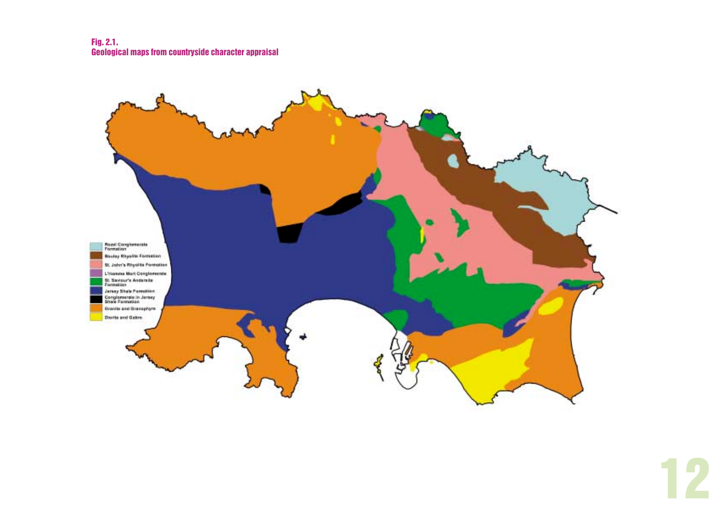#### **Fig. 2.1. Geological maps from countryside character appraisal**



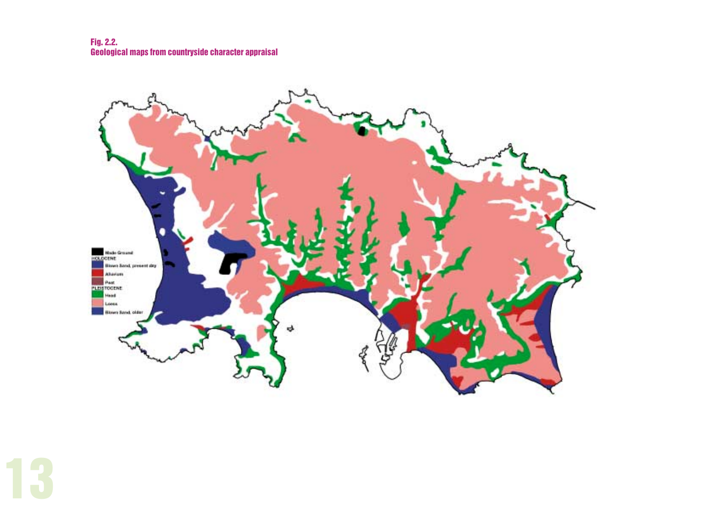#### **Fig. 2.2. Geological maps from countryside character appraisal**

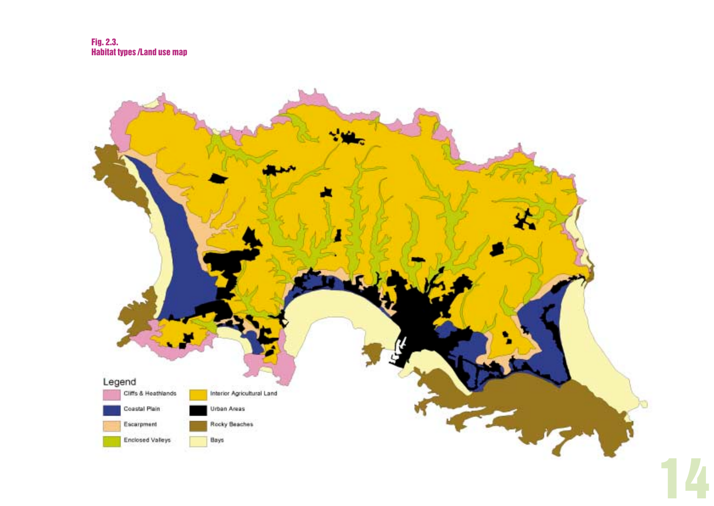**Fig. 2.3. Habitat types /Land use map**

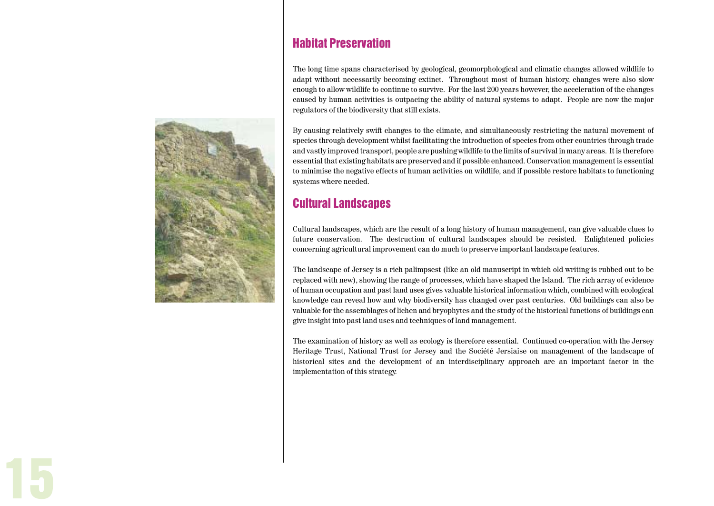

**15**

#### **Habitat Preservation**

The long time spans characterised by geological, geomorphological and climatic changes allowed wildlife to adapt without necessarily becoming extinct. Throughout most of human history, changes were also slow enough to allow wildlife to continue to survive. For the last 200 years however, the acceleration of the changes caused by human activities is outpacing the ability of natural systems to adapt. People are now the major regulators of the biodiversity that still exists.

By causing relatively swift changes to the climate, and simultaneously restricting the natural movement of species through development whilst facilitating the introduction of species from other countries through trade and vastly improved transport, people are pushing wildlife to the limits of survival in many areas. It is therefore essential that existing habitats are preserved and if possible enhanced. Conservation management is essential to minimise the negative effects of human activities on wildlife, and if possible restore habitats to functioning systems where needed.

#### **Cultural Landscapes**

Cultural landscapes, which are the result of a long history of human management, can give valuable clues to future conservation. The destruction of cultural landscapes should be resisted. Enlightened policies concerning agricultural improvement can do much to preserve important landscape features.

The landscape of Jersey is a rich palimpsest (like an old manuscript in which old writing is rubbed out to be replaced with new), showing the range of processes, which have shaped the Island. The rich array of evidence of human occupation and past land uses gives valuable historical information which, combined with ecological knowledge can reveal how and why biodiversity has changed over past centuries. Old buildings can also be valuable for the assemblages of lichen and bryophytes and the study of the historical functions of buildings can give insight into past land uses and techniques of land management.

The examination of history as well as ecology is therefore essential. Continued co-operation with the Jersey Heritage Trust, National Trust for Jersey and the Société Jersiaise on management of the landscape of historical sites and the development of an interdisciplinary approach are an important factor in the implementation of this strategy.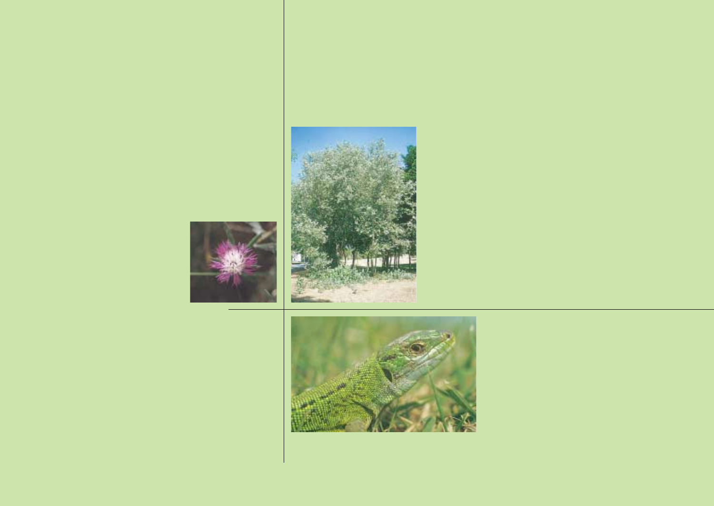

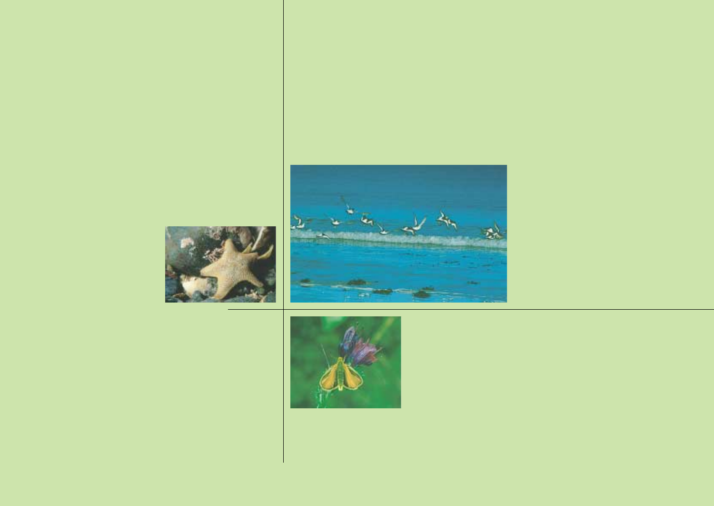



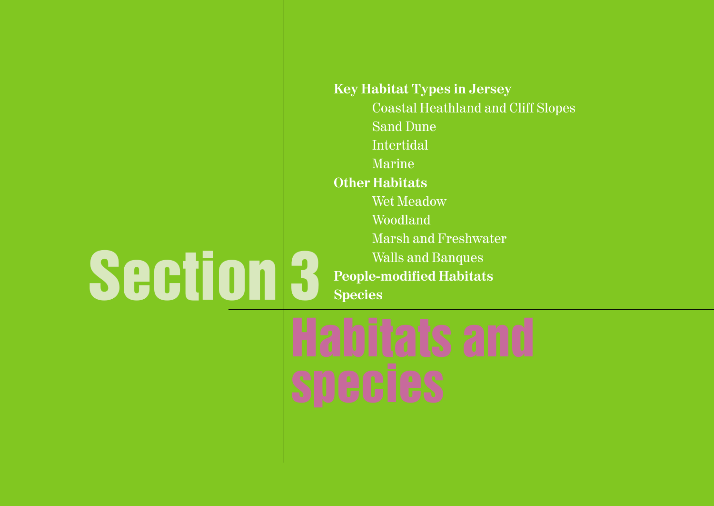**Section 3 Key Habitat Types in Jersey** Coastal Heathland and Cliff Slopes Sand Dune Intertidal Marine **Other Habitats** Wet Meadow Woodland Marsh and Freshwater Walls and Banques **People-modified Habitats Species**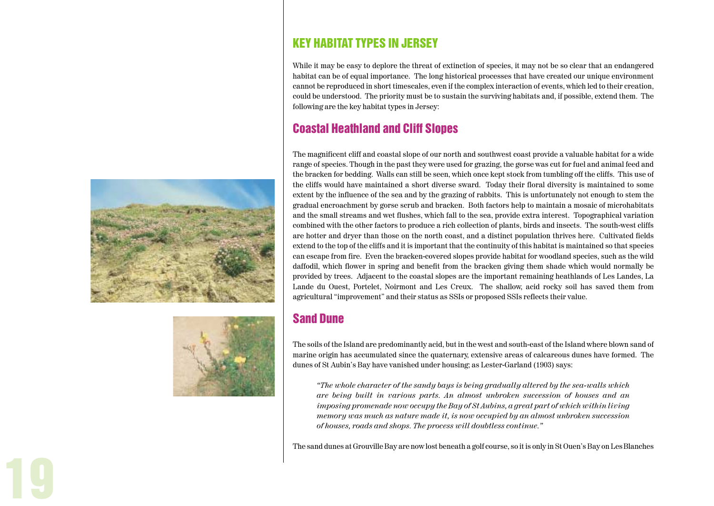

**19**



#### **KEY HABITAT TYPES IN JERSEY**

While it may be easy to deplore the threat of extinction of species, it may not be so clear that an endangered habitat can be of equal importance. The long historical processes that have created our unique environment cannot be reproduced in short timescales, even if the complex interaction of events, which led to their creation, could be understood. The priority must be to sustain the surviving habitats and, if possible, extend them. The following are the key habitat types in Jersey:

#### **Coastal Heathland and Cliff Slopes**

The magnificent cliff and coastal slope of our north and southwest coast provide a valuable habitat for a wide range of species. Though in the past they were used for grazing, the gorse was cut for fuel and animal feed and the bracken for bedding. Walls can still be seen, which once kept stock from tumbling off the cliffs. This use of the cliffs would have maintained a short diverse sward. Today their floral diversity is maintained to some extent by the influence of the sea and by the grazing of rabbits. This is unfortunately not enough to stem the gradual encroachment by gorse scrub and bracken. Both factors help to maintain a mosaic of microhabitats and the small streams and wet flushes, which fall to the sea, provide extra interest. Topographical variation combined with the other factors to produce a rich collection of plants, birds and insects. The south-west cliffs are hotter and dryer than those on the north coast, and a distinct population thrives here. Cultivated fields extend to the top of the cliffs and it is important that the continuity of this habitat is maintained so that species can escape from fire. Even the bracken-covered slopes provide habitat for woodland species, such as the wild daffodil, which flower in spring and benefit from the bracken giving them shade which would normally be provided by trees. Adjacent to the coastal slopes are the important remaining heathlands of Les Landes, La Lande du Ouest, Portelet, Noirmont and Les Creux. The shallow, acid rocky soil has saved them from agricultural "improvement" and their status as SSIs or proposed SSIs reflects their value.

#### **Sand Dune**

The soils of the Island are predominantly acid, but in the west and south-east of the Island where blown sand of marine origin has accumulated since the quaternary, extensive areas of calcareous dunes have formed. The dunes of St Aubin's Bay have vanished under housing; as Lester-Garland (1903) says:

*"The whole character of the sandy bays is being gradually altered by the sea-walls which are being built in various parts. An almost unbroken succession of houses and an imposing promenade now occupy the Bay of St Aubins, a great part of which within living memory was much as nature made it, is now occupied by an almost unbroken succession of houses, roads and shops. The process will doubtless continue."*

The sand dunes at Grouville Bay are now lost beneath a golf course, so it is only in St Ouen's Bay on Les Blanches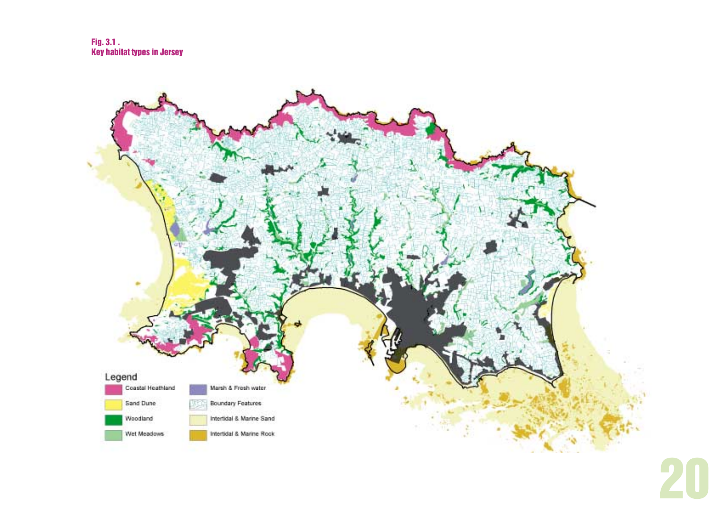**Fig. 3.1 . Key habitat types in Jersey**

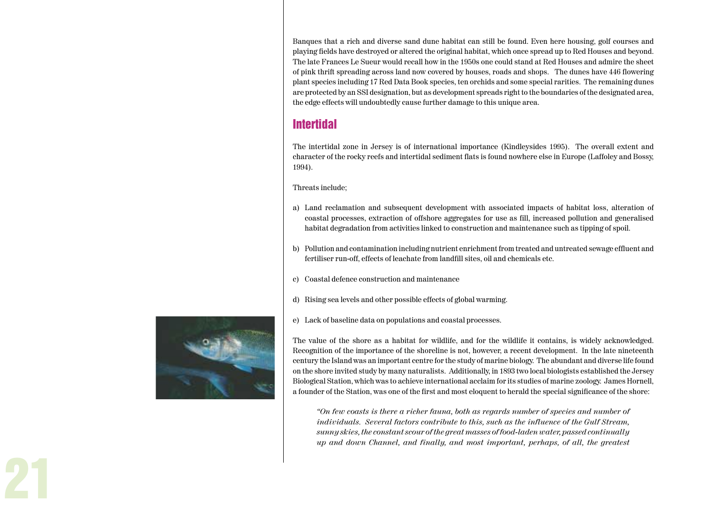Banques that a rich and diverse sand dune habitat can still be found. Even here housing, golf courses and playing fields have destroyed or altered the original habitat, which once spread up to Red Houses and beyond. The late Frances Le Sueur would recall how in the 1950s one could stand at Red Houses and admire the sheet of pink thrift spreading across land now covered by houses, roads and shops. The dunes have 446 flowering plant species including 17 Red Data Book species, ten orchids and some special rarities. The remaining dunes are protected by an SSI designation, but as development spreads right to the boundaries of the designated area, the edge effects will undoubtedly cause further damage to this unique area.

#### **Intertidal**

The intertidal zone in Jersey is of international importance (Kindleysides 1995). The overall extent and character of the rocky reefs and intertidal sediment flats is found nowhere else in Europe (Laffoley and Bossy, 1994).

Threats include;

- a) Land reclamation and subsequent development with associated impacts of habitat loss, alteration of coastal processes, extraction of offshore aggregates for use as fill, increased pollution and generalised habitat degradation from activities linked to construction and maintenance such as tipping of spoil.
- b) Pollution and contamination including nutrient enrichment from treated and untreated sewage effluent and fertiliser run-off, effects of leachate from landfill sites, oil and chemicals etc.
- c) Coastal defence construction and maintenance
- d) Rising sea levels and other possible effects of global warming.
- e) Lack of baseline data on populations and coastal processes.



**21**

The value of the shore as a habitat for wildlife, and for the wildlife it contains, is widely acknowledged. Recognition of the importance of the shoreline is not, however, a recent development. In the late nineteenth century the Island was an important centre for the study of marine biology. The abundant and diverse life found on the shore invited study by many naturalists. Additionally, in 1893 two local biologists established the Jersey Biological Station, which was to achieve international acclaim for its studies of marine zoology. James Hornell, a founder of the Station, was one of the first and most eloquent to herald the special significance of the shore:

*"On few coasts is there a richer fauna, both as regards number of species and number of individuals. Several factors contribute to this, such as the influence of the Gulf Stream, sunny skies, the constant scour of the great masses of food-laden water, passed continually up and down Channel, and finally, and most important, perhaps, of all, the greatest*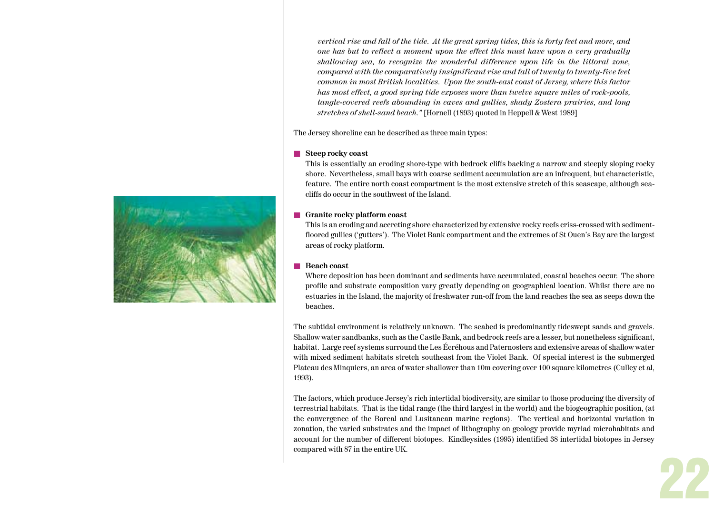*vertical rise and fall of the tide. At the great spring tides, this is forty feet and more, and one has but to reflect a moment upon the effect this must have upon a very gradually shallowing sea, to recognize the wonderful difference upon life in the littoral zone, compared with the comparatively insignificant rise and fall of twenty to twenty-five feet common in most British localities. Upon the south-east coast of Jersey, where this factor has most effect, a good spring tide exposes more than twelve square miles of rock-pools, tangle-covered reefs abounding in caves and gullies, shady Zostera prairies, and long stretches of shell-sand beach."* [Hornell (1893) quoted in Heppell & West 1989]

The Jersey shoreline can be described as three main types:

#### ■ **Steep rocky coast**

This is essentially an eroding shore-type with bedrock cliffs backing a narrow and steeply sloping rocky shore. Nevertheless, small bays with coarse sediment accumulation are an infrequent, but characteristic, feature. The entire north coast compartment is the most extensive stretch of this seascape, although seacliffs do occur in the southwest of the Island.

#### ■ **Granite rocky platform coast**

This is an eroding and accreting shore characterized by extensive rocky reefs criss-crossed with sedimentfloored gullies ('gutters'). The Violet Bank compartment and the extremes of St Ouen's Bay are the largest areas of rocky platform.

#### **Beach coast**

Where deposition has been dominant and sediments have accumulated, coastal beaches occur. The shore profile and substrate composition vary greatly depending on geographical location. Whilst there are no estuaries in the Island, the majority of freshwater run-off from the land reaches the sea as seeps down the beaches.

The subtidal environment is relatively unknown. The seabed is predominantly tideswept sands and gravels. Shallow water sandbanks, such as the Castle Bank, and bedrock reefs are a lesser, but nonetheless significant, habitat. Large reef systems surround the Les Écréhous and Paternosters and extensive areas of shallow water with mixed sediment habitats stretch southeast from the Violet Bank. Of special interest is the submerged Plateau des Minquiers, an area of water shallower than 10m covering over 100 square kilometres (Culley et al, 1993).

The factors, which produce Jersey's rich intertidal biodiversity, are similar to those producing the diversity of terrestrial habitats. That is the tidal range (the third largest in the world) and the biogeographic position, (at the convergence of the Boreal and Lusitanean marine regions). The vertical and horizontal variation in zonation, the varied substrates and the impact of lithography on geology provide myriad microhabitats and account for the number of different biotopes. Kindleysides (1995) identified 38 intertidal biotopes in Jersey compared with 87 in the entire UK.



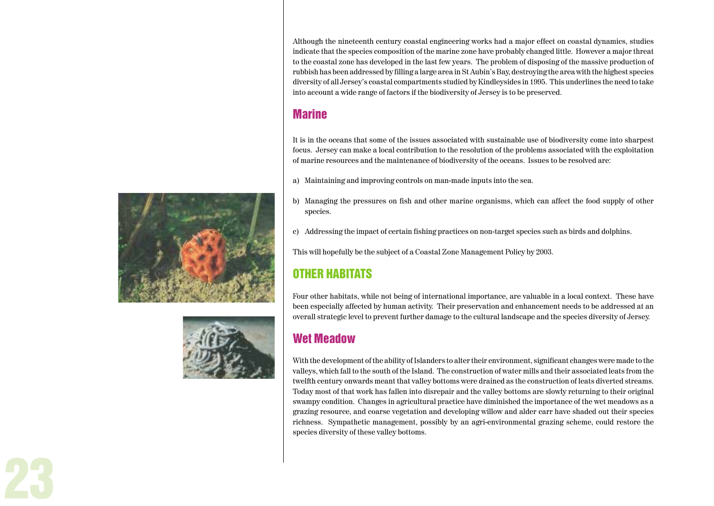Although the nineteenth century coastal engineering works had a major effect on coastal dynamics, studies indicate that the species composition of the marine zone have probably changed little. However a major threat to the coastal zone has developed in the last few years. The problem of disposing of the massive production of rubbish has been addressed by filling a large area in St Aubin's Bay, destroying the area with the highest species diversity of all Jersey's coastal compartments studied by Kindleysides in 1995. This underlines the need to take into account a wide range of factors if the biodiversity of Jersey is to be preserved.

#### **Marine**

It is in the oceans that some of the issues associated with sustainable use of biodiversity come into sharpest focus. Jersey can make a local contribution to the resolution of the problems associated with the exploitation of marine resources and the maintenance of biodiversity of the oceans. Issues to be resolved are:

- a) Maintaining and improving controls on man-made inputs into the sea.
- b) Managing the pressures on fish and other marine organisms, which can affect the food supply of other species.
- c) Addressing the impact of certain fishing practices on non-target species such as birds and dolphins.

This will hopefully be the subject of a Coastal Zone Management Policy by 2003.

## **OTHER HABITATS**

Four other habitats, while not being of international importance, are valuable in a local context. These have been especially affected by human activity. Their preservation and enhancement needs to be addressed at an overall strategic level to prevent further damage to the cultural landscape and the species diversity of Jersey.

#### **Wet Meadow**

With the development of the ability of Islanders to alter their environment, significant changes were made to the valleys, which fall to the south of the Island. The construction of water mills and their associated leats from the twelfth century onwards meant that valley bottoms were drained as the construction of leats diverted streams. Today most of that work has fallen into disrepair and the valley bottoms are slowly returning to their original swampy condition. Changes in agricultural practice have diminished the importance of the wet meadows as a grazing resource, and coarse vegetation and developing willow and alder carr have shaded out their species richness. Sympathetic management, possibly by an agri-environmental grazing scheme, could restore the species diversity of these valley bottoms.





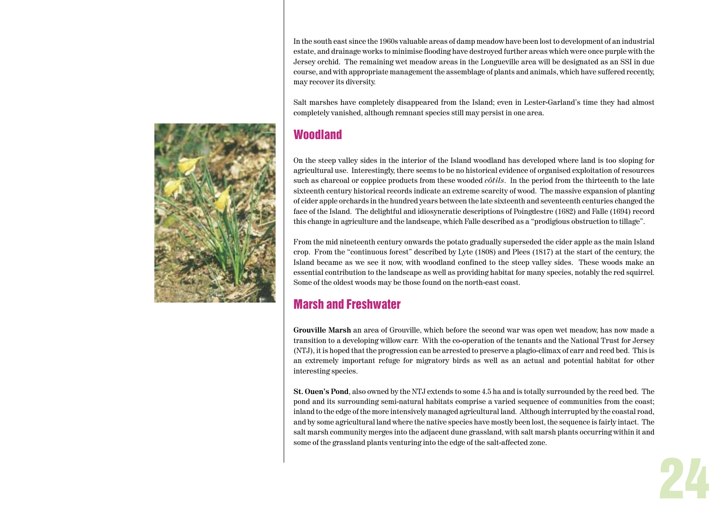In the south east since the 1960s valuable areas of damp meadow have been lost to development of an industrial estate, and drainage works to minimise flooding have destroyed further areas which were once purple with the Jersey orchid. The remaining wet meadow areas in the Longueville area will be designated as an SSI in due course, and with appropriate management the assemblage of plants and animals, which have suffered recently, may recover its diversity.

Salt marshes have completely disappeared from the Island; even in Lester-Garland's time they had almost completely vanished, although remnant species still may persist in one area.

#### **Woodland**

On the steep valley sides in the interior of the Island woodland has developed where land is too sloping for agricultural use. Interestingly, there seems to be no historical evidence of organised exploitation of resources such as charcoal or coppice products from these wooded *côtils*. In the period from the thirteenth to the late sixteenth century historical records indicate an extreme scarcity of wood. The massive expansion of planting of cider apple orchards in the hundred years between the late sixteenth and seventeenth centuries changed the face of the Island. The delightful and idiosyncratic descriptions of Poingdestre (1682) and Falle (1694) record this change in agriculture and the landscape, which Falle described as a "prodigious obstruction to tillage".

From the mid nineteenth century onwards the potato gradually superseded the cider apple as the main Island crop. From the "continuous forest" described by Lyte (1808) and Plees (1817) at the start of the century, the Island became as we see it now, with woodland confined to the steep valley sides. These woods make an essential contribution to the landscape as well as providing habitat for many species, notably the red squirrel. Some of the oldest woods may be those found on the north-east coast.

## **Marsh and Freshwater**

**Grouville Marsh** an area of Grouville, which before the second war was open wet meadow, has now made a transition to a developing willow carr. With the co-operation of the tenants and the National Trust for Jersey (NTJ), it is hoped that the progression can be arrested to preserve a plagio-climax of carr and reed bed. This is an extremely important refuge for migratory birds as well as an actual and potential habitat for other interesting species.

**St. Ouen's Pond**, also owned by the NTJ extends to some 4.5 ha and is totally surrounded by the reed bed. The pond and its surrounding semi-natural habitats comprise a varied sequence of communities from the coast; inland to the edge of the more intensively managed agricultural land. Although interrupted by the coastal road, and by some agricultural land where the native species have mostly been lost, the sequence is fairly intact. The salt marsh community merges into the adjacent dune grassland, with salt marsh plants occurring within it and some of the grassland plants venturing into the edge of the salt-affected zone.

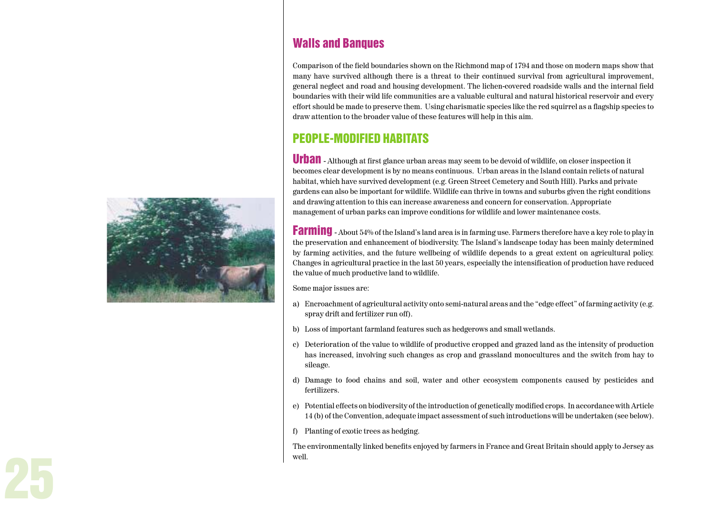

#### **Walls and Banques**

Comparison of the field boundaries shown on the Richmond map of 1794 and those on modern maps show that many have survived although there is a threat to their continued survival from agricultural improvement, general neglect and road and housing development. The lichen-covered roadside walls and the internal field boundaries with their wild life communities are a valuable cultural and natural historical reservoir and every effort should be made to preserve them. Using charismatic species like the red squirrel as a flagship species to draw attention to the broader value of these features will help in this aim.

#### **PEOPLE-MODIFIED HABITATS**

**Urban** - Although at first glance urban areas may seem to be devoid of wildlife, on closer inspection it becomes clear development is by no means continuous. Urban areas in the Island contain relicts of natural habitat, which have survived development (e.g. Green Street Cemetery and South Hill). Parks and private gardens can also be important for wildlife. Wildlife can thrive in towns and suburbs given the right conditions and drawing attention to this can increase awareness and concern for conservation. Appropriate management of urban parks can improve conditions for wildlife and lower maintenance costs.

**Farming** - About 54% of the Island's land area is in farming use. Farmers therefore have a key role to play in the preservation and enhancement of biodiversity. The Island's landscape today has been mainly determined by farming activities, and the future wellbeing of wildlife depends to a great extent on agricultural policy. Changes in agricultural practice in the last 50 years, especially the intensification of production have reduced the value of much productive land to wildlife.

Some major issues are:

- a) Encroachment of agricultural activity onto semi-natural areas and the "edge effect" of farming activity (e.g. spray drift and fertilizer run off).
- b) Loss of important farmland features such as hedgerows and small wetlands.
- c) Deterioration of the value to wildlife of productive cropped and grazed land as the intensity of production has increased, involving such changes as crop and grassland monocultures and the switch from hay to sileage.
- d) Damage to food chains and soil, water and other ecosystem components caused by pesticides and fertilizers.
- e) Potential effects on biodiversity of the introduction of genetically modified crops. In accordance with Article 14 (b) of the Convention, adequate impact assessment of such introductions will be undertaken (see below).
- f) Planting of exotic trees as hedging.

The environmentally linked benefits enjoyed by farmers in France and Great Britain should apply to Jersey as well.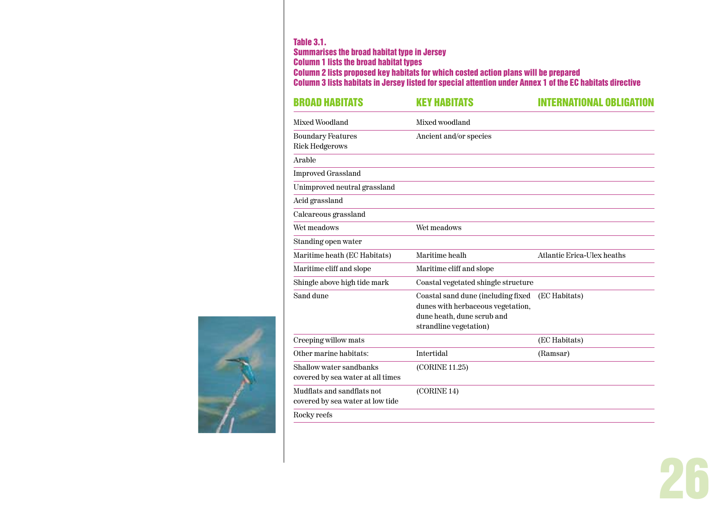#### **Table 3.1. Summarises the broad habitat type in Jersey Column 1 lists the broad habitat types Column 2 lists proposed key habitats for which costed action plans will be prepared Column 3 lists habitats in Jersey listed for special attention under Annex 1 of the EC habitats directive**

| <b>BROAD HABITATS</b>                                          | <b>KEY HABITATS</b>                                                                                                             | NTERNATIONAL OBLIGATION    |
|----------------------------------------------------------------|---------------------------------------------------------------------------------------------------------------------------------|----------------------------|
| Mixed Woodland                                                 | Mixed woodland                                                                                                                  |                            |
| <b>Boundary Features</b><br><b>Rick Hedgerows</b>              | Ancient and/or species                                                                                                          |                            |
| Arable                                                         |                                                                                                                                 |                            |
| <b>Improved Grassland</b>                                      |                                                                                                                                 |                            |
| Unimproved neutral grassland                                   |                                                                                                                                 |                            |
| Acid grassland                                                 |                                                                                                                                 |                            |
| Calcareous grassland                                           |                                                                                                                                 |                            |
| Wet meadows                                                    | Wet meadows                                                                                                                     |                            |
| Standing open water                                            |                                                                                                                                 |                            |
| Maritime heath (EC Habitats)                                   | Maritime healh                                                                                                                  | Atlantic Erica-Ulex heaths |
| Maritime cliff and slope                                       | Maritime cliff and slope                                                                                                        |                            |
| Shingle above high tide mark                                   | Coastal vegetated shingle structure                                                                                             |                            |
| Sand dune                                                      | Coastal sand dune (including fixed<br>dunes with herbaceous vegetation,<br>dune heath, dune scrub and<br>strandline vegetation) | (EC Habitats)              |
| Creeping willow mats                                           |                                                                                                                                 | (EC Habitats)              |
| Other marine habitats:                                         | Intertidal                                                                                                                      | (Ramsar)                   |
| Shallow water sandbanks<br>covered by sea water at all times   | (CORINE 11.25)                                                                                                                  |                            |
| Mudflats and sandflats not<br>covered by sea water at low tide | (CORINE 14)                                                                                                                     |                            |
| Rocky reefs                                                    |                                                                                                                                 |                            |

**26**

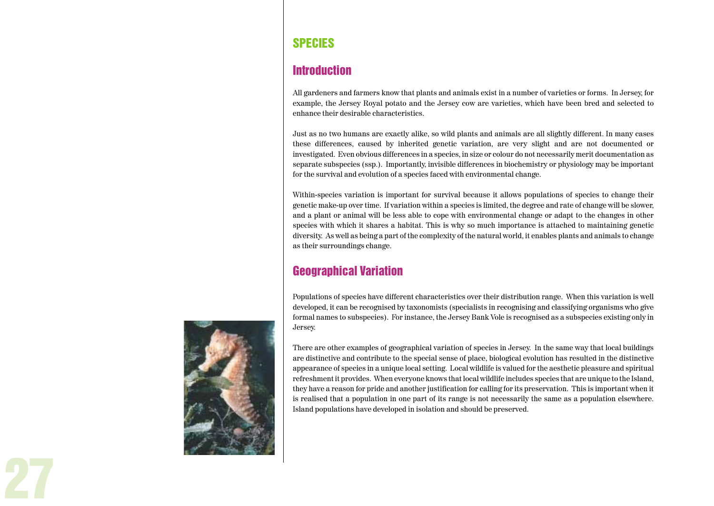#### **SPECIES**

#### **Introduction**

All gardeners and farmers know that plants and animals exist in a number of varieties or forms. In Jersey, for example, the Jersey Royal potato and the Jersey cow are varieties, which have been bred and selected to enhance their desirable characteristics.

Just as no two humans are exactly alike, so wild plants and animals are all slightly different. In many cases these differences, caused by inherited genetic variation, are very slight and are not documented or investigated. Even obvious differences in a species, in size or colour do not necessarily merit documentation as separate subspecies (ssp.). Importantly, invisible differences in biochemistry or physiology may be important for the survival and evolution of a species faced with environmental change.

Within-species variation is important for survival because it allows populations of species to change their genetic make-up over time. If variation within a species is limited, the degree and rate of change will be slower, and a plant or animal will be less able to cope with environmental change or adapt to the changes in other species with which it shares a habitat. This is why so much importance is attached to maintaining genetic diversity. As well as being a part of the complexity of the natural world, it enables plants and animals to change as their surroundings change.

## **Geographical Variation**

Populations of species have different characteristics over their distribution range. When this variation is well developed, it can be recognised by taxonomists (specialists in recognising and classifying organisms who give formal names to subspecies). For instance, the Jersey Bank Vole is recognised as a subspecies existing only in Jersey.

There are other examples of geographical variation of species in Jersey. In the same way that local buildings are distinctive and contribute to the special sense of place, biological evolution has resulted in the distinctive appearance of species in a unique local setting. Local wildlife is valued for the aesthetic pleasure and spiritual refreshment it provides. When everyone knows that local wildlife includes species that are unique to the Island, they have a reason for pride and another justification for calling for its preservation. This is important when it is realised that a population in one part of its range is not necessarily the same as a population elsewhere. Island populations have developed in isolation and should be preserved.

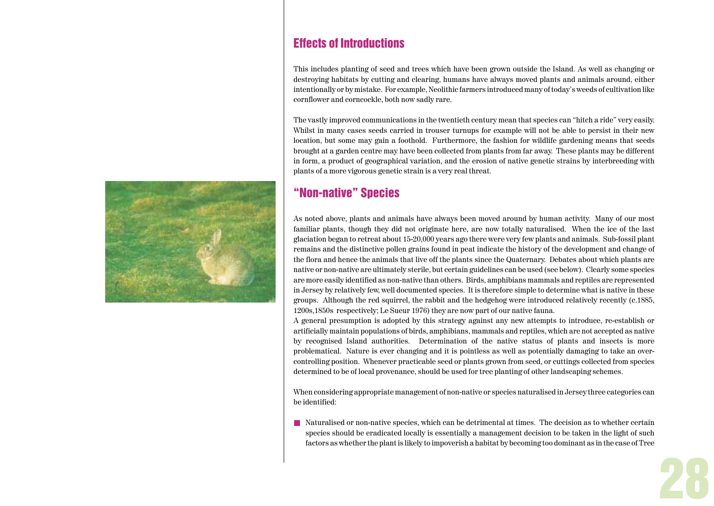

#### **Effects of Introductions**

This includes planting of seed and trees which have been grown outside the Island. As well as changing or destroying habitats by cutting and clearing, humans have always moved plants and animals around, either intentionally or by mistake. For example, Neolithic farmers introduced many of today's weeds of cultivation like cornflower and corncockle, both now sadly rare.

The vastly improved communications in the twentieth century mean that species can "hitch a ride" very easily. Whilst in many cases seeds carried in trouser turnups for example will not be able to persist in their new location, but some may gain a foothold. Furthermore, the fashion for wildlife gardening means that seeds brought at a garden centre may have been collected from plants from far away. These plants may be different in form, a product of geographical variation, and the erosion of native genetic strains by interbreeding with plants of a more vigorous genetic strain is a very real threat.

#### **"Non-native" Species**

As noted above, plants and animals have always been moved around by human activity. Many of our most familiar plants, though they did not originate here, are now totally naturalised. When the ice of the last glaciation began to retreat about 15-20,000 years ago there were very few plants and animals. Sub-fossil plant remains and the distinctive pollen grains found in peat indicate the history of the development and change of the flora and hence the animals that live off the plants since the Quaternary. Debates about which plants are native or non-native are ultimately sterile, but certain guidelines can be used (see below). Clearly some species are more easily identified as non-native than others. Birds, amphibians mammals and reptiles are represented in Jersey by relatively few, well documented species. It is therefore simple to determine what is native in these groups. Although the red squirrel, the rabbit and the hedgehog were introduced relatively recently (c.1885, 1200s,1850s respectively; Le Sueur 1976) they are now part of our native fauna.

A general presumption is adopted by this strategy against any new attempts to introduce, re-establish or artificially maintain populations of birds, amphibians, mammals and reptiles, which are not accepted as native by recognised Island authorities. Determination of the native status of plants and insects is more problematical. Nature is ever changing and it is pointless as well as potentially damaging to take an overcontrolling position. Whenever practicable seed or plants grown from seed, or cuttings collected from species determined to be of local provenance, should be used for tree planting of other landscaping schemes.

When considering appropriate management of non-native or species naturalised in Jersey three categories can be identified:

■ Naturalised or non-native species, which can be detrimental at times. The decision as to whether certain species should be eradicated locally is essentially a management decision to be taken in the light of such factors as whether the plant is likely to impoverish a habitat by becoming too dominant as in the case of Tree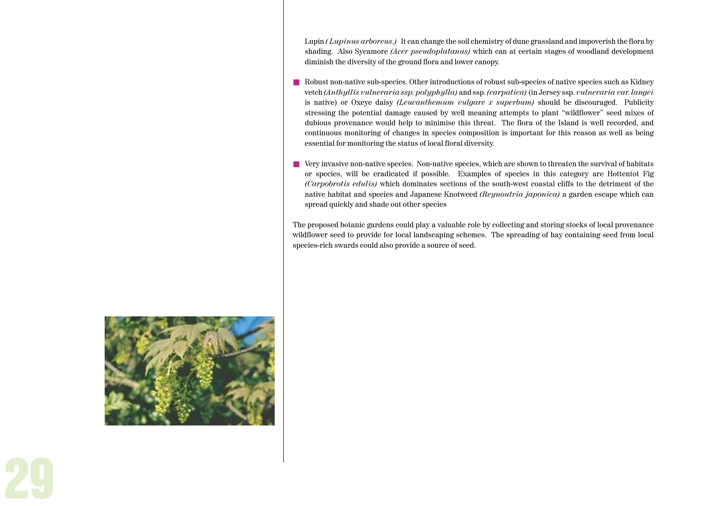Lupin *( Lupinus arboreus.)* It can change the soil chemistry of dune grassland and impoverish the flora by shading. Also Sycamore *(Acer pseudoplatanus)* which can at certain stages of woodland development diminish the diversity of the ground flora and lower canopy.

- Robust non-native sub-species. Other introductions of robust sub-species of native species such as Kidney vetch *(Anthyllis vulneraria ssp. polyphylla)* and ssp. *(carpatica)*(in Jersey ssp. *vulneraria var. langei* is native) or Oxeye daisy *(Leucanthemum vulgare x superbum)* should be discouraged. Publicity stressing the potential damage caused by well meaning attempts to plant "wildflower" seed mixes of dubious provenance would help to minimise this threat. The flora of the Island is well recorded, and continuous monitoring of changes in species composition is important for this reason as well as being essential for monitoring the status of local floral diversity.
- Very invasive non-native species. Non-native species, which are shown to threaten the survival of habitats or species, will be eradicated if possible. Examples of species in this category are Hottentot Fig *(Carpobrotis edulis)* which dominates sections of the south-west coastal cliffs to the detriment of the native habitat and species and Japanese Knotweed *(Reynoutria japonica)* a garden escape which can spread quickly and shade out other species

The proposed botanic gardens could play a valuable role by collecting and storing stocks of local provenance wildflower seed to provide for local landscaping schemes. The spreading of hay containing seed from local species-rich swards could also provide a source of seed.

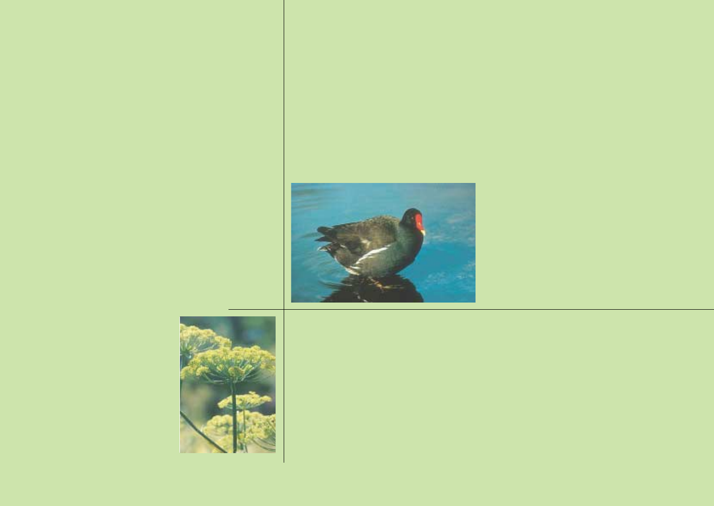

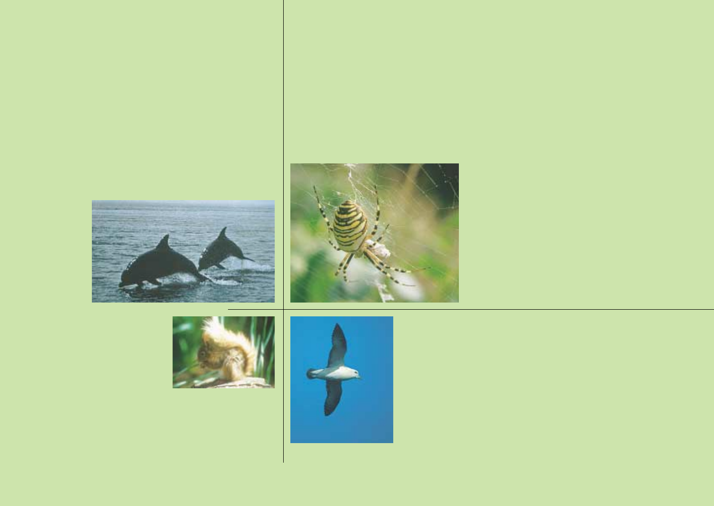



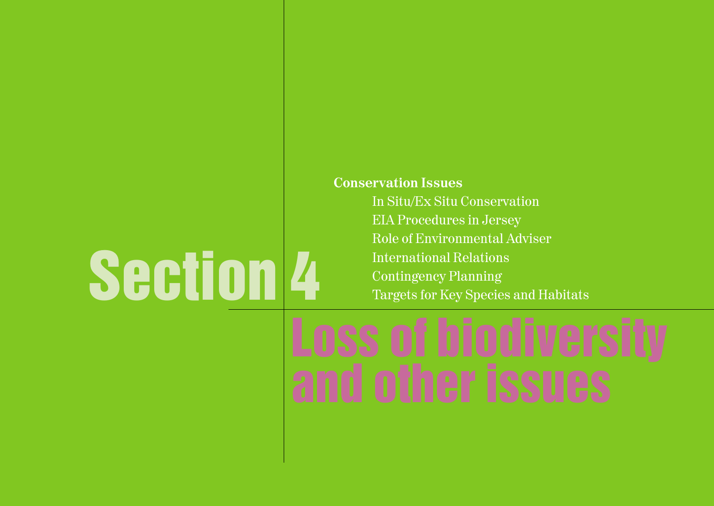# **Section 4**

**Conservation Issues** In Situ/Ex Situ Conservation EIA Procedures in Jersey Role of Environmental Adviser International Relations Contingency Planning Targets for Key Species and Habitats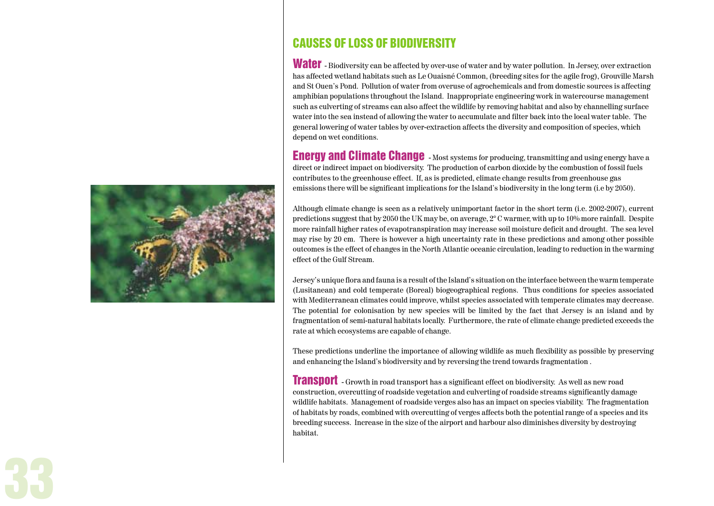

#### **CAUSES OF LOSS OF BIODIVERSITY**

Water - Biodiversity can be affected by over-use of water and by water pollution. In Jersey, over extraction has affected wetland habitats such as Le Ouaisné Common, (breeding sites for the agile frog), Grouville Marsh and St Ouen's Pond. Pollution of water from overuse of agrochemicals and from domestic sources is affecting amphibian populations throughout the Island. Inappropriate engineering work in watercourse management such as culverting of streams can also affect the wildlife by removing habitat and also by channelling surface water into the sea instead of allowing the water to accumulate and filter back into the local water table. The general lowering of water tables by over-extraction affects the diversity and composition of species, which depend on wet conditions.

**Energy and Climate Change** - Most systems for producing, transmitting and using energy have a direct or indirect impact on biodiversity. The production of carbon dioxide by the combustion of fossil fuels contributes to the greenhouse effect. If, as is predicted, climate change results from greenhouse gas emissions there will be significant implications for the Island's biodiversity in the long term (i.e by 2050).

Although climate change is seen as a relatively unimportant factor in the short term (i.e. 2002-2007), current predictions suggest that by 2050 the UK may be, on average, 2° C warmer, with up to 10% more rainfall. Despite more rainfall higher rates of evapotranspiration may increase soil moisture deficit and drought. The sea level may rise by 20 cm. There is however a high uncertainty rate in these predictions and among other possible outcomes is the effect of changes in the North Atlantic oceanic circulation, leading to reduction in the warming effect of the Gulf Stream.

Jersey's unique flora and fauna is a result of the Island's situation on the interface between the warm temperate (Lusitanean) and cold temperate (Boreal) biogeographical regions. Thus conditions for species associated with Mediterranean climates could improve, whilst species associated with temperate climates may decrease. The potential for colonisation by new species will be limited by the fact that Jersey is an island and by fragmentation of semi-natural habitats locally. Furthermore, the rate of climate change predicted exceeds the rate at which ecosystems are capable of change.

These predictions underline the importance of allowing wildlife as much flexibility as possible by preserving and enhancing the Island's biodiversity and by reversing the trend towards fragmentation .

**Transport** - Growth in road transport has a significant effect on biodiversity. As well as new road construction, overcutting of roadside vegetation and culverting of roadside streams significantly damage wildlife habitats. Management of roadside verges also has an impact on species viability. The fragmentation of habitats by roads, combined with overcutting of verges affects both the potential range of a species and its breeding success. Increase in the size of the airport and harbour also diminishes diversity by destroying habitat.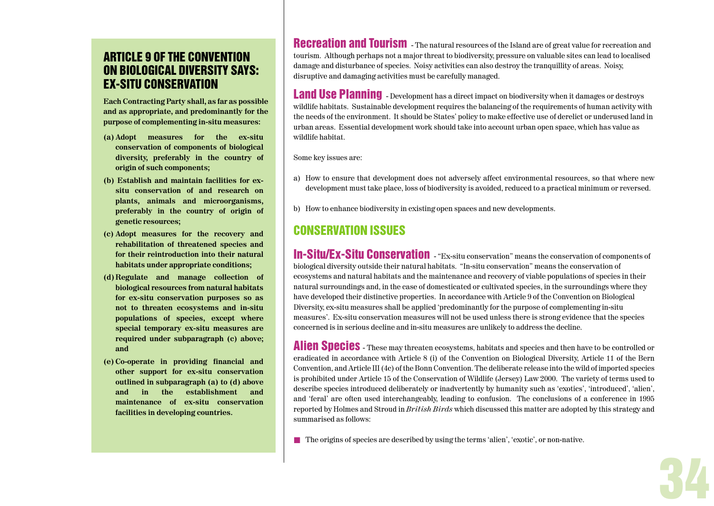#### **ARTICLE 9 OF THE CONVENTION ON BIOLOGICAL DIVERSITY SAYS: EX-SITU CONSERVATION**

**Each Contracting Party shall, as far as possible and as appropriate, and predominantly for the purpose of complementing in-situ measures:** 

- **(a) Adopt measures for the ex-situ conservation of components of biological diversity, preferably in the country of origin of such components;**
- **(b) Establish and maintain facilities for exsitu conservation of and research on plants, animals and microorganisms, preferably in the country of origin of genetic resources;**
- **(c) Adopt measures for the recovery and rehabilitation of threatened species and for their reintroduction into their natural habitats under appropriate conditions;**
- **(d) Regulate and manage collection of biological resources from natural habitats for ex-situ conservation purposes so as not to threaten ecosystems and in-situ populations of species, except where special temporary ex-situ measures are required under subparagraph (c) above; and**
- **(e) Co-operate in providing financial and other support for ex-situ conservation outlined in subparagraph (a) to (d) above and in the establishment and maintenance of ex-situ conservation facilities in developing countries.**

**Recreation and Tourism** - The natural resources of the Island are of great value for recreation and tourism. Although perhaps not a major threat to biodiversity, pressure on valuable sites can lead to localised damage and disturbance of species. Noisy activities can also destroy the tranquillity of areas. Noisy, disruptive and damaging activities must be carefully managed.

**Land Use Planning** - Development has a direct impact on biodiversity when it damages or destroys wildlife habitats. Sustainable development requires the balancing of the requirements of human activity with the needs of the environment. It should be States' policy to make effective use of derelict or underused land in urban areas. Essential development work should take into account urban open space, which has value as wildlife habitat.

Some key issues are:

- a) How to ensure that development does not adversely affect environmental resources, so that where new development must take place, loss of biodiversity is avoided, reduced to a practical minimum or reversed.
- b) How to enhance biodiversity in existing open spaces and new developments.

## **CONSERVATION ISSUES**

**In-Situ/Ex-Situ Conservation** - "Ex-situ conservation" means the conservation of components of biological diversity outside their natural habitats. "In-situ conservation" means the conservation of ecosystems and natural habitats and the maintenance and recovery of viable populations of species in their natural surroundings and, in the case of domesticated or cultivated species, in the surroundings where they have developed their distinctive properties. In accordance with Article 9 of the Convention on Biological Diversity, ex-situ measures shall be applied 'predominantly for the purpose of complementing in-situ measures'. Ex-situ conservation measures will not be used unless there is strong evidence that the species concerned is in serious decline and in-situ measures are unlikely to address the decline.

Alien Species - These may threaten ecosystems, habitats and species and then have to be controlled or eradicated in accordance with Article 8 (i) of the Convention on Biological Diversity, Article 11 of the Bern Convention, and Article III (4c) of the Bonn Convention. The deliberate release into the wild of imported species is prohibited under Article 15 of the Conservation of Wildlife (Jersey) Law 2000. The variety of terms used to describe species introduced deliberately or inadvertently by humanity such as 'exotics', 'introduced', 'alien', and 'feral' are often used interchangeably, leading to confusion. The conclusions of a conference in 1995 reported by Holmes and Stroud in *British Birds* which discussed this matter are adopted by this strategy and summarised as follows:

■ The origins of species are described by using the terms 'alien', 'exotic', or non-native.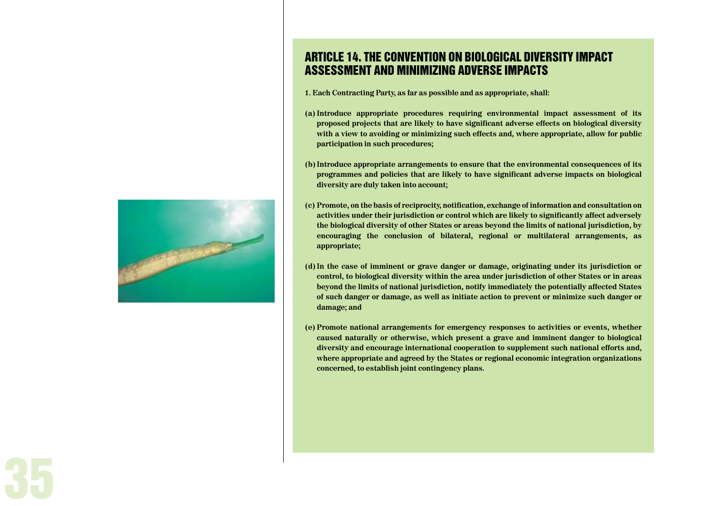

#### **ARTICLE 14. THE CONVENTION ON BIOLOGICAL DIVERSITY IMPACT ASSESSMENT AND MINIMIZING ADVERSE IMPACTS**

**1. Each Contracting Party, as far as possible and as appropriate, shall:** 

- **(a) Introduce appropriate procedures requiring environmental impact assessment of its proposed projects that are likely to have significant adverse effects on biological diversity with a view to avoiding or minimizing such effects and, where appropriate, allow for public participation in such procedures;**
- **(b) Introduce appropriate arrangements to ensure that the environmental consequences of its programmes and policies that are likely to have significant adverse impacts on biological diversity are duly taken into account;**
- **(c) Promote, on the basis of reciprocity, notification, exchange of information and consultation on activities under their jurisdiction or control which are likely to significantly affect adversely the biological diversity of other States or areas beyond the limits of national jurisdiction, by encouraging the conclusion of bilateral, regional or multilateral arrangements, as appropriate;**
- **(d) In the case of imminent or grave danger or damage, originating under its jurisdiction or control, to biological diversity within the area under jurisdiction of other States or in areas beyond the limits of national jurisdiction, notify immediately the potentially affected States of such danger or damage, as well as initiate action to prevent or minimize such danger or damage; and**
- **(e) Promote national arrangements for emergency responses to activities or events, whether caused naturally or otherwise, which present a grave and imminent danger to biological diversity and encourage international cooperation to supplement such national efforts and, where appropriate and agreed by the States or regional economic integration organizations concerned, to establish joint contingency plans.**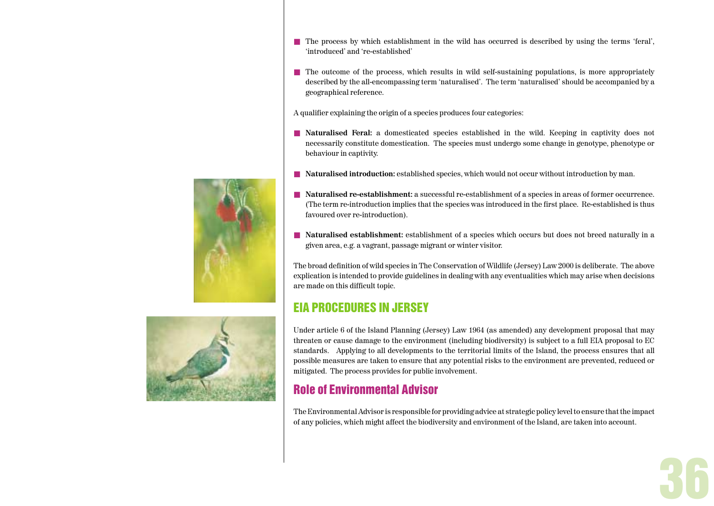- The process by which establishment in the wild has occurred is described by using the terms 'feral', 'introduced' and 're-established'
- The outcome of the process, which results in wild self-sustaining populations, is more appropriately described by the all-encompassing term 'naturalised'. The term 'naturalised' should be accompanied by a geographical reference.

A qualifier explaining the origin of a species produces four categories:

- **Naturalised Feral:** a domesticated species established in the wild. Keeping in captivity does not necessarily constitute domestication. The species must undergo some change in genotype, phenotype or behaviour in captivity.
- **Naturalised introduction:** established species, which would not occur without introduction by man.
- **Naturalised re-establishment:** a successful re-establishment of a species in areas of former occurrence. (The term re-introduction implies that the species was introduced in the first place. Re-established is thus favoured over re-introduction).
- **Naturalised establishment:** establishment of a species which occurs but does not breed naturally in a given area, e.g. a vagrant, passage migrant or winter visitor.

The broad definition of wild species in The Conservation of Wildlife (Jersey) Law 2000 is deliberate. The above explication is intended to provide guidelines in dealing with any eventualities which may arise when decisions are made on this difficult topic.

#### **EIA PROCEDURES IN JERSEY**

Under article 6 of the Island Planning (Jersey) Law 1964 (as amended) any development proposal that may threaten or cause damage to the environment (including biodiversity) is subject to a full EIA proposal to EC standards. Applying to all developments to the territorial limits of the Island, the process ensures that all possible measures are taken to ensure that any potential risks to the environment are prevented, reduced or mitigated. The process provides for public involvement.

#### **Role of Environmental Advisor**

The Environmental Advisor is responsible for providing advice at strategic policy level to ensure that the impact of any policies, which might affect the biodiversity and environment of the Island, are taken into account.

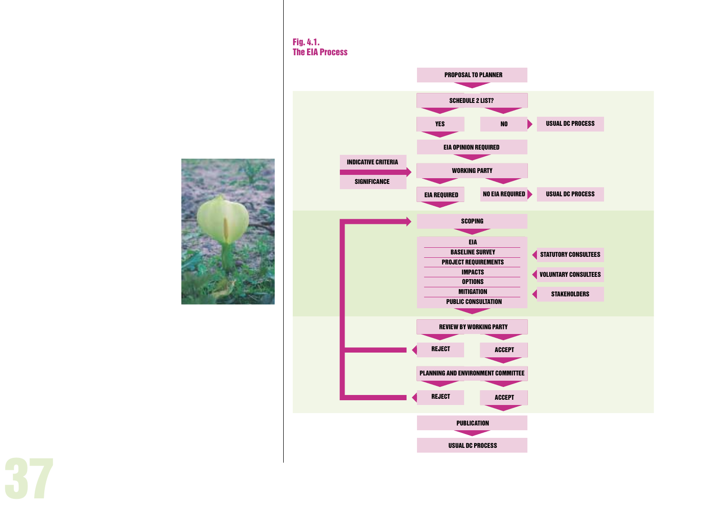



**Fig. 4.1.**

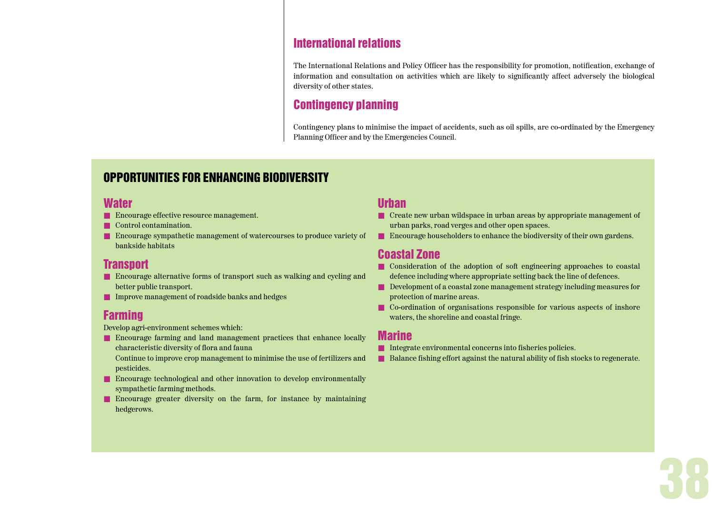#### **International relations**

The International Relations and Policy Officer has the responsibility for promotion, notification, exchange of information and consultation on activities which are likely to significantly affect adversely the biological diversity of other states.

#### **Contingency planning**

Contingency plans to minimise the impact of accidents, such as oil spills, are co-ordinated by the Emergency Planning Officer and by the Emergencies Council.

#### **OPPORTUNITIES FOR ENHANCING BIODIVERSITY**

#### **Water**

- Encourage effective resource management.
- Control contamination.
- Encourage sympathetic management of watercourses to produce variety of bankside habitats

#### **Transport**

- Encourage alternative forms of transport such as walking and cycling and better public transport.
- Improve management of roadside banks and hedges

#### **Farming**

Develop agri-environment schemes which:

■ Encourage farming and land management practices that enhance locally characteristic diversity of flora and fauna

Continue to improve crop management to minimise the use of fertilizers and pesticides.

- Encourage technological and other innovation to develop environmentally sympathetic farming methods.
- Encourage greater diversity on the farm, for instance by maintaining hedgerows.

#### **Urban**

- Create new urban wildspace in urban areas by appropriate management of urban parks, road verges and other open spaces.
- Encourage householders to enhance the biodiversity of their own gardens.

#### **Coastal Zone**

- Consideration of the adoption of soft engineering approaches to coastal defence including where appropriate setting back the line of defences.
- Development of a coastal zone management strategy including measures for protection of marine areas.
- Co-ordination of organisations responsible for various aspects of inshore waters, the shoreline and coastal fringe.

#### **Marine**

- Integrate environmental concerns into fisheries policies.
- Balance fishing effort against the natural ability of fish stocks to regenerate.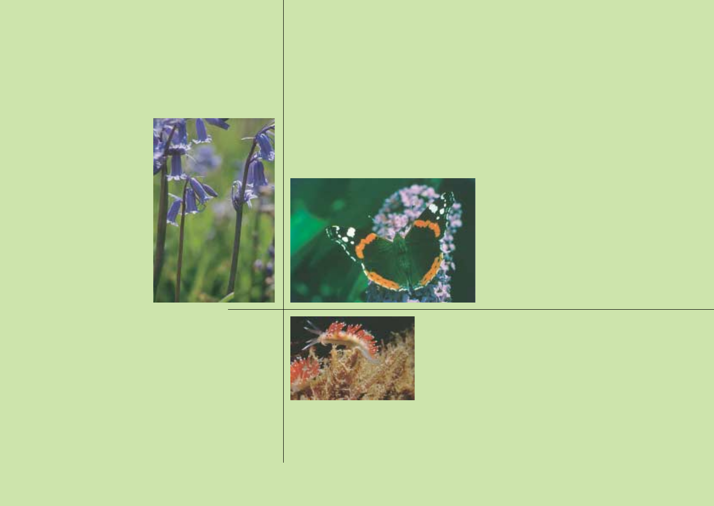



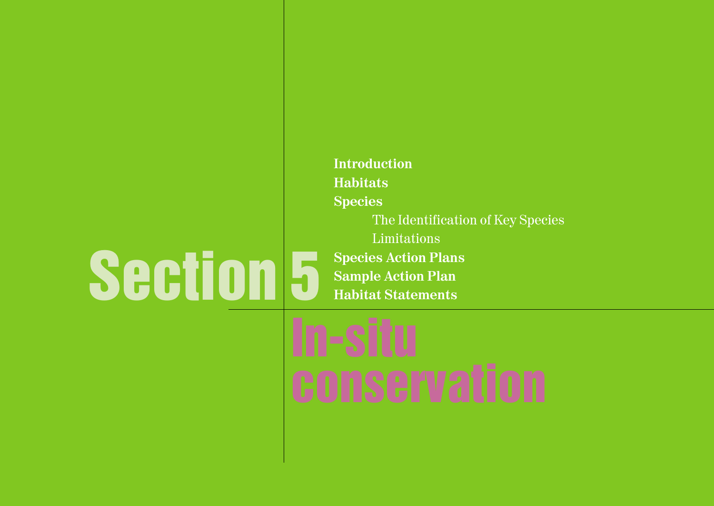## **Section 5 Habitats Species** The Identification of Key Species Limitations **Species Action Plans Sample Action Plan Habitat Statements**

**Introduction**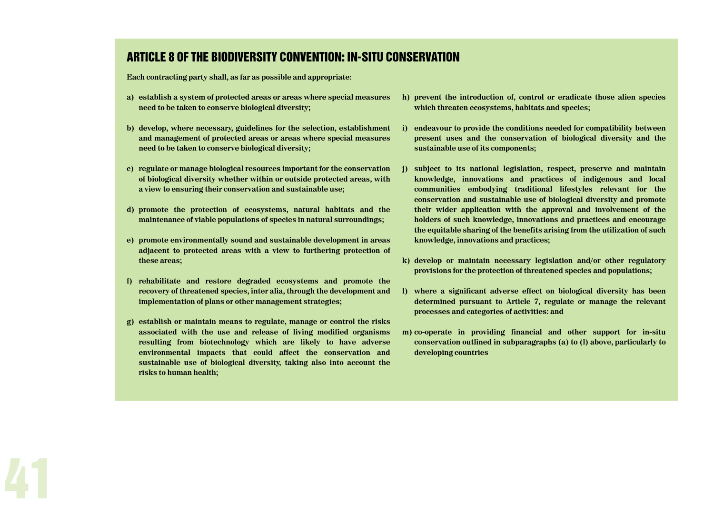#### **ARTICLE 8 OF THE BIODIVERSITY CONVENTION: IN-SITU CONSERVATION**

**Each contracting party shall, as far as possible and appropriate:** 

- **a) establish a system of protected areas or areas where special measures need to be taken to conserve biological diversity;**
- **b) develop, where necessary, guidelines for the selection, establishment and management of protected areas or areas where special measures need to be taken to conserve biological diversity;**
- **c) regulate or manage biological resources important for the conservation of biological diversity whether within or outside protected areas, with a view to ensuring their conservation and sustainable use;**
- **d) promote the protection of ecosystems, natural habitats and the maintenance of viable populations of species in natural surroundings;**
- **e) promote environmentally sound and sustainable development in areas adjacent to protected areas with a view to furthering protection of these areas;**
- **f) rehabilitate and restore degraded ecosystems and promote the recovery of threatened species, inter alia, through the development and implementation of plans or other management strategies;**
- **g) establish or maintain means to regulate, manage or control the risks associated with the use and release of living modified organisms resulting from biotechnology which are likely to have adverse environmental impacts that could affect the conservation and sustainable use of biological diversity, taking also into account the risks to human health;**

- **h) prevent the introduction of, control or eradicate those alien species which threaten ecosystems, habitats and species;**
- **i) endeavour to provide the conditions needed for compatibility between present uses and the conservation of biological diversity and the sustainable use of its components;**
- **j) subject to its national legislation, respect, preserve and maintain knowledge, innovations and practices of indigenous and local communities embodying traditional lifestyles relevant for the conservation and sustainable use of biological diversity and promote their wider application with the approval and involvement of the holders of such knowledge, innovations and practices and encourage the equitable sharing of the benefits arising from the utilization of such knowledge, innovations and practices;**
- **k) develop or maintain necessary legislation and/or other regulatory provisions for the protection of threatened species and populations;**
- **l) where a significant adverse effect on biological diversity has been determined pursuant to Article 7, regulate or manage the relevant processes and categories of activities: and**
- **m) co-operate in providing financial and other support for in-situ conservation outlined in subparagraphs (a) to (l) above, particularly to developing countries**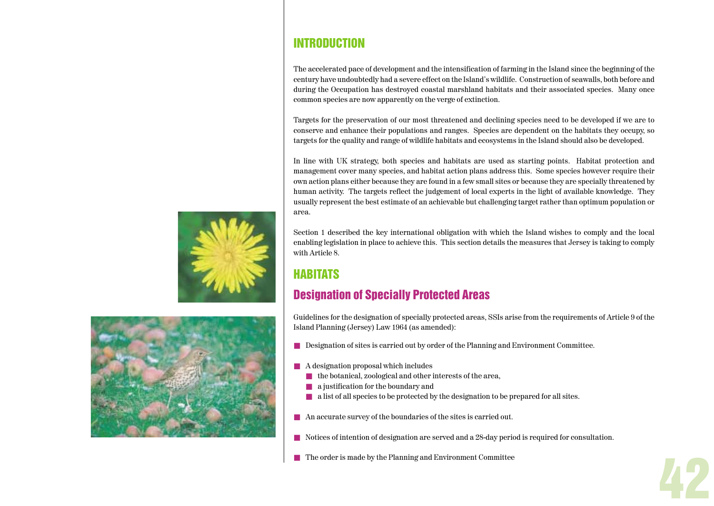#### **INTRODUCTION**

The accelerated pace of development and the intensification of farming in the Island since the beginning of the century have undoubtedly had a severe effect on the Island's wildlife. Construction of seawalls, both before and during the Occupation has destroyed coastal marshland habitats and their associated species. Many once common species are now apparently on the verge of extinction.

Targets for the preservation of our most threatened and declining species need to be developed if we are to conserve and enhance their populations and ranges. Species are dependent on the habitats they occupy, so targets for the quality and range of wildlife habitats and ecosystems in the Island should also be developed.

In line with UK strategy, both species and habitats are used as starting points. Habitat protection and management cover many species, and habitat action plans address this. Some species however require their own action plans either because they are found in a few small sites or because they are specially threatened by human activity. The targets reflect the judgement of local experts in the light of available knowledge. They usually represent the best estimate of an achievable but challenging target rather than optimum population or area.

Section 1 described the key international obligation with which the Island wishes to comply and the local enabling legislation in place to achieve this. This section details the measures that Jersey is taking to comply with Article 8.

#### **HABITATS**

#### **Designation of Specially Protected Areas**

Guidelines for the designation of specially protected areas, SSIs arise from the requirements of Article 9 of the Island Planning (Jersey) Law 1964 (as amended):

- Designation of sites is carried out by order of the Planning and Environment Committee.
- A designation proposal which includes
	- the botanical, zoological and other interests of the area,
	- a justification for the boundary and
	- a list of all species to be protected by the designation to be prepared for all sites.
- An accurate survey of the boundaries of the sites is carried out.
- Notices of intention of designation are served and a 28-day period is required for consultation.
- The order is made by the Planning and Environment Committee

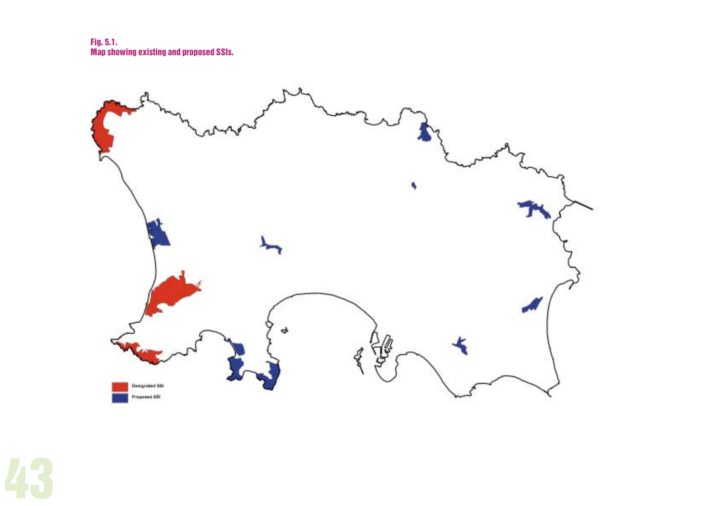**Fig. 5.1. Map showing existing and proposed SSIs.**



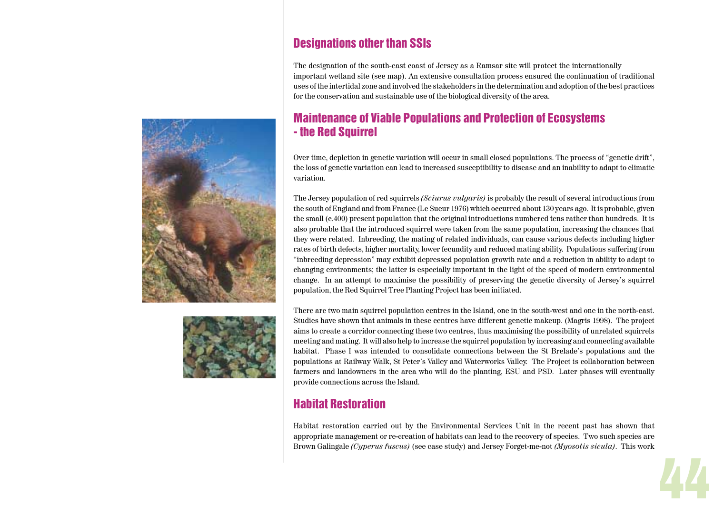



#### **Designations other than SSIs**

The designation of the south-east coast of Jersey as a Ramsar site will protect the internationally important wetland site (see map). An extensive consultation process ensured the continuation of traditional uses of the intertidal zone and involved the stakeholders in the determination and adoption of the best practices for the conservation and sustainable use of the biological diversity of the area.

#### **Maintenance of Viable Populations and Protection of Ecosystems - the Red Squirrel**

Over time, depletion in genetic variation will occur in small closed populations. The process of "genetic drift", the loss of genetic variation can lead to increased susceptibility to disease and an inability to adapt to climatic variation.

The Jersey population of red squirrels *(Sciurus vulgaris)* is probably the result of several introductions from the south of England and from France (Le Sueur 1976) which occurred about 130 years ago. It is probable, given the small (c.400) present population that the original introductions numbered tens rather than hundreds. It is also probable that the introduced squirrel were taken from the same population, increasing the chances that they were related. Inbreeding, the mating of related individuals, can cause various defects including higher rates of birth defects, higher mortality, lower fecundity and reduced mating ability. Populations suffering from "inbreeding depression" may exhibit depressed population growth rate and a reduction in ability to adapt to changing environments; the latter is especially important in the light of the speed of modern environmental change. In an attempt to maximise the possibility of preserving the genetic diversity of Jersey's squirrel population, the Red Squirrel Tree Planting Project has been initiated.

There are two main squirrel population centres in the Island, one in the south-west and one in the north-east. Studies have shown that animals in these centres have different genetic makeup. (Magris 1998). The project aims to create a corridor connecting these two centres, thus maximising the possibility of unrelated squirrels meeting and mating. It will also help to increase the squirrel population by increasing and connecting available habitat. Phase I was intended to consolidate connections between the St Brelade's populations and the populations at Railway Walk, St Peter's Valley and Waterworks Valley. The Project is collaboration between farmers and landowners in the area who will do the planting, ESU and PSD. Later phases will eventually provide connections across the Island.

## **Habitat Restoration**

Habitat restoration carried out by the Environmental Services Unit in the recent past has shown that appropriate management or re-creation of habitats can lead to the recovery of species. Two such species are Brown Galingale *(Cyperus fuscus)* (see case study) and Jersey Forget-me-not *(Myosotis sicula)*. This work

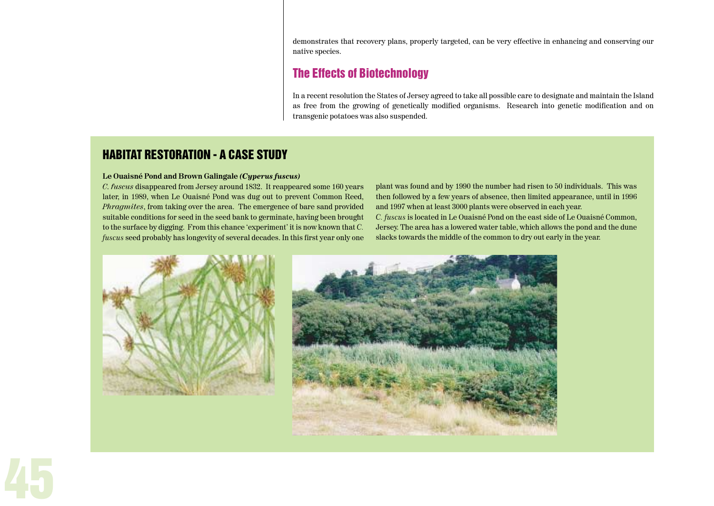demonstrates that recovery plans, properly targeted, can be very effective in enhancing and conserving our native species.

#### **The Effects of Biotechnology**

In a recent resolution the States of Jersey agreed to take all possible care to designate and maintain the Island as free from the growing of genetically modified organisms. Research into genetic modification and on transgenic potatoes was also suspended.

## **HABITAT RESTORATION - A CASE STUDY**

#### **Le Ouaisné Pond and Brown Galingale** *(Cyperus fuscus)*

*C. fuscus* disappeared from Jersey around 1832. It reappeared some 160 years later, in 1989, when Le Ouaisné Pond was dug out to prevent Common Reed, *Phragmites*, from taking over the area. The emergence of bare sand provided suitable conditions for seed in the seed bank to germinate, having been brought to the surface by digging. From this chance 'experiment' it is now known that *C. fuscus* seed probably has longevity of several decades. In this first year only one

plant was found and by 1990 the number had risen to 50 individuals. This was then followed by a few years of absence, then limited appearance, until in 1996 and 1997 when at least 3000 plants were observed in each year. *C. fuscus* is located in Le Ouaisné Pond on the east side of Le Ouaisné Common,

Jersey. The area has a lowered water table, which allows the pond and the dune slacks towards the middle of the common to dry out early in the year.





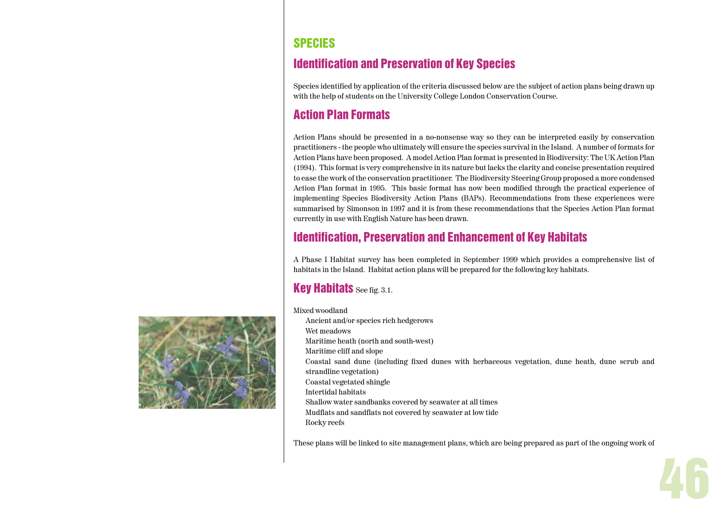#### **SPECIES**

## **Identification and Preservation of Key Species**

Species identified by application of the criteria discussed below are the subject of action plans being drawn up with the help of students on the University College London Conservation Course.

## **Action Plan Formats**

Action Plans should be presented in a no-nonsense way so they can be interpreted easily by conservation practitioners - the people who ultimately will ensure the species survival in the Island. A number of formats for Action Plans have been proposed. A model Action Plan format is presented in Biodiversity: The UK Action Plan (1994). This format is very comprehensive in its nature but lacks the clarity and concise presentation required to ease the work of the conservation practitioner. The Biodiversity Steering Group proposed a more condensed Action Plan format in 1995. This basic format has now been modified through the practical experience of implementing Species Biodiversity Action Plans (BAPs). Recommendations from these experiences were summarised by Simonson in 1997 and it is from these recommendations that the Species Action Plan format currently in use with English Nature has been drawn.

## **Identification, Preservation and Enhancement of Key Habitats**

A Phase I Habitat survey has been completed in September 1999 which provides a comprehensive list of habitats in the Island. Habitat action plans will be prepared for the following key habitats.

## **Key Habitats** See fig. 3.1.

#### Mixed woodland

Ancient and/or species rich hedgerows Wet meadows Maritime heath (north and south-west) Maritime cliff and slope Coastal sand dune (including fixed dunes with herbaceous vegetation, dune heath, dune scrub and strandline vegetation) Coastal vegetated shingle Intertidal habitats Shallow water sandbanks covered by seawater at all times Mudflats and sandflats not covered by seawater at low tide Rocky reefs

These plans will be linked to site management plans, which are being prepared as part of the ongoing work of



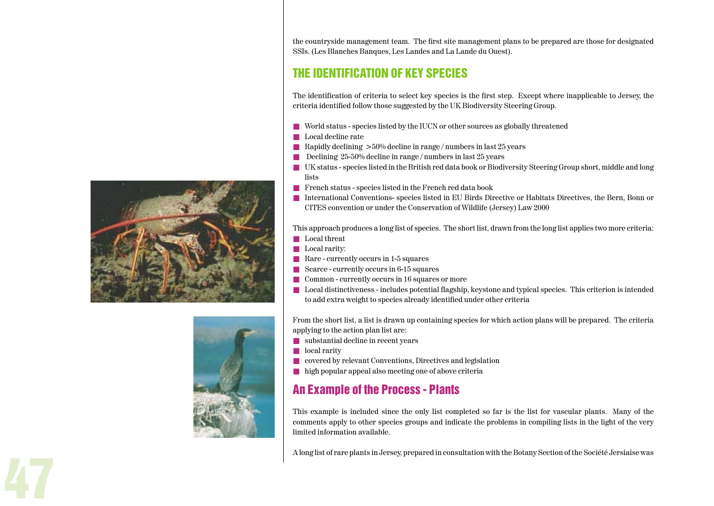the countryside management team. The first site management plans to be prepared are those for designated SSIs. (Les Blanches Banques, Les Landes and La Lande du Ouest).

## **THE IDENTIFICATION OF KEY SPECIES**

The identification of criteria to select key species is the first step. Except where inapplicable to Jersey, the criteria identified follow those suggested by the UK Biodiversity Steering Group.

- World status species listed by the IUCN or other sources as globally threatened
- Local decline rate
- **E** Rapidly declining  $>50\%$  decline in range / numbers in last 25 years
- Declining 25-50% decline in range / numbers in last 25 years
- UK status species listed in the British red data book or Biodiversity Steering Group short, middle and long lists
- French status species listed in the French red data book
- International Conventions- species listed in EU Birds Directive or Habitats Directives, the Bern, Bonn or CITES convention or under the Conservation of Wildlife (Jersey) Law 2000

This approach produces a long list of species. The short list, drawn from the long list applies two more criteria:

- Local threat
- Local rarity:
- Rare currently occurs in 1-5 squares
- Scarce currently occurs in 6-15 squares
- Common currently occurs in 16 squares or more
- Local distinctiveness includes potential flagship, keystone and typical species. This criterion is intended to add extra weight to species already identified under other criteria

From the short list, a list is drawn up containing species for which action plans will be prepared. The criteria applying to the action plan list are:

- substantial decline in recent years
- local rarity
- covered by relevant Conventions, Directives and legislation
- high popular appeal also meeting one of above criteria

#### **An Example of the Process - Plants**

This example is included since the only list completed so far is the list for vascular plants. Many of the comments apply to other species groups and indicate the problems in compiling lists in the light of the very limited information available.

A long list of rare plants in Jersey, prepared in consultation with the Botany Section of the Société Jersiaise was



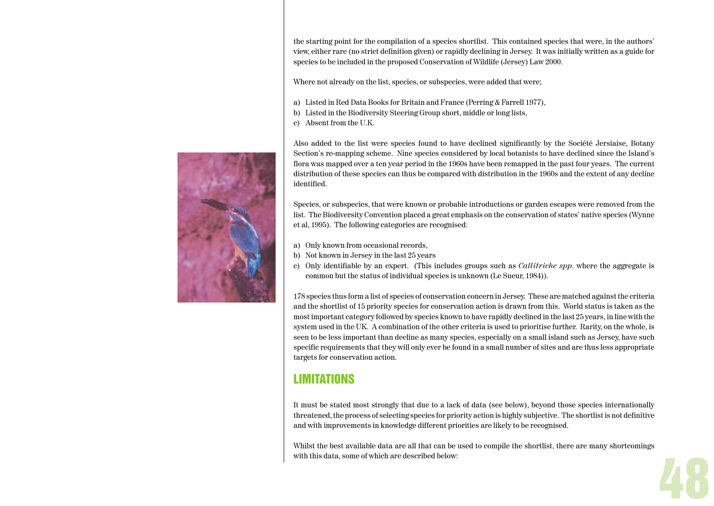the starting point for the compilation of a species shortlist. This contained species that were, in the authors' view, either rare (no strict definition given) or rapidly declining in Jersey. It was initially written as a guide for species to be included in the proposed Conservation of Wildlife (Jersey) Law 2000.

Where not already on the list, species, or subspecies, were added that were;

- a) Listed in Red Data Books for Britain and France (Perring & Farrell 1977),
- b) Listed in the Biodiversity Steering Group short, middle or long lists,
- c) Absent from the U.K.

Also added to the list were species found to have declined significantly by the Société Jersiaise, Botany Section's re-mapping scheme. Nine species considered by local botanists to have declined since the Island's flora was mapped over a ten year period in the 1960s have been remapped in the past four years. The current distribution of these species can thus be compared with distribution in the 1960s and the extent of any decline identified.

Species, or subspecies, that were known or probable introductions or garden escapes were removed from the list. The Biodiversity Convention placed a great emphasis on the conservation of states' native species (Wynne et al, 1995). The following categories are recognised:

- a) Only known from occasional records,
- b) Not known in Jersey in the last 25 years
- c) Only identifiable by an expert. (This includes groups such as *Callitriche spp*. where the aggregate is common but the status of individual species is unknown (Le Sueur, 1984)).

178 species thus form a list of species of conservation concern in Jersey. These are matched against the criteria and the shortlist of 15 priority species for conservation action is drawn from this. World status is taken as the most important category followed by species known to have rapidly declined in the last 25 years, in line with the system used in the UK. A combination of the other criteria is used to prioritise further. Rarity, on the whole, is seen to be less important than decline as many species, especially on a small island such as Jersey, have such specific requirements that they will only ever be found in a small number of sites and are thus less appropriate targets for conservation action.

#### **LIMITATIONS**

It must be stated most strongly that due to a lack of data (see below), beyond those species internationally threatened, the process of selecting species for priority action is highly subjective. The shortlist is not definitive and with improvements in knowledge different priorities are likely to be recognised.

Whilst the best available data are all that can be used to compile the shortlist, there are many shortcomings with this data, some of which are described below:

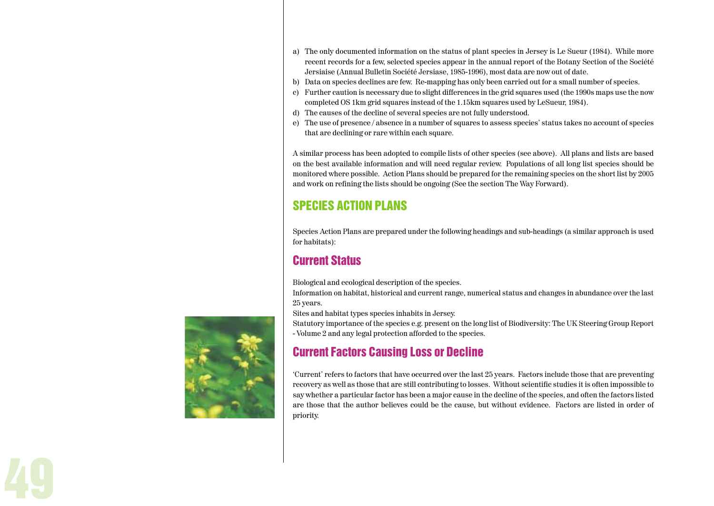- a) The only documented information on the status of plant species in Jersey is Le Sueur (1984). While more recent records for a few, selected species appear in the annual report of the Botany Section of the Société Jersiaise (Annual Bulletin Société Jersiase, 1985-1996), most data are now out of date.
- b) Data on species declines are few. Re-mapping has only been carried out for a small number of species.
- c) Further caution is necessary due to slight differences in the grid squares used (the 1990s maps use the now completed OS 1km grid squares instead of the 1.15km squares used by LeSueur, 1984).
- d) The causes of the decline of several species are not fully understood.
- e) The use of presence / absence in a number of squares to assess species' status takes no account of species that are declining or rare within each square.

A similar process has been adopted to compile lists of other species (see above). All plans and lists are based on the best available information and will need regular review. Populations of all long list species should be monitored where possible. Action Plans should be prepared for the remaining species on the short list by 2005 and work on refining the lists should be ongoing (See the section The Way Forward).

## **SPECIES ACTION PLANS**

Species Action Plans are prepared under the following headings and sub-headings (a similar approach is used for habitats):

#### **Current Status**

Biological and ecological description of the species.

Information on habitat, historical and current range, numerical status and changes in abundance over the last 25 years.

Sites and habitat types species inhabits in Jersey.

Statutory importance of the species e.g. present on the long list of Biodiversity: The UK Steering Group Report - Volume 2 and any legal protection afforded to the species.

#### **Current Factors Causing Loss or Decline**

'Current' refers to factors that have occurred over the last 25 years. Factors include those that are preventing recovery as well as those that are still contributing to losses. Without scientific studies it is often impossible to say whether a particular factor has been a major cause in the decline of the species, and often the factors listed are those that the author believes could be the cause, but without evidence. Factors are listed in order of priority.

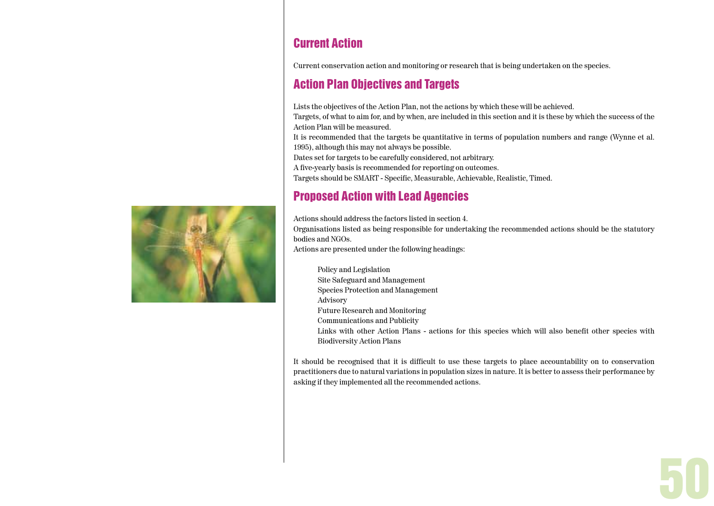

## **Current Action**

Current conservation action and monitoring or research that is being undertaken on the species.

#### **Action Plan Objectives and Targets**

Lists the objectives of the Action Plan, not the actions by which these will be achieved.

Targets, of what to aim for, and by when, are included in this section and it is these by which the success of the Action Plan will be measured.

It is recommended that the targets be quantitative in terms of population numbers and range (Wynne et al. 1995), although this may not always be possible.

Dates set for targets to be carefully considered, not arbitrary.

A five-yearly basis is recommended for reporting on outcomes.

Targets should be SMART - Specific, Measurable, Achievable, Realistic, Timed.

## **Proposed Action with Lead Agencies**

Actions should address the factors listed in section 4.

Organisations listed as being responsible for undertaking the recommended actions should be the statutory bodies and NGOs.

Actions are presented under the following headings:

Policy and Legislation Site Safeguard and Management Species Protection and Management Advisory Future Research and Monitoring Communications and Publicity Links with other Action Plans - actions for this species which will also benefit other species with Biodiversity Action Plans

It should be recognised that it is difficult to use these targets to place accountability on to conservation practitioners due to natural variations in population sizes in nature. It is better to assess their performance by asking if they implemented all the recommended actions.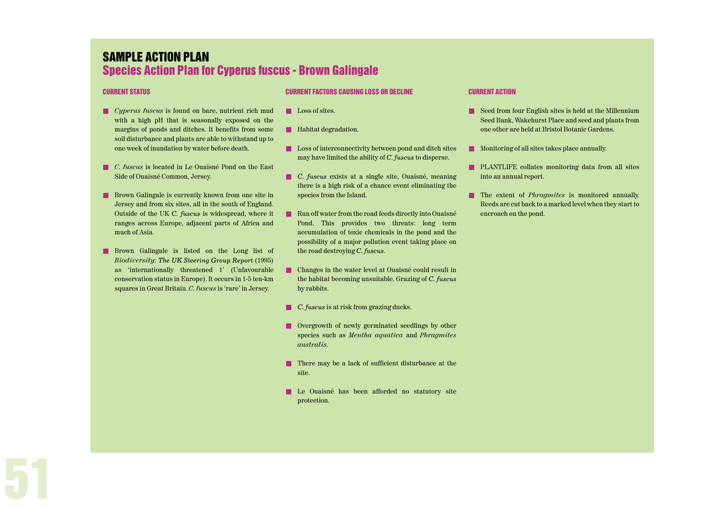#### **SAMPLE ACTION PLAN Species Action Plan for Cyperus fuscus - Brown Galingale**

#### **CURRENT STATUS**

**51**

- *Cyperus fuscus* is found on bare, nutrient rich mud with a high pH that is seasonally exposed on the margins of ponds and ditches. It benefits from some soil disturbance and plants are able to withstand up to one week of inundation by water before death.
- *C. fuscus* is located in Le Ouaisné Pond on the East Side of Ouaisné Common, Jersey.
- Brown Galingale is currently known from one site in Jersey and from six sites, all in the south of England. Outside of the UK *C. fuscus* is widespread, where it ranges across Europe, adjacent parts of Africa and much of Asia.
- Brown Galingale is listed on the Long list of *Biodiversity: The UK Steering Group Report* (1995) as 'internationally threatened 1' (Unfavourable conservation status in Europe). It occurs in 1-5 ten-km squares in Great Britain. *C. fuscus* is 'rare' in Jersey.

#### **CURRENT FACTORS CAUSING LOSS OR DECLINE**

- Loss of sites.
- Habitat degradation.
- Loss of interconnectivity between pond and ditch sites may have limited the ability of *C. fuscus* to disperse.
- *C. fuscus* exists at a single site, Ouaisné, meaning there is a high risk of a chance event eliminating the species from the Island.
- Run off water from the road feeds directly into Ouaisné Pond. This provides two threats: long term accumulation of toxic chemicals in the pond and the possibility of a major pollution event taking place on the road destroying *C. fuscus*.
- Changes in the water level at Ouaisné could result in the habitat becoming unsuitable. Grazing of *C. fuscus* by rabbits.
- *C. fuscus* is at risk from grazing ducks.
- Overgrowth of newly germinated seedlings by other species such as *Mentha aquatica* and *Phragmites australis*.
- There may be a lack of sufficient disturbance at the site.
- Le Ouaisné has been afforded no statutory site protection.

#### **CURRENT ACTION**

- Seed from four English sites is held at the Millennium Seed Bank, Wakehurst Place and seed and plants from one other are held at Bristol Botanic Gardens.
- Monitoring of all sites takes place annually.
- PLANTLIFE collates monitoring data from all sites into an annual report.
- The extent of *Phragmites* is monitored annually. Reeds are cut back to a marked level when they start to encroach on the pond.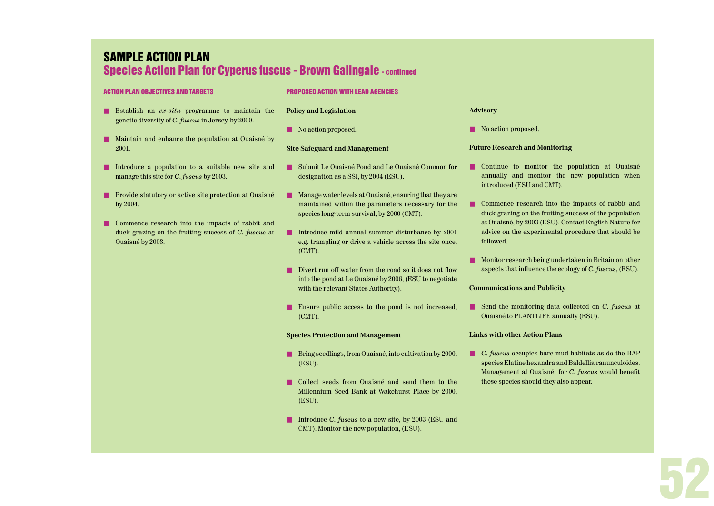#### **SAMPLE ACTION PLAN Species Action Plan for Cyperus fuscus - Brown Galingale - continued**

#### **ACTION PLAN OBJECTIVES AND TARGETS**

#### **PROPOSED ACTION WITH LEAD AGENCIES**

- Establish an *ex-situ* programme to maintain the genetic diversity of *C. fuscus* in Jersey, by 2000.
- Maintain and enhance the population at Ouaisné by 2001.
- Introduce a population to a suitable new site and manage this site for *C. fuscus* by 2003.
- Provide statutory or active site protection at Ouaisné by 2004.
- Commence research into the impacts of rabbit and duck grazing on the fruiting success of *C. fuscus* at Ouaisné by 2003.
- **Policy and Legislation**
- No action proposed.

#### **Site Safeguard and Management**

- Submit Le Quaisné Pond and Le Quaisné Common for designation as a SSI, by 2004 (ESU).
- Manage water levels at Ouaisné, ensuring that they are maintained within the parameters necessary for the species long-term survival, by 2000 (CMT).
- Introduce mild annual summer disturbance by 2001 e.g. trampling or drive a vehicle across the site once, (CMT).
- Divert run off water from the road so it does not flow into the pond at Le Ouaisné by 2006, (ESU to negotiate with the relevant States Authority).
- Ensure public access to the pond is not increased, (CMT).

#### **Species Protection and Management**

- Bring seedlings, from Ouaisné, into cultivation by 2000, (ESU).
- Collect seeds from Ouaisné and send them to the Millennium Seed Bank at Wakehurst Place by 2000, (ESU).
- Introduce *C. fuscus* to a new site, by 2003 (ESU and CMT). Monitor the new population, (ESU).

#### **Advisory**

■ No action proposed.

#### **Future Research and Monitoring**

- Continue to monitor the population at Ouaisné annually and monitor the new population when introduced (ESU and CMT).
- Commence research into the impacts of rabbit and duck grazing on the fruiting success of the population at Ouaisné, by 2003 (ESU). Contact English Nature for advice on the experimental procedure that should be followed.
- Monitor research being undertaken in Britain on other aspects that influence the ecology of *C. fuscus*, (ESU).

#### **Communications and Publicity**

■ Send the monitoring data collected on *C. fuscus* at Ouaisné to PLANTLIFE annually (ESU).

#### **Links with other Action Plans**

■ C. *fuscus* occupies bare mud habitats as do the BAP species Elatine hexandra and Baldellia ranunculoides. Management at Ouaisné for *C. fuscus* would benefit these species should they also appear.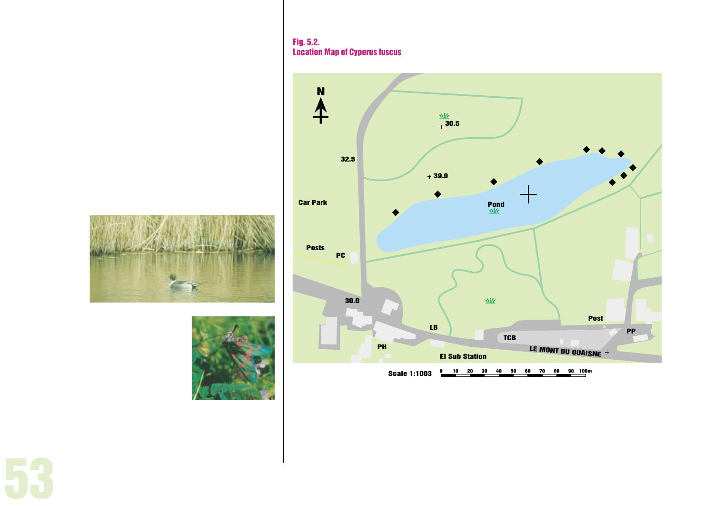



**Fig. 5.2. Location Map of Cyperus fuscus**

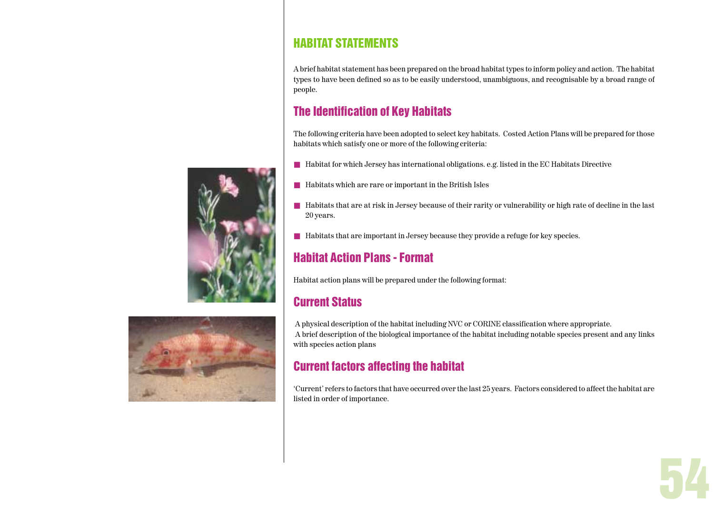

## **HABITAT STATEMENTS**

A brief habitat statement has been prepared on the broad habitat types to inform policy and action. The habitat types to have been defined so as to be easily understood, unambiguous, and recognisable by a broad range of people.

## **The Identification of Key Habitats**

The following criteria have been adopted to select key habitats. Costed Action Plans will be prepared for those habitats which satisfy one or more of the following criteria:

- Habitat for which Jersey has international obligations. e.g. listed in the EC Habitats Directive
- Habitats which are rare or important in the British Isles
- Habitats that are at risk in Jersey because of their rarity or vulnerability or high rate of decline in the last 20 years.
- Habitats that are important in Jersey because they provide a refuge for key species.

## **Habitat Action Plans - Format**

Habitat action plans will be prepared under the following format:

## **Current Status**

A physical description of the habitat including NVC or CORINE classification where appropriate. A brief description of the biological importance of the habitat including notable species present and any links with species action plans

## **Current factors affecting the habitat**

'Current' refers to factors that have occurred over the last 25 years. Factors considered to affect the habitat are listed in order of importance.



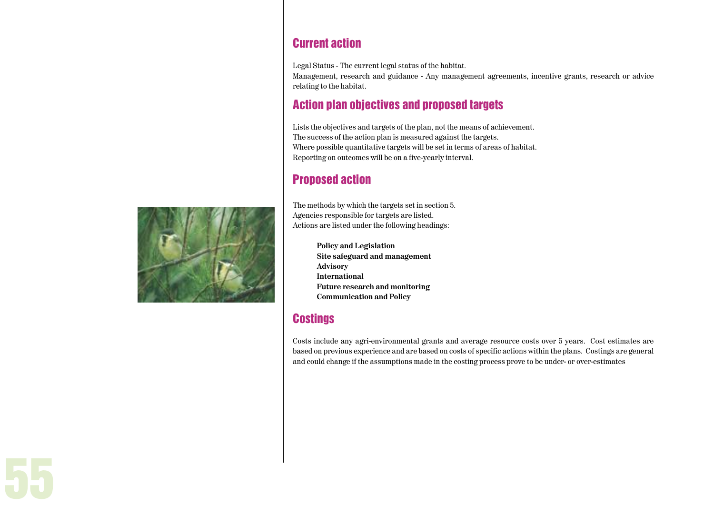

#### **Current action**

Legal Status - The current legal status of the habitat.

Management, research and guidance - Any management agreements, incentive grants, research or advice relating to the habitat.

#### **Action plan objectives and proposed targets**

Lists the objectives and targets of the plan, not the means of achievement. The success of the action plan is measured against the targets. Where possible quantitative targets will be set in terms of areas of habitat. Reporting on outcomes will be on a five-yearly interval.

## **Proposed action**

The methods by which the targets set in section 5. Agencies responsible for targets are listed. Actions are listed under the following headings:

> **Policy and Legislation Site safeguard and management Advisory International Future research and monitoring Communication and Policy**

## **Costings**

Costs include any agri-environmental grants and average resource costs over 5 years. Cost estimates are based on previous experience and are based on costs of specific actions within the plans. Costings are general and could change if the assumptions made in the costing process prove to be under- or over-estimates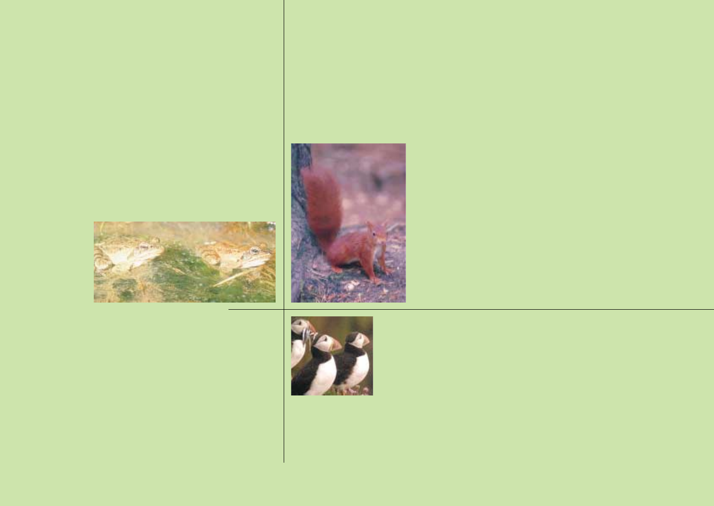



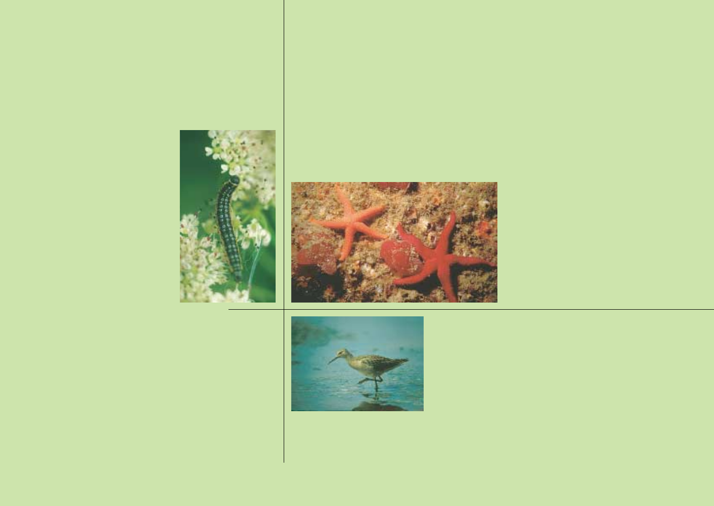



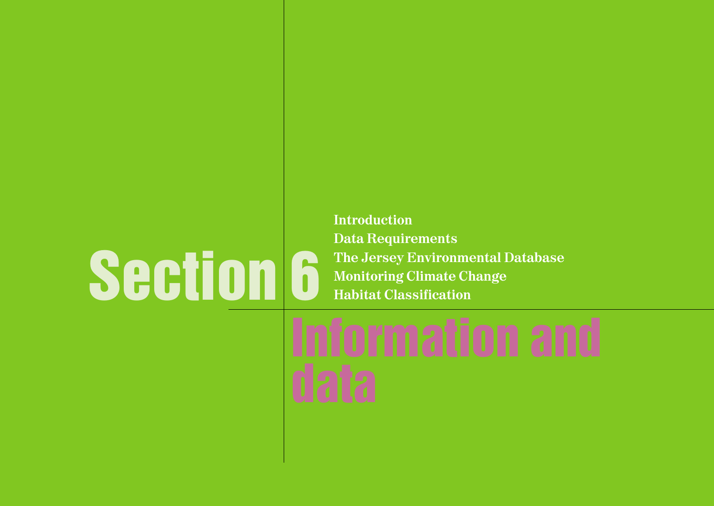## **Section 6**

**Introduction Data Requirements The Jersey Environmental Database Monitoring Climate Change Habitat Classification**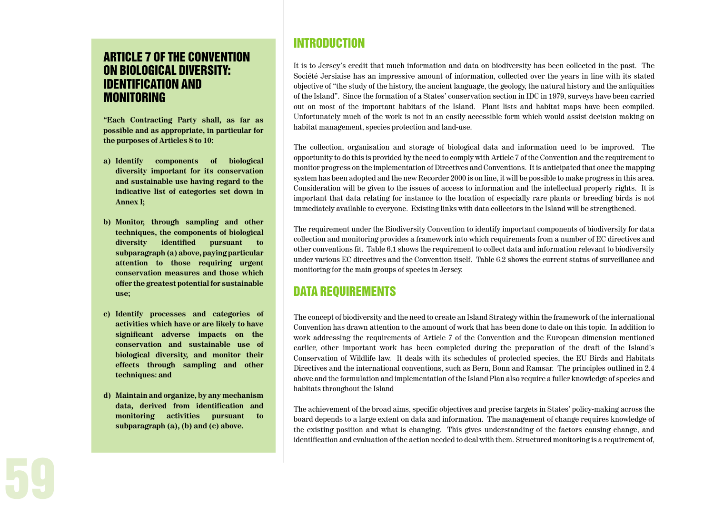#### **ARTICLE 7 OF THE CONVENTION ON BIOLOGICAL DIVERSITY: IDENTIFICATION AND MONITORING**

**"Each Contracting Party shall, as far as possible and as appropriate, in particular for the purposes of Articles 8 to 10:** 

- **a) Identify components of biological diversity important for its conservation and sustainable use having regard to the indicative list of categories set down in Annex I;**
- **b) Monitor, through sampling and other techniques, the components of biological diversity identified pursuant to subparagraph (a) above, paying particular attention to those requiring urgent conservation measures and those which offer the greatest potential for sustainable use;**
- **c) Identify processes and categories of activities which have or are likely to have significant adverse impacts on the conservation and sustainable use of biological diversity, and monitor their effects through sampling and other techniques: and**
- **d) Maintain and organize, by any mechanism data, derived from identification and monitoring activities pursuant to subparagraph (a), (b) and (c) above.**

#### **INTRODUCTION**

It is to Jersey's credit that much information and data on biodiversity has been collected in the past. The Société Jersiaise has an impressive amount of information, collected over the years in line with its stated objective of "the study of the history, the ancient language, the geology, the natural history and the antiquities of the Island". Since the formation of a States' conservation section in IDC in 1979, surveys have been carried out on most of the important habitats of the Island. Plant lists and habitat maps have been compiled. Unfortunately much of the work is not in an easily accessible form which would assist decision making on habitat management, species protection and land-use.

The collection, organisation and storage of biological data and information need to be improved. The opportunity to do this is provided by the need to comply with Article 7 of the Convention and the requirement to monitor progress on the implementation of Directives and Conventions. It is anticipated that once the mapping system has been adopted and the new Recorder 2000 is on line, it will be possible to make progress in this area. Consideration will be given to the issues of access to information and the intellectual property rights. It is important that data relating for instance to the location of especially rare plants or breeding birds is not immediately available to everyone. Existing links with data collectors in the Island will be strengthened.

The requirement under the Biodiversity Convention to identify important components of biodiversity for data collection and monitoring provides a framework into which requirements from a number of EC directives and other conventions fit. Table 6.1 shows the requirement to collect data and information relevant to biodiversity under various EC directives and the Convention itself. Table 6.2 shows the current status of surveillance and monitoring for the main groups of species in Jersey.

#### **DATA REQUIREMENTS**

The concept of biodiversity and the need to create an Island Strategy within the framework of the international Convention has drawn attention to the amount of work that has been done to date on this topic. In addition to work addressing the requirements of Article 7 of the Convention and the European dimension mentioned earlier, other important work has been completed during the preparation of the draft of the Island's Conservation of Wildlife law. It deals with its schedules of protected species, the EU Birds and Habitats Directives and the international conventions, such as Bern, Bonn and Ramsar. The principles outlined in 2.4 above and the formulation and implementation of the Island Plan also require a fuller knowledge of species and habitats throughout the Island

The achievement of the broad aims, specific objectives and precise targets in States' policy-making across the board depends to a large extent on data and information. The management of change requires knowledge of the existing position and what is changing. This gives understanding of the factors causing change, and identification and evaluation of the action needed to deal with them. Structured monitoring is a requirement of,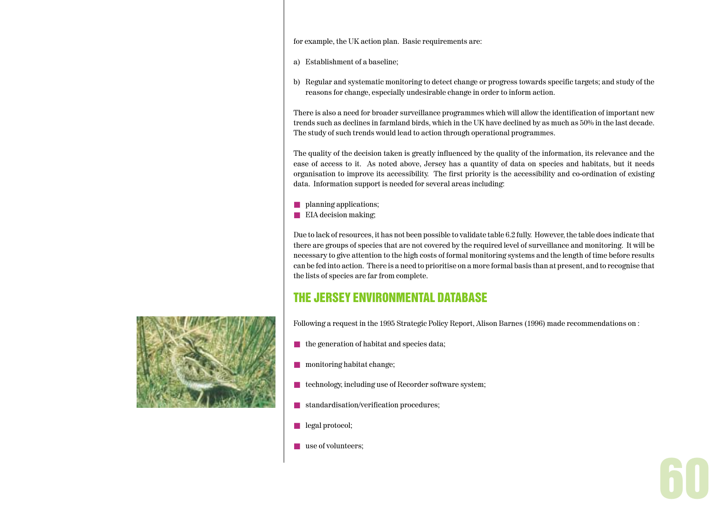for example, the UK action plan. Basic requirements are:

- a) Establishment of a baseline;
- b) Regular and systematic monitoring to detect change or progress towards specific targets; and study of the reasons for change, especially undesirable change in order to inform action.

There is also a need for broader surveillance programmes which will allow the identification of important new trends such as declines in farmland birds, which in the UK have declined by as much as 50% in the last decade. The study of such trends would lead to action through operational programmes.

The quality of the decision taken is greatly influenced by the quality of the information, its relevance and the ease of access to it. As noted above, Jersey has a quantity of data on species and habitats, but it needs organisation to improve its accessibility. The first priority is the accessibility and co-ordination of existing data. Information support is needed for several areas including:

- planning applications;
- EIA decision making;

Due to lack of resources, it has not been possible to validate table 6.2 fully. However, the table does indicate that there are groups of species that are not covered by the required level of surveillance and monitoring. It will be necessary to give attention to the high costs of formal monitoring systems and the length of time before results can be fed into action. There is a need to prioritise on a more formal basis than at present, and to recognise that the lists of species are far from complete.

#### **THE JERSEY ENVIRONMENTAL DATABASE**

Following a request in the 1995 Strategic Policy Report, Alison Barnes (1996) made recommendations on :

- the generation of habitat and species data;
- monitoring habitat change;
- technology, including use of Recorder software system;
- standardisation/verification procedures;
- legal protocol;
- use of volunteers;

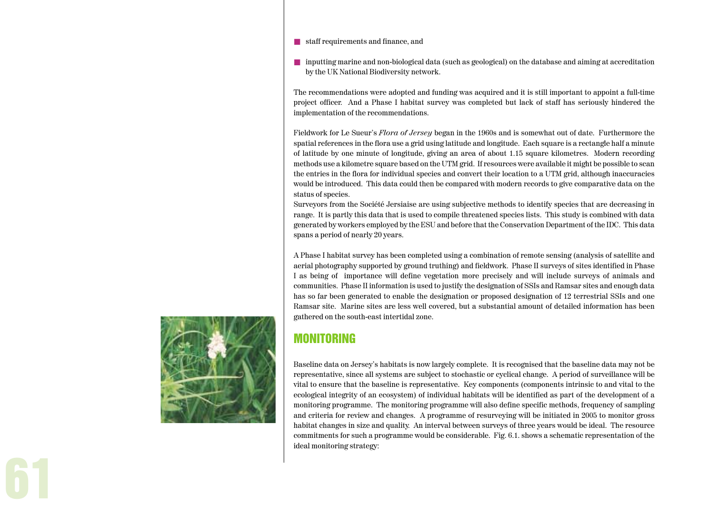- staff requirements and finance, and
- inputting marine and non-biological data (such as geological) on the database and aiming at accreditation by the UK National Biodiversity network.

The recommendations were adopted and funding was acquired and it is still important to appoint a full-time project officer. And a Phase I habitat survey was completed but lack of staff has seriously hindered the implementation of the recommendations.

Fieldwork for Le Sueur's *Flora of Jersey* began in the 1960s and is somewhat out of date. Furthermore the spatial references in the flora use a grid using latitude and longitude. Each square is a rectangle half a minute of latitude by one minute of longitude, giving an area of about 1.15 square kilometres. Modern recording methods use a kilometre square based on the UTM grid. If resources were available it might be possible to scan the entries in the flora for individual species and convert their location to a UTM grid, although inaccuracies would be introduced. This data could then be compared with modern records to give comparative data on the status of species.

Surveyors from the Société Jersiaise are using subjective methods to identify species that are decreasing in range. It is partly this data that is used to compile threatened species lists. This study is combined with data generated by workers employed by the ESU and before that the Conservation Department of the IDC. This data spans a period of nearly 20 years.

A Phase I habitat survey has been completed using a combination of remote sensing (analysis of satellite and aerial photography supported by ground truthing) and fieldwork. Phase II surveys of sites identified in Phase I as being of importance will define vegetation more precisely and will include surveys of animals and communities. Phase II information is used to justify the designation of SSIs and Ramsar sites and enough data has so far been generated to enable the designation or proposed designation of 12 terrestrial SSIs and one Ramsar site. Marine sites are less well covered, but a substantial amount of detailed information has been gathered on the south-east intertidal zone.



#### **MONITORING**

Baseline data on Jersey's habitats is now largely complete. It is recognised that the baseline data may not be representative, since all systems are subject to stochastic or cyclical change. A period of surveillance will be vital to ensure that the baseline is representative. Key components (components intrinsic to and vital to the ecological integrity of an ecosystem) of individual habitats will be identified as part of the development of a monitoring programme. The monitoring programme will also define specific methods, frequency of sampling and criteria for review and changes. A programme of resurveying will be initiated in 2005 to monitor gross habitat changes in size and quality. An interval between surveys of three years would be ideal. The resource commitments for such a programme would be considerable. Fig. 6.1. shows a schematic representation of the ideal monitoring strategy: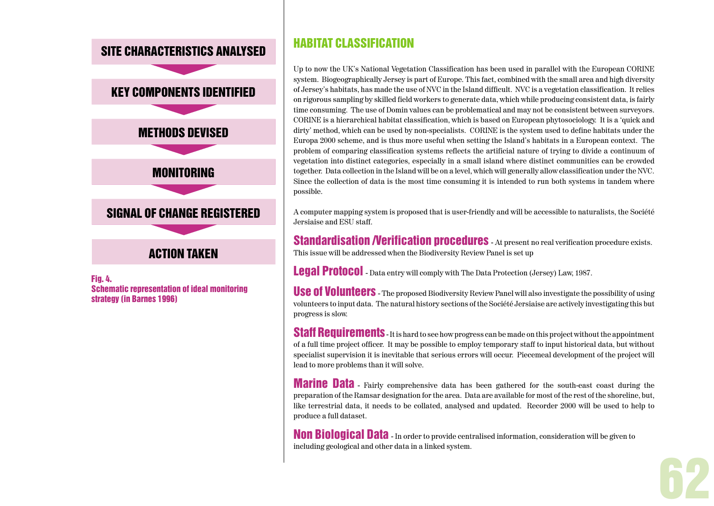

#### **HABITAT CLASSIFICATION**

Up to now the UK's National Vegetation Classification has been used in parallel with the European CORINE system. Biogeographically Jersey is part of Europe. This fact, combined with the small area and high diversity of Jersey's habitats, has made the use of NVC in the Island difficult. NVC is a vegetation classification. It relies on rigorous sampling by skilled field workers to generate data, which while producing consistent data, is fairly time consuming. The use of Domin values can be problematical and may not be consistent between surveyors. CORINE is a hierarchical habitat classification, which is based on European phytosociology. It is a 'quick and dirty' method, which can be used by non-specialists. CORINE is the system used to define habitats under the Europa 2000 scheme, and is thus more useful when setting the Island's habitats in a European context. The problem of comparing classification systems reflects the artificial nature of trying to divide a continuum of vegetation into distinct categories, especially in a small island where distinct communities can be crowded together. Data collection in the Island will be on a level, which will generally allow classification under the NVC. Since the collection of data is the most time consuming it is intended to run both systems in tandem where possible.

A computer mapping system is proposed that is user-friendly and will be accessible to naturalists, the Société Jersiaise and ESU staff.

**Standardisation /Verification procedures** - At present no real verification procedure exists. This issue will be addressed when the Biodiversity Review Panel is set up

**Legal Protocol** - Data entry will comply with The Data Protection (Jersey) Law, 1987.

**Use of Volunteers** - The proposed Biodiversity Review Panel will also investigate the possibility of using volunteers to input data. The natural history sections of the Société Jersiaise are actively investigating this but progress is slow.

**Staff Requirements** - It is hard to see how progress can be made on this project without the appointment of a full time project officer. It may be possible to employ temporary staff to input historical data, but without specialist supervision it is inevitable that serious errors will occur. Piecemeal development of the project will lead to more problems than it will solve.

**Marine Data** - Fairly comprehensive data has been gathered for the south-east coast during the preparation of the Ramsar designation for the area. Data are available for most of the rest of the shoreline, but, like terrestrial data, it needs to be collated, analysed and updated. Recorder 2000 will be used to help to produce a full dataset.

**62**

**Non Biological Data** - In order to provide centralised information, consideration will be given to including geological and other data in a linked system.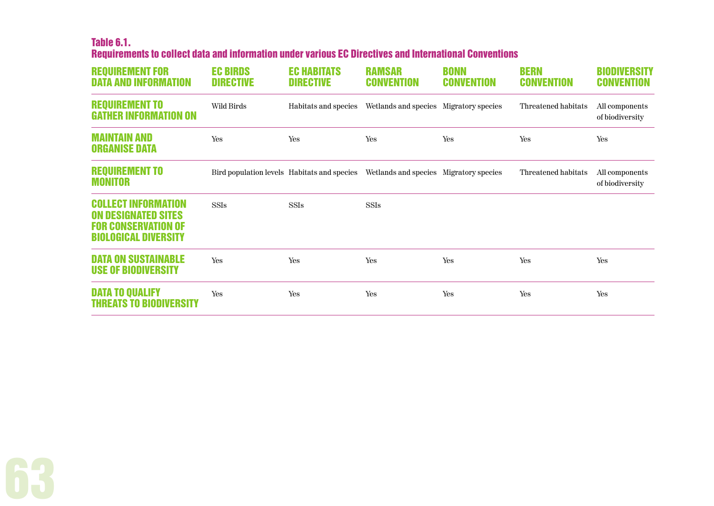#### **Table 6.1. Requirements to collect data and information under various EC Directives and International Conventions**

| <b>REQUIREMENT FOR</b><br><b>DATA AND INFORMATION</b>                                                                 | <b>EC BIRDS</b><br><b>DIRECTIVE</b> | <b>EC HABITATS</b><br><b>DIRECTIVE</b>      | <b>RAMSAR</b><br><b>CONVENTION</b>     | <b>BONN</b><br><b>CONVENTION</b> | <b>BERN</b><br><b>CONVENTION</b> | <b>BIODIVERSITY</b><br><b>CONVENTION</b> |
|-----------------------------------------------------------------------------------------------------------------------|-------------------------------------|---------------------------------------------|----------------------------------------|----------------------------------|----------------------------------|------------------------------------------|
| <b>REQUIREMENT TO</b><br><b>GATHER INFORMATION ON</b>                                                                 | Wild Birds                          | Habitats and species                        | Wetlands and species Migratory species |                                  | Threatened habitats              | All components<br>of biodiversity        |
| <b>MAINTAIN AND</b><br><b>ORGANISE DATA</b>                                                                           | Yes                                 | Yes                                         | Yes                                    | Yes<br>Yes                       |                                  | Yes                                      |
| <b>REQUIREMENT TO</b><br><b>MONITOR</b>                                                                               |                                     | Bird population levels Habitats and species | Wetlands and species Migratory species |                                  | Threatened habitats              | All components<br>of biodiversity        |
| <b>COLLECT INFORMATION</b><br><b>ON DESIGNATED SITES</b><br><b>FOR CONSERVATION OF</b><br><b>BIOLOGICAL DIVERSITY</b> | <b>SSIs</b>                         | <b>SSIs</b>                                 | <b>SSIs</b>                            |                                  |                                  |                                          |
| <b>DATA ON SUSTAINABLE</b><br><b>USE OF BIODIVERSITY</b>                                                              | Yes                                 | Yes                                         | Yes                                    | Yes                              | Yes                              | Yes                                      |
| <b>DATA TO QUALIFY</b><br>Threats to biodiversity                                                                     | Yes                                 | Yes                                         | Yes                                    | Yes                              | Yes                              | Yes                                      |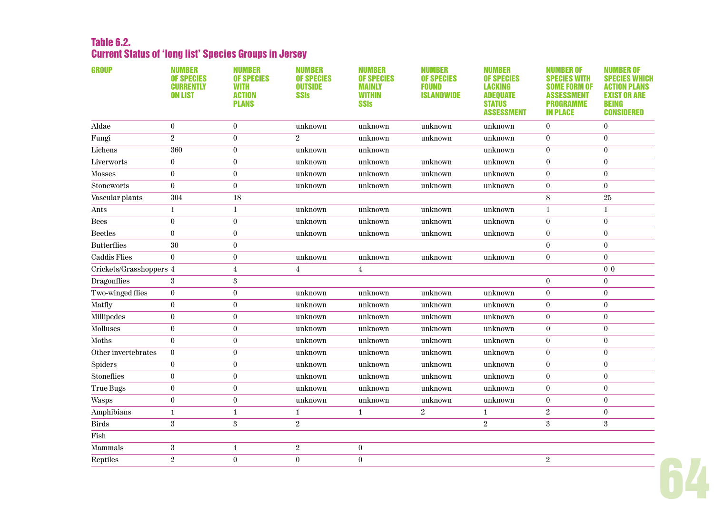#### **Table 6.2. Current Status of 'long list' Species Groups in Jersey**

| <b>GROUP</b>            | <b>NUMBER</b><br><b>OF SPECIES</b><br>CURRENTLY<br><b>ON LIST</b> | <b>NUMBER</b><br><b>OF SPECIES</b><br><b>WITH</b><br><b>ACTION</b><br><b>PLANS</b> | <b>NUMBER</b><br><b>OF SPECIES</b><br>OUTSIDE<br><b>SSIs</b> | <b>NUMBER</b><br><b>OF SPECIES</b><br>MAINLY<br><b>WITHIN</b><br><b>SSIs</b> | <b>NUMBER</b><br><b>OF SPECIES</b><br>FOUND<br><b>ISLANDWIDE</b> | <b>NUMBER</b><br><b>OF SPECIES</b><br><b>LACKING</b><br><b>ADEQUATE</b><br><b>STATUS</b><br><b>ASSESSMENT</b> | <b>NUMBER OF</b><br>WITH<br>Some form of<br>Assessment<br><b>PROGRAMME</b><br><b>IN PLACE</b> | <b>NUMBER OF</b><br>WHICH<br>Action Plans<br><b>Exist or are</b><br><b>BEING</b><br><b>CONSIDERED</b> |
|-------------------------|-------------------------------------------------------------------|------------------------------------------------------------------------------------|--------------------------------------------------------------|------------------------------------------------------------------------------|------------------------------------------------------------------|---------------------------------------------------------------------------------------------------------------|-----------------------------------------------------------------------------------------------|-------------------------------------------------------------------------------------------------------|
| Aldae                   | $\boldsymbol{0}$                                                  | $\overline{0}$                                                                     | unknown                                                      | unknown                                                                      | unknown                                                          | unknown                                                                                                       | $\overline{0}$                                                                                | $\mathbf{0}$                                                                                          |
| Fungi                   | $\overline{2}$                                                    | $\boldsymbol{0}$                                                                   | $\overline{2}$                                               | unknown                                                                      | unknown                                                          | unknown                                                                                                       | $\boldsymbol{0}$                                                                              | $\bf{0}$                                                                                              |
| Lichens                 | 360                                                               | $\boldsymbol{0}$                                                                   | unknown                                                      | unknown                                                                      |                                                                  | unknown                                                                                                       | $\boldsymbol{0}$                                                                              | $\boldsymbol{0}$                                                                                      |
| Liverworts              | $\mathbf{0}$                                                      | $\boldsymbol{0}$                                                                   | unknown                                                      | unknown                                                                      | unknown                                                          | unknown                                                                                                       | $\bf{0}$                                                                                      | $\bf{0}$                                                                                              |
| Mosses                  | $\boldsymbol{0}$                                                  | $\boldsymbol{0}$                                                                   | unknown                                                      | unknown                                                                      | unknown                                                          | unknown                                                                                                       | $\mathbf{0}$                                                                                  | $\mathbf{0}$                                                                                          |
| <b>Stoneworts</b>       | $\overline{0}$                                                    | $\overline{0}$                                                                     | unknown                                                      | unknown                                                                      | unknown                                                          | unknown                                                                                                       | $\mathbf{0}$                                                                                  | $\theta$                                                                                              |
| Vascular plants         | 304                                                               | 18                                                                                 |                                                              |                                                                              |                                                                  |                                                                                                               | $8\,$                                                                                         | 25                                                                                                    |
| Ants                    | $\mathbf{1}$                                                      | $\mathbf{1}$                                                                       | unknown                                                      | unknown                                                                      | unknown                                                          | unknown                                                                                                       | $\mathbf{1}$                                                                                  | 1                                                                                                     |
| <b>Bees</b>             | $\boldsymbol{0}$                                                  | $\boldsymbol{0}$                                                                   | unknown                                                      | unknown                                                                      | unknown                                                          | unknown                                                                                                       | $\boldsymbol{0}$                                                                              | $\mathbf{0}$                                                                                          |
| <b>Beetles</b>          | $\theta$                                                          | $\mathbf{0}$                                                                       | unknown                                                      | unknown                                                                      | unknown                                                          | unknown                                                                                                       | $\mathbf{0}$                                                                                  | $\mathbf{0}$                                                                                          |
| <b>Butterflies</b>      | 30                                                                | $\mathbf{0}$                                                                       |                                                              |                                                                              |                                                                  |                                                                                                               | $\mathbf{0}$                                                                                  | $\mathbf{0}$                                                                                          |
| <b>Caddis Flies</b>     | $\overline{0}$                                                    | $\boldsymbol{0}$                                                                   | unknown                                                      | unknown                                                                      | unknown                                                          | unknown                                                                                                       | $\boldsymbol{0}$                                                                              | $\overline{0}$                                                                                        |
| Crickets/Grasshoppers 4 |                                                                   | $\overline{4}$                                                                     | $\overline{4}$                                               | $\overline{4}$                                                               |                                                                  |                                                                                                               |                                                                                               | $0\,0$                                                                                                |
| Dragonflies             | $\rm 3$                                                           | $\bf{3}$                                                                           |                                                              |                                                                              |                                                                  |                                                                                                               | $\mathbf{0}$                                                                                  | $\overline{0}$                                                                                        |
| Two-winged flies        | $\boldsymbol{0}$                                                  | $\boldsymbol{0}$                                                                   | unknown                                                      | unknown                                                                      | unknown                                                          | unknown                                                                                                       | $\mathbf{0}$                                                                                  | $\theta$                                                                                              |
| Matfly                  | $\boldsymbol{0}$                                                  | $\boldsymbol{0}$                                                                   | unknown                                                      | unknown                                                                      | unknown                                                          | unknown                                                                                                       | $\boldsymbol{0}$                                                                              | $\mathbf{0}$                                                                                          |
| Millipedes              | $\boldsymbol{0}$                                                  | $\boldsymbol{0}$                                                                   | unknown                                                      | unknown                                                                      | unknown                                                          | unknown                                                                                                       | $\boldsymbol{0}$                                                                              | $\mathbf{0}$                                                                                          |
| Molluscs                | $\overline{0}$                                                    | $\mathbf{0}$                                                                       | unknown                                                      | unknown                                                                      | unknown                                                          | unknown                                                                                                       | $\boldsymbol{0}$                                                                              | $\boldsymbol{0}$                                                                                      |
| Moths                   | $\overline{0}$                                                    | $\mathbf{0}$                                                                       | unknown                                                      | unknown                                                                      | unknown                                                          | unknown                                                                                                       | $\mathbf{0}$                                                                                  | $\mathbf{0}$                                                                                          |
| Other invertebrates     | $\overline{0}$                                                    | $\mathbf{0}$                                                                       | unknown                                                      | unknown                                                                      | unknown                                                          | unknown                                                                                                       | $\mathbf{0}$                                                                                  | $\mathbf{0}$                                                                                          |
| Spiders                 | $\boldsymbol{0}$                                                  | $\boldsymbol{0}$                                                                   | unknown                                                      | unknown                                                                      | unknown                                                          | unknown                                                                                                       | $\boldsymbol{0}$                                                                              | $\mathbf{0}$                                                                                          |
| Stoneflies              | $\boldsymbol{0}$                                                  | $\boldsymbol{0}$                                                                   | unknown                                                      | unknown                                                                      | unknown                                                          | unknown                                                                                                       | $\boldsymbol{0}$                                                                              | $\bf{0}$                                                                                              |
| <b>True Bugs</b>        | $\boldsymbol{0}$                                                  | $\boldsymbol{0}$                                                                   | unknown                                                      | unknown                                                                      | unknown                                                          | unknown                                                                                                       | $\bf{0}$                                                                                      | $\bf{0}$                                                                                              |
| Wasps                   | $\boldsymbol{0}$                                                  | $\boldsymbol{0}$                                                                   | unknown                                                      | unknown                                                                      | unknown                                                          | unknown                                                                                                       | $\mathbf{0}$                                                                                  | $\theta$                                                                                              |
| Amphibians              | $\mathbf{1}$                                                      | $\mathbf{1}$                                                                       | 1                                                            | 1                                                                            | $\overline{2}$                                                   | $\mathbf{1}$                                                                                                  | $\overline{2}$                                                                                | $\mathbf{0}$                                                                                          |
| <b>Birds</b>            | $\overline{3}$                                                    | $\boldsymbol{3}$                                                                   | $\sqrt{2}$                                                   |                                                                              |                                                                  | $\overline{2}$                                                                                                | $\boldsymbol{3}$                                                                              | $\boldsymbol{3}$                                                                                      |
| Fish                    |                                                                   |                                                                                    |                                                              |                                                                              |                                                                  |                                                                                                               |                                                                                               |                                                                                                       |
| Mammals                 | $\boldsymbol{3}$                                                  | $\mathbf{1}$                                                                       | $\,2$                                                        | $\boldsymbol{0}$                                                             |                                                                  |                                                                                                               |                                                                                               |                                                                                                       |
| Reptiles                | $\overline{2}$                                                    | $\mathbf{0}$                                                                       | $\mathbf{0}$                                                 | $\boldsymbol{0}$                                                             |                                                                  |                                                                                                               | $\overline{2}$                                                                                |                                                                                                       |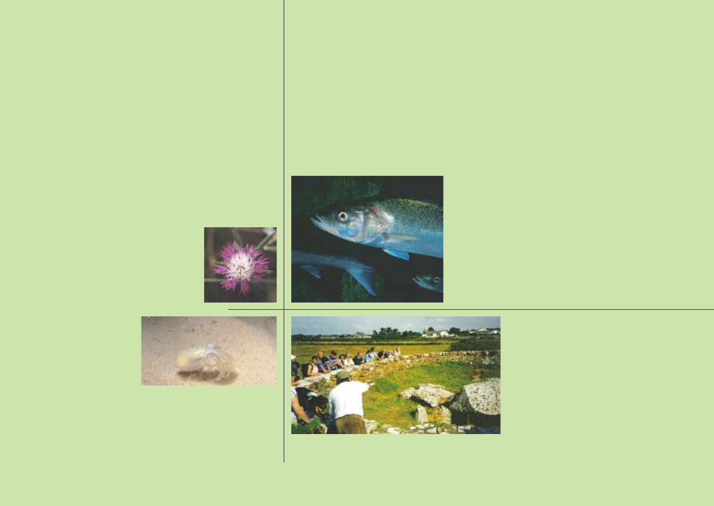



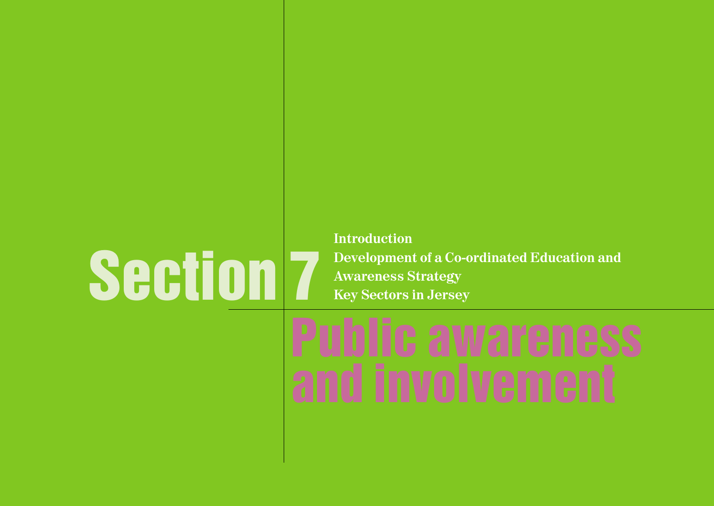# **Section 7**

**Introduction Development of a Co-ordinated Education and Awareness Strategy Key Sectors in Jersey**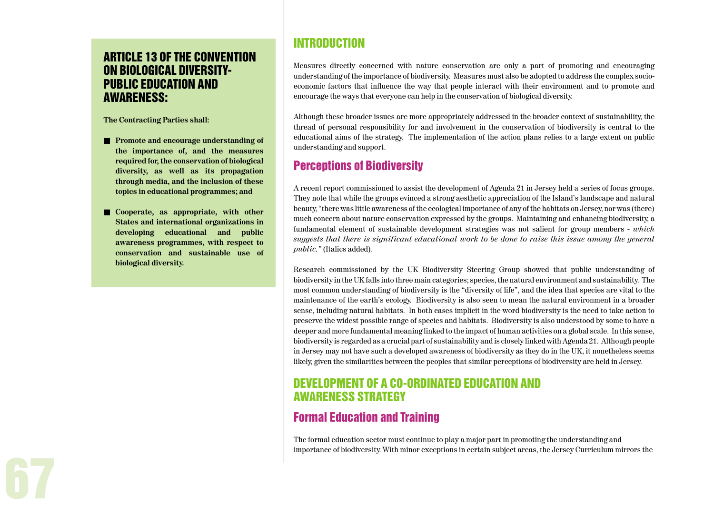### **ARTICLE 13 OF THE CONVENTION ON BIOLOGICAL DIVERSITY-PUBLIC EDUCATION AND AWARENESS:**

**The Contracting Parties shall:** 

- **Promote and encourage understanding of the importance of, and the measures required for, the conservation of biological diversity, as well as its propagation through media, and the inclusion of these topics in educational programmes; and**
- **Cooperate, as appropriate, with other States and international organizations in developing educational and public awareness programmes, with respect to conservation and sustainable use of biological diversity.**

# **INTRODUCTION**

Measures directly concerned with nature conservation are only a part of promoting and encouraging understanding of the importance of biodiversity. Measures must also be adopted to address the complex socioeconomic factors that influence the way that people interact with their environment and to promote and encourage the ways that everyone can help in the conservation of biological diversity.

Although these broader issues are more appropriately addressed in the broader context of sustainability, the thread of personal responsibility for and involvement in the conservation of biodiversity is central to the educational aims of the strategy. The implementation of the action plans relies to a large extent on public understanding and support.

# **Perceptions of Biodiversity**

A recent report commissioned to assist the development of Agenda 21 in Jersey held a series of focus groups. They note that while the groups evinced a strong aesthetic appreciation of the Island's landscape and natural beauty, "there was little awareness of the ecological importance of any of the habitats on Jersey, nor was (there) much concern about nature conservation expressed by the groups. Maintaining and enhancing biodiversity, a fundamental element of sustainable development strategies was not salient for group members - *which suggests that there is significant educational work to be done to raise this issue among the general public."* (Italics added).

Research commissioned by the UK Biodiversity Steering Group showed that public understanding of biodiversity in the UK falls into three main categories; species, the natural environment and sustainability. The most common understanding of biodiversity is the "diversity of life", and the idea that species are vital to the maintenance of the earth's ecology. Biodiversity is also seen to mean the natural environment in a broader sense, including natural habitats. In both cases implicit in the word biodiversity is the need to take action to preserve the widest possible range of species and habitats. Biodiversity is also understood by some to have a deeper and more fundamental meaning linked to the impact of human activities on a global scale. In this sense, biodiversity is regarded as a crucial part of sustainability and is closely linked with Agenda 21. Although people in Jersey may not have such a developed awareness of biodiversity as they do in the UK, it nonetheless seems likely, given the similarities between the peoples that similar perceptions of biodiversity are held in Jersey.

# **DEVELOPMENT OF A CO-ORDINATED EDUCATION AND AWARENESS STRATEGY**

# **Formal Education and Training**

The formal education sector must continue to play a major part in promoting the understanding and importance of biodiversity. With minor exceptions in certain subject areas, the Jersey Curriculum mirrors the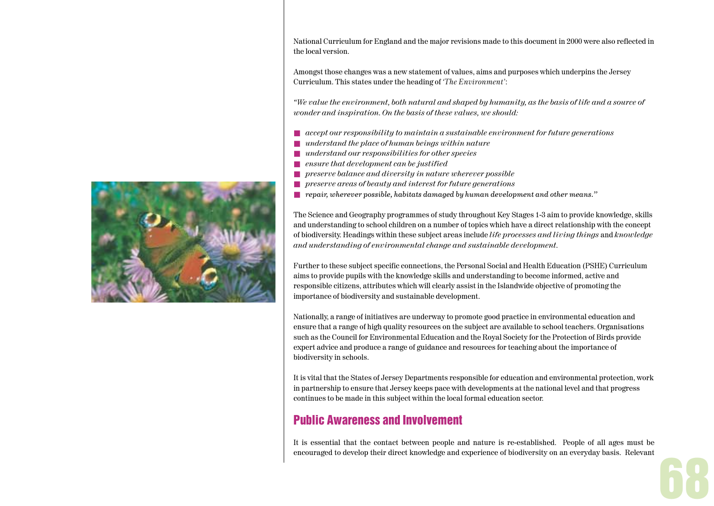National Curriculum for England and the major revisions made to this document in 2000 were also reflected in the local version.

Amongst those changes was a new statement of values, aims and purposes which underpins the Jersey Curriculum. This states under the heading of *'The Environment'*:

*"We value the environment, both natural and shaped by humanity, as the basis of life and a source of wonder and inspiration. On the basis of these values, we should:*

- *accept our responsibility to maintain a sustainable environment for future generations*
- *understand the place of human beings within nature*
- *understand our responsibilities for other species*
- *ensure that development can be justified*
- *preserve balance and diversity in nature wherever possible*
- *preserve areas of beauty and interest for future generations*
- *repair, wherever possible, habitats damaged by human development and other means."*

The Science and Geography programmes of study throughout Key Stages 1-3 aim to provide knowledge, skills and understanding to school children on a number of topics which have a direct relationship with the concept of biodiversity. Headings within these subject areas include *life processes and living things* and *knowledge and understanding of environmental change and sustainable development.*

Further to these subject specific connections, the Personal Social and Health Education (PSHE) Curriculum aims to provide pupils with the knowledge skills and understanding to become informed, active and responsible citizens, attributes which will clearly assist in the Islandwide objective of promoting the importance of biodiversity and sustainable development.

Nationally, a range of initiatives are underway to promote good practice in environmental education and ensure that a range of high quality resources on the subject are available to school teachers. Organisations such as the Council for Environmental Education and the Royal Society for the Protection of Birds provide expert advice and produce a range of guidance and resources for teaching about the importance of biodiversity in schools.

It is vital that the States of Jersey Departments responsible for education and environmental protection, work in partnership to ensure that Jersey keeps pace with developments at the national level and that progress continues to be made in this subject within the local formal education sector.

# **Public Awareness and Involvement**

It is essential that the contact between people and nature is re-established. People of all ages must be encouraged to develop their direct knowledge and experience of biodiversity on an everyday basis. Relevant



**68**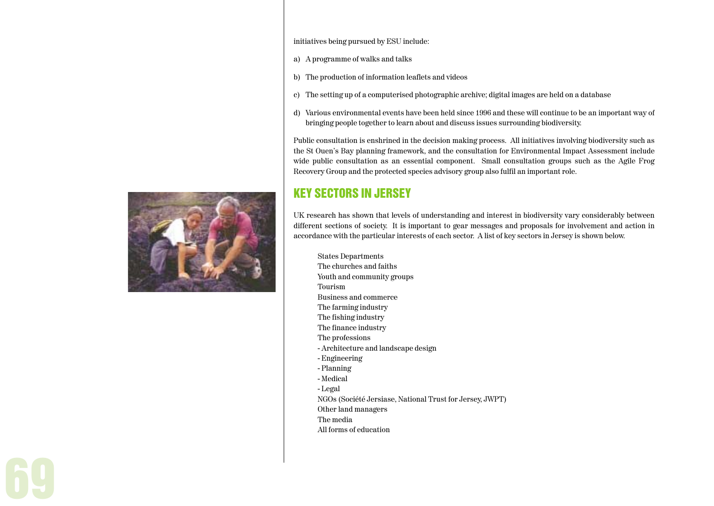initiatives being pursued by ESU include:

- a) A programme of walks and talks
- b) The production of information leaflets and videos
- c) The setting up of a computerised photographic archive; digital images are held on a database
- d) Various environmental events have been held since 1996 and these will continue to be an important way of bringing people together to learn about and discuss issues surrounding biodiversity.

Public consultation is enshrined in the decision making process. All initiatives involving biodiversity such as the St Ouen's Bay planning framework, and the consultation for Environmental Impact Assessment include wide public consultation as an essential component. Small consultation groups such as the Agile Frog Recovery Group and the protected species advisory group also fulfil an important role.

# **KEY SECTORS IN JERSEY**

UK research has shown that levels of understanding and interest in biodiversity vary considerably between different sections of society. It is important to gear messages and proposals for involvement and action in accordance with the particular interests of each sector. A list of key sectors in Jersey is shown below.

States Departments The churches and faiths Youth and community groups Tourism Business and commerce The farming industry The fishing industry The finance industry The professions - Architecture and landscape design - Engineering - Planning - Medical - Legal NGOs (Société Jersiase, National Trust for Jersey, JWPT) Other land managers The media All forms of education

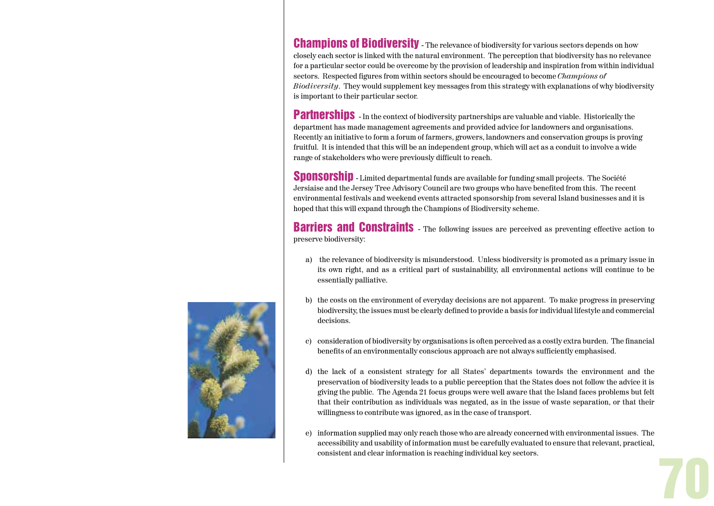**Champions of Biodiversity** - The relevance of biodiversity for various sectors depends on how closely each sector is linked with the natural environment. The perception that biodiversity has no relevance for a particular sector could be overcome by the provision of leadership and inspiration from within individual sectors. Respected figures from within sectors should be encouraged to become *Champions of Biodiversity*. They would supplement key messages from this strategy with explanations of why biodiversity is important to their particular sector.

**Partnerships** - In the context of biodiversity partnerships are valuable and viable. Historically the department has made management agreements and provided advice for landowners and organisations. Recently an initiative to form a forum of farmers, growers, landowners and conservation groups is proving fruitful. It is intended that this will be an independent group, which will act as a conduit to involve a wide range of stakeholders who were previously difficult to reach.

**Sponsorship** - Limited departmental funds are available for funding small projects. The Société Jersiaise and the Jersey Tree Advisory Council are two groups who have benefited from this. The recent environmental festivals and weekend events attracted sponsorship from several Island businesses and it is hoped that this will expand through the Champions of Biodiversity scheme.

**Barriers and Constraints** - The following issues are perceived as preventing effective action to preserve biodiversity:

- a) the relevance of biodiversity is misunderstood. Unless biodiversity is promoted as a primary issue in its own right, and as a critical part of sustainability, all environmental actions will continue to be essentially palliative.
- b) the costs on the environment of everyday decisions are not apparent. To make progress in preserving biodiversity, the issues must be clearly defined to provide a basis for individual lifestyle and commercial decisions.
- c) consideration of biodiversity by organisations is often perceived as a costly extra burden. The financial benefits of an environmentally conscious approach are not always sufficiently emphasised.
- d) the lack of a consistent strategy for all States' departments towards the environment and the preservation of biodiversity leads to a public perception that the States does not follow the advice it is giving the public. The Agenda 21 focus groups were well aware that the Island faces problems but felt that their contribution as individuals was negated, as in the issue of waste separation, or that their willingness to contribute was ignored, as in the case of transport.
- e) information supplied may only reach those who are already concerned with environmental issues. The accessibility and usability of information must be carefully evaluated to ensure that relevant, practical, consistent and clear information is reaching individual key sectors.



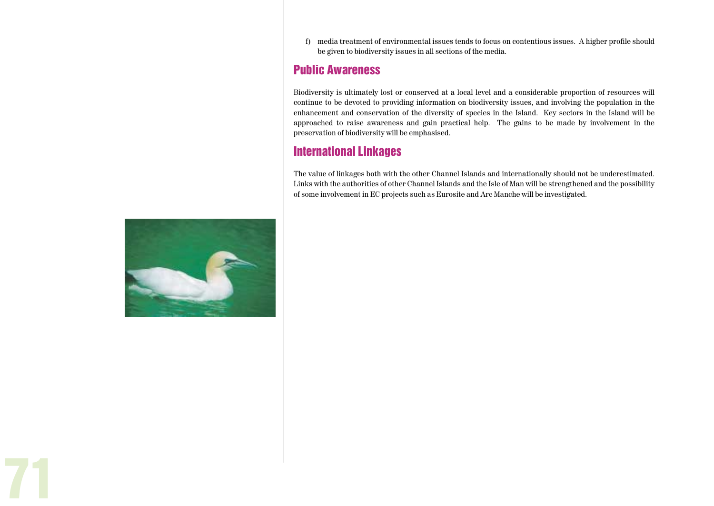f) media treatment of environmental issues tends to focus on contentious issues. A higher profile should be given to biodiversity issues in all sections of the media.

# **Public Awareness**

Biodiversity is ultimately lost or conserved at a local level and a considerable proportion of resources will continue to be devoted to providing information on biodiversity issues, and involving the population in the enhancement and conservation of the diversity of species in the Island. Key sectors in the Island will be approached to raise awareness and gain practical help. The gains to be made by involvement in the preservation of biodiversity will be emphasised.

# **International Linkages**

The value of linkages both with the other Channel Islands and internationally should not be underestimated. Links with the authorities of other Channel Islands and the Isle of Man will be strengthened and the possibility of some involvement in EC projects such as Eurosite and Arc Manche will be investigated.

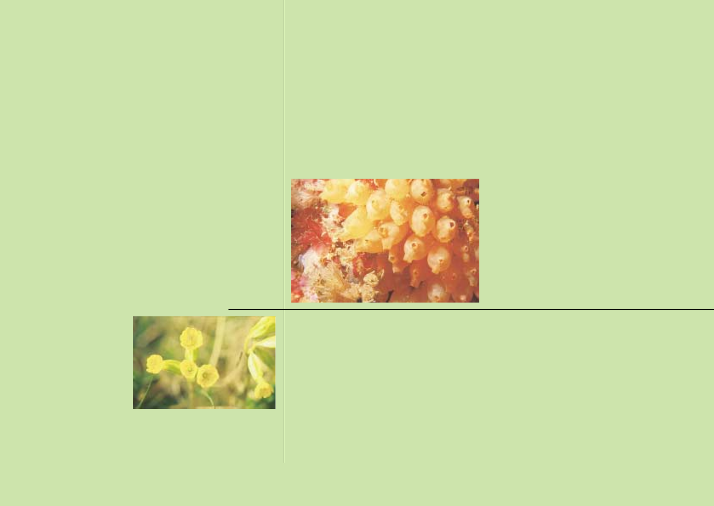

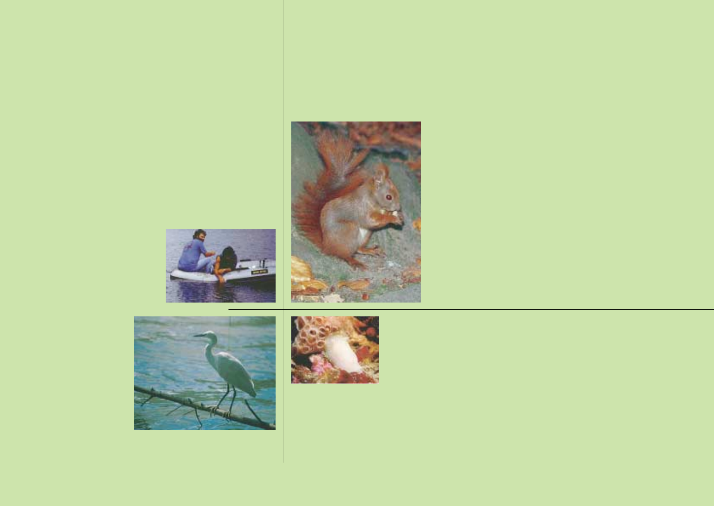



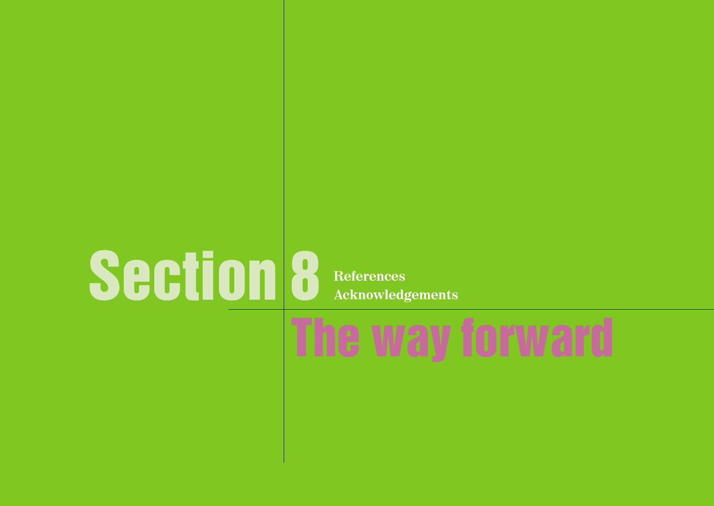# Section<sup>8</sup> References

**Acknowledgements**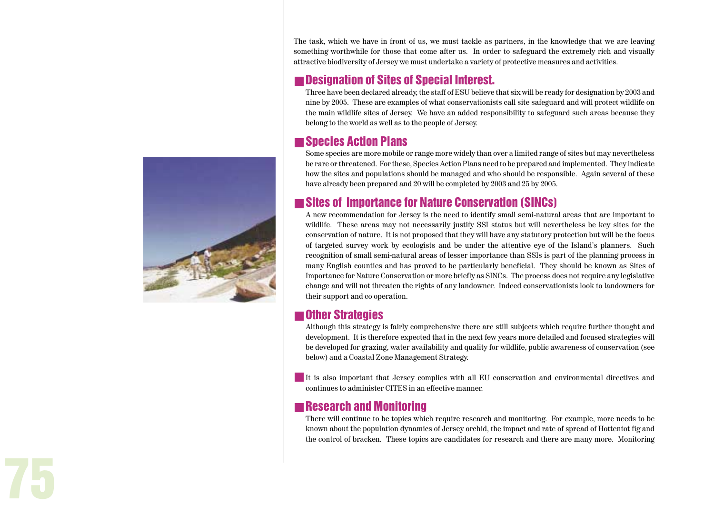

The task, which we have in front of us, we must tackle as partners, in the knowledge that we are leaving something worthwhile for those that come after us. In order to safeguard the extremely rich and visually attractive biodiversity of Jersey we must undertake a variety of protective measures and activities.

# ■ **Designation of Sites of Special Interest.**

Three have been declared already, the staff of ESU believe that six will be ready for designation by 2003 and nine by 2005. These are examples of what conservationists call site safeguard and will protect wildlife on the main wildlife sites of Jersey. We have an added responsibility to safeguard such areas because they belong to the world as well as to the people of Jersey.

#### ■ **Species Action Plans**

Some species are more mobile or range more widely than over a limited range of sites but may nevertheless be rare or threatened. For these, Species Action Plans need to be prepared and implemented. They indicate how the sites and populations should be managed and who should be responsible. Again several of these have already been prepared and 20 will be completed by 2003 and 25 by 2005.

# ■ **Sites of Importance for Nature Conservation (SINCs)**

A new recommendation for Jersey is the need to identify small semi-natural areas that are important to wildlife. These areas may not necessarily justify SSI status but will nevertheless be key sites for the conservation of nature. It is not proposed that they will have any statutory protection but will be the focus of targeted survey work by ecologists and be under the attentive eye of the Island's planners. Such recognition of small semi-natural areas of lesser importance than SSIs is part of the planning process in many English counties and has proved to be particularly beneficial. They should be known as Sites of Importance for Nature Conservation or more briefly as SINCs. The process does not require any legislative change and will not threaten the rights of any landowner. Indeed conservationists look to landowners for their support and co operation.

#### ■ **Other Strategies**

Although this strategy is fairly comprehensive there are still subjects which require further thought and development. It is therefore expected that in the next few years more detailed and focused strategies will be developed for grazing, water availability and quality for wildlife, public awareness of conservation (see below) and a Coastal Zone Management Strategy.

■ It is also important that Jersey complies with all EU conservation and environmental directives and continues to administer CITES in an effective manner.

# ■ **Research and Monitoring**

There will continue to be topics which require research and monitoring. For example, more needs to be known about the population dynamics of Jersey orchid, the impact and rate of spread of Hottentot fig and the control of bracken. These topics are candidates for research and there are many more. Monitoring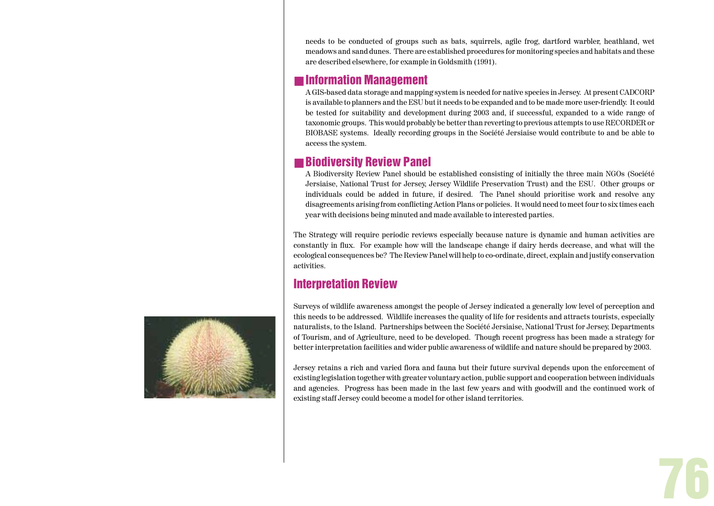needs to be conducted of groups such as bats, squirrels, agile frog, dartford warbler, heathland, wet meadows and sand dunes. There are established procedures for monitoring species and habitats and these are described elsewhere, for example in Goldsmith (1991).

#### ■ **Information Management**

A GIS-based data storage and mapping system is needed for native species in Jersey. At present CADCORP is available to planners and the ESU but it needs to be expanded and to be made more user-friendly. It could be tested for suitability and development during 2003 and, if successful, expanded to a wide range of taxonomic groups. This would probably be better than reverting to previous attempts to use RECORDER or BIOBASE systems. Ideally recording groups in the Société Jersiaise would contribute to and be able to access the system.

#### ■ **Biodiversity Review Panel**

A Biodiversity Review Panel should be established consisting of initially the three main NGOs (Société Jersiaise, National Trust for Jersey, Jersey Wildlife Preservation Trust) and the ESU. Other groups or individuals could be added in future, if desired. The Panel should prioritise work and resolve any disagreements arising from conflicting Action Plans or policies. It would need to meet four to six times each year with decisions being minuted and made available to interested parties.

The Strategy will require periodic reviews especially because nature is dynamic and human activities are constantly in flux. For example how will the landscape change if dairy herds decrease, and what will the ecological consequences be? The Review Panel will help to co-ordinate, direct, explain and justify conservation activities.

# **Interpretation Review**

Surveys of wildlife awareness amongst the people of Jersey indicated a generally low level of perception and this needs to be addressed. Wildlife increases the quality of life for residents and attracts tourists, especially naturalists, to the Island. Partnerships between the Société Jersiaise, National Trust for Jersey, Departments of Tourism, and of Agriculture, need to be developed. Though recent progress has been made a strategy for better interpretation facilities and wider public awareness of wildlife and nature should be prepared by 2003.

Jersey retains a rich and varied flora and fauna but their future survival depends upon the enforcement of existing legislation together with greater voluntary action, public support and cooperation between individuals and agencies. Progress has been made in the last few years and with goodwill and the continued work of existing staff Jersey could become a model for other island territories.

**76**

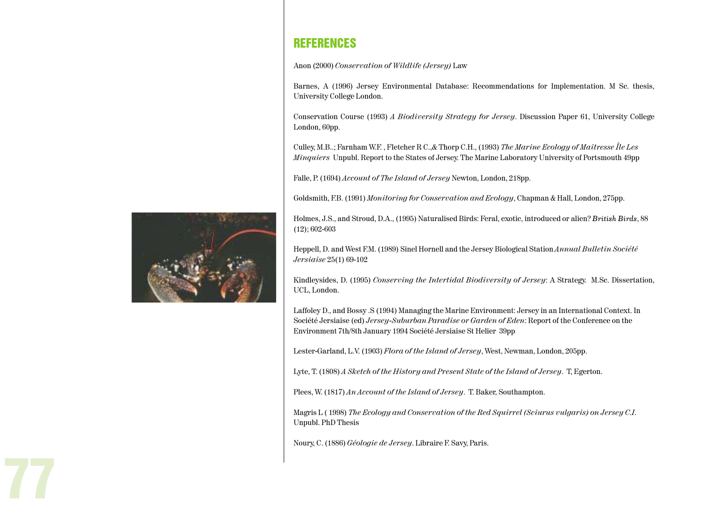# **REFERENCES**

Anon (2000) *Conservation of Wildlife (Jersey)* Law

Barnes, A (1996) Jersey Environmental Database: Recommendations for Implementation. M Sc. thesis, University College London.

Conservation Course (1993) *A Biodiversity Strategy for Jersey*. Discussion Paper 61, University College London, 60pp.

Culley, M.B..; Farnham W.F. , Fletcher R C.,& Thorp C.H., (1993) *The Marine Ecology of Maitresse Île Les Minquiers* Unpubl. Report to the States of Jersey. The Marine Laboratory University of Portsmouth 49pp

Falle, P. (1694) *Account of The Island of Jersey* Newton, London, 218pp.

Goldsmith, F.B. (1991) *Monitoring for Conservation and Ecology*, Chapman & Hall, London, 275pp.

Holmes, J.S., and Stroud, D.A., (1995) Naturalised Birds: Feral, exotic, introduced or alien? *British Birds*, 88 (12); 602-603

Heppell, D. and West F.M. (1989) Sinel Hornell and the Jersey Biological Station *Annual Bulletin Société Jersiaise* 25(1) 69-102

Kindleysides, D. (1995) *Conserving the Intertidal Biodiversity of Jersey*: A Strategy. M.Sc. Dissertation, UCL, London.

Laffoley D., and Bossy .S (1994) Managing the Marine Environment: Jersey in an International Context. In Société Jersiaise (ed) *Jersey-Suburban Paradise or Garden of Eden*: Report of the Conference on the Environment 7th/8th January 1994 Société Jersiaise St Helier 39pp

Lester-Garland, L.V. (1903) *Flora of the Island of Jersey*, West, Newman, London, 205pp.

Lyte, T. (1808) *A Sketch of the History and Present State of the Island of Jersey*. T, Egerton.

Plees, W. (1817) *An Account of the Island of Jersey*. T. Baker, Southampton.

Magris L ( 1998) *The Ecology and Conservation of the Red Squirrel (Sciurus vulgaris) on Jersey C.I.* Unpubl. PhD Thesis

Noury, C. (1886) *Géologie de Jersey*. Libraire F. Savy, Paris.

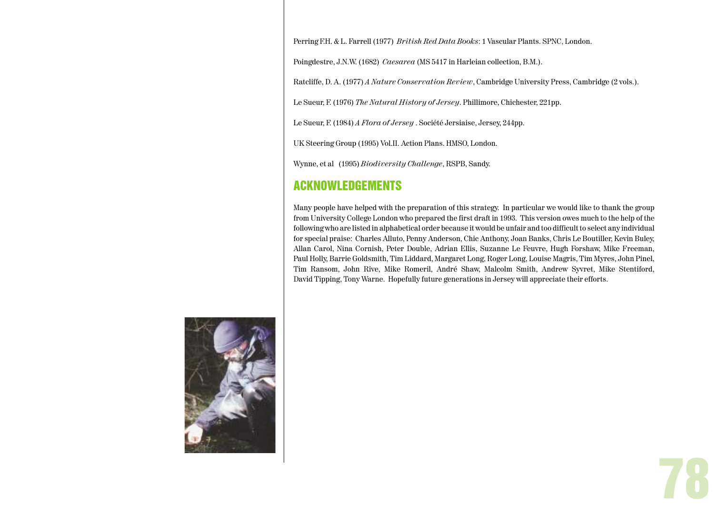Perring F.H. & L. Farrell (1977) *British Red Data Books*: 1 Vascular Plants. SPNC, London.

Poingdestre, J.N.W. (1682) *Caesarea* (MS 5417 in Harleian collection, B.M.).

Ratcliffe, D. A. (1977) *A Nature Conservation Review*, Cambridge University Press, Cambridge (2 vols.).

Le Sueur, F. (1976) *The Natural History of Jersey*. Phillimore, Chichester, 221pp.

Le Sueur, F. (1984) *A Flora of Jersey* . Société Jersiaise, Jersey, 244pp.

UK Steering Group (1995) Vol.II. Action Plans. HMSO, London.

Wynne, et al (1995) *Biodiversity Challenge*, RSPB, Sandy.

# **ACKNOWLEDGEMENTS**

Many people have helped with the preparation of this strategy. In particular we would like to thank the group from University College London who prepared the first draft in 1993. This version owes much to the help of the following who are listed in alphabetical order because it would be unfair and too difficult to select any individual for special praise: Charles Alluto, Penny Anderson, Chic Anthony, Joan Banks, Chris Le Boutiller, Kevin Buley, Allan Carol, Nina Cornish, Peter Double, Adrian Ellis, Suzanne Le Feuvre, Hugh Forshaw, Mike Freeman, Paul Holly, Barrie Goldsmith, Tim Liddard, Margaret Long, Roger Long, Louise Magris, Tim Myres, John Pinel, Tim Ransom, John Rive, Mike Romeril, André Shaw, Malcolm Smith, Andrew Syvret, Mike Stentiford, David Tipping, Tony Warne. Hopefully future generations in Jersey will appreciate their efforts.

**78**